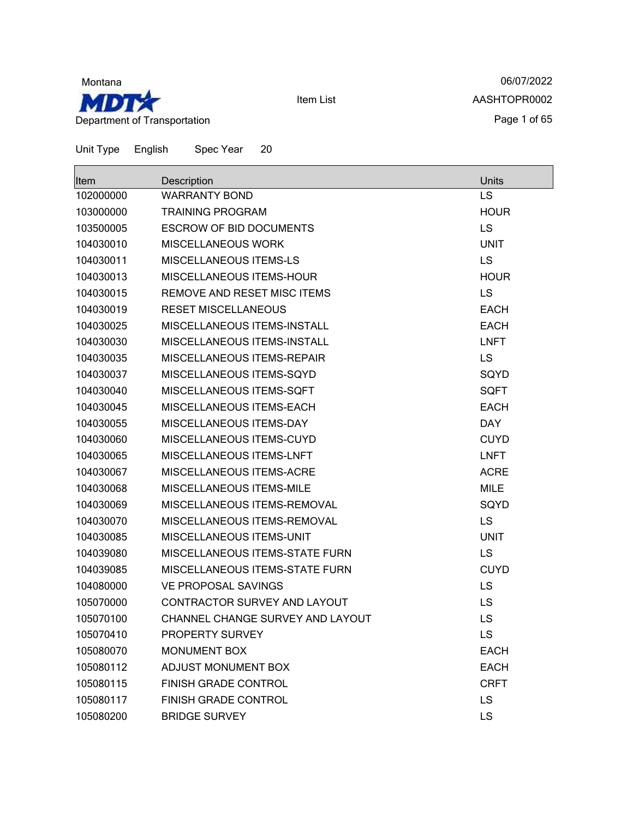

06/07/2022 AASHTOPR0002 Page 1 of 65

| Item      | Description                           | Units       |
|-----------|---------------------------------------|-------------|
| 102000000 | <b>WARRANTY BOND</b>                  | <b>LS</b>   |
| 103000000 | <b>TRAINING PROGRAM</b>               | <b>HOUR</b> |
| 103500005 | <b>ESCROW OF BID DOCUMENTS</b>        | <b>LS</b>   |
| 104030010 | <b>MISCELLANEOUS WORK</b>             | <b>UNIT</b> |
| 104030011 | MISCELLANEOUS ITEMS-LS                | <b>LS</b>   |
| 104030013 | <b>MISCELLANEOUS ITEMS-HOUR</b>       | <b>HOUR</b> |
| 104030015 | REMOVE AND RESET MISC ITEMS           | <b>LS</b>   |
| 104030019 | <b>RESET MISCELLANEOUS</b>            | <b>EACH</b> |
| 104030025 | MISCELLANEOUS ITEMS-INSTALL           | <b>EACH</b> |
| 104030030 | MISCELLANEOUS ITEMS-INSTALL           | <b>LNFT</b> |
| 104030035 | MISCELLANEOUS ITEMS-REPAIR            | <b>LS</b>   |
| 104030037 | MISCELLANEOUS ITEMS-SQYD              | SQYD        |
| 104030040 | MISCELLANEOUS ITEMS-SQFT              | <b>SQFT</b> |
| 104030045 | MISCELLANEOUS ITEMS-EACH              | <b>EACH</b> |
| 104030055 | MISCELLANEOUS ITEMS-DAY               | <b>DAY</b>  |
| 104030060 | <b>MISCELLANEOUS ITEMS-CUYD</b>       | <b>CUYD</b> |
| 104030065 | MISCELLANEOUS ITEMS-LNFT              | <b>LNFT</b> |
| 104030067 | MISCELLANEOUS ITEMS-ACRE              | <b>ACRE</b> |
| 104030068 | MISCELLANEOUS ITEMS-MILE              | <b>MILE</b> |
| 104030069 | MISCELLANEOUS ITEMS-REMOVAL           | SQYD        |
| 104030070 | MISCELLANEOUS ITEMS-REMOVAL           | <b>LS</b>   |
| 104030085 | MISCELLANEOUS ITEMS-UNIT              | <b>UNIT</b> |
| 104039080 | <b>MISCELLANEOUS ITEMS-STATE FURN</b> | <b>LS</b>   |
| 104039085 | MISCELLANEOUS ITEMS-STATE FURN        | <b>CUYD</b> |
| 104080000 | <b>VE PROPOSAL SAVINGS</b>            | <b>LS</b>   |
| 105070000 | CONTRACTOR SURVEY AND LAYOUT          | <b>LS</b>   |
| 105070100 | CHANNEL CHANGE SURVEY AND LAYOUT      | LS          |
| 105070410 | <b>PROPERTY SURVEY</b>                | LS          |
| 105080070 | <b>MONUMENT BOX</b>                   | <b>EACH</b> |
| 105080112 | ADJUST MONUMENT BOX                   | <b>EACH</b> |
| 105080115 | <b>FINISH GRADE CONTROL</b>           | <b>CRFT</b> |
| 105080117 | FINISH GRADE CONTROL                  | <b>LS</b>   |
| 105080200 | <b>BRIDGE SURVEY</b>                  | LS          |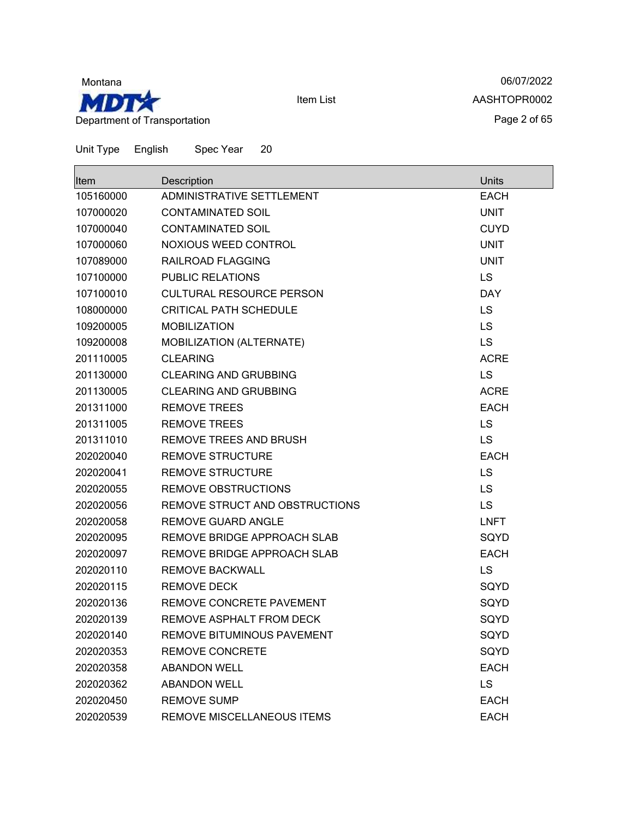

06/07/2022 AASHTOPR0002 Page 2 of 65

| Item      | Description                       | Units       |
|-----------|-----------------------------------|-------------|
| 105160000 | ADMINISTRATIVE SETTLEMENT         | <b>EACH</b> |
| 107000020 | <b>CONTAMINATED SOIL</b>          | <b>UNIT</b> |
| 107000040 | <b>CONTAMINATED SOIL</b>          | <b>CUYD</b> |
| 107000060 | NOXIOUS WEED CONTROL              | <b>UNIT</b> |
| 107089000 | RAILROAD FLAGGING                 | <b>UNIT</b> |
| 107100000 | <b>PUBLIC RELATIONS</b>           | <b>LS</b>   |
| 107100010 | <b>CULTURAL RESOURCE PERSON</b>   | <b>DAY</b>  |
| 108000000 | <b>CRITICAL PATH SCHEDULE</b>     | LS          |
| 109200005 | <b>MOBILIZATION</b>               | LS          |
| 109200008 | MOBILIZATION (ALTERNATE)          | <b>LS</b>   |
| 201110005 | <b>CLEARING</b>                   | <b>ACRE</b> |
| 201130000 | <b>CLEARING AND GRUBBING</b>      | LS          |
| 201130005 | <b>CLEARING AND GRUBBING</b>      | <b>ACRE</b> |
| 201311000 | <b>REMOVE TREES</b>               | <b>EACH</b> |
| 201311005 | <b>REMOVE TREES</b>               | <b>LS</b>   |
| 201311010 | <b>REMOVE TREES AND BRUSH</b>     | LS          |
| 202020040 | <b>REMOVE STRUCTURE</b>           | <b>EACH</b> |
| 202020041 | <b>REMOVE STRUCTURE</b>           | <b>LS</b>   |
| 202020055 | <b>REMOVE OBSTRUCTIONS</b>        | <b>LS</b>   |
| 202020056 | REMOVE STRUCT AND OBSTRUCTIONS    | <b>LS</b>   |
| 202020058 | REMOVE GUARD ANGLE                | <b>LNFT</b> |
| 202020095 | REMOVE BRIDGE APPROACH SLAB       | SQYD        |
| 202020097 | REMOVE BRIDGE APPROACH SLAB       | <b>EACH</b> |
| 202020110 | <b>REMOVE BACKWALL</b>            | LS          |
| 202020115 | <b>REMOVE DECK</b>                | SQYD        |
| 202020136 | REMOVE CONCRETE PAVEMENT          | SQYD        |
| 202020139 | REMOVE ASPHALT FROM DECK          | SQYD        |
| 202020140 | <b>REMOVE BITUMINOUS PAVEMENT</b> | SQYD        |
| 202020353 | REMOVE CONCRETE                   | SQYD        |
| 202020358 | <b>ABANDON WELL</b>               | <b>EACH</b> |
| 202020362 | <b>ABANDON WELL</b>               | <b>LS</b>   |
| 202020450 | <b>REMOVE SUMP</b>                | <b>EACH</b> |
| 202020539 | REMOVE MISCELLANEOUS ITEMS        | <b>EACH</b> |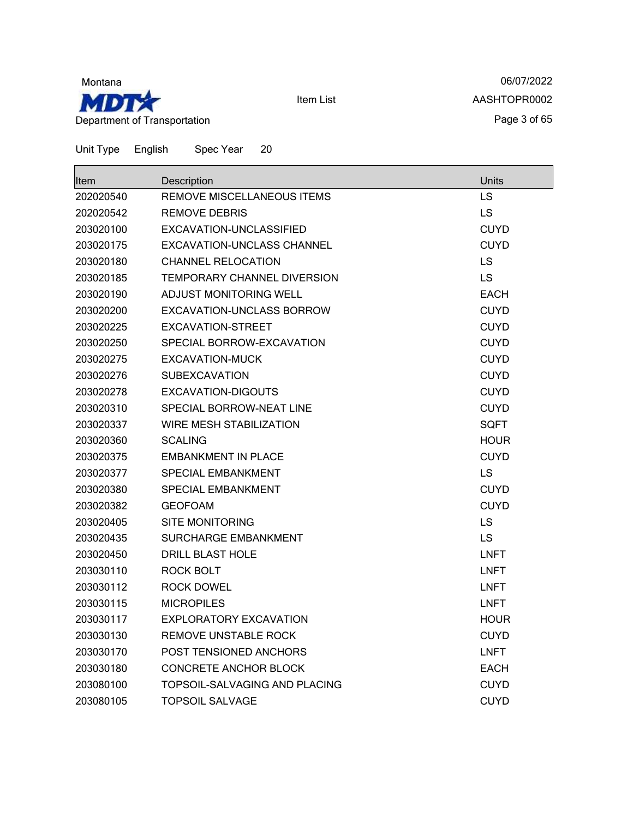

06/07/2022 AASHTOPR0002 Page 3 of 65

| <b>Item</b> | Description                        | Units       |
|-------------|------------------------------------|-------------|
| 202020540   | REMOVE MISCELLANEOUS ITEMS         | LS          |
| 202020542   | <b>REMOVE DEBRIS</b>               | LS          |
| 203020100   | EXCAVATION-UNCLASSIFIED            | <b>CUYD</b> |
| 203020175   | <b>EXCAVATION-UNCLASS CHANNEL</b>  | CUYD        |
| 203020180   | <b>CHANNEL RELOCATION</b>          | LS          |
| 203020185   | <b>TEMPORARY CHANNEL DIVERSION</b> | LS          |
| 203020190   | <b>ADJUST MONITORING WELL</b>      | <b>EACH</b> |
| 203020200   | EXCAVATION-UNCLASS BORROW          | <b>CUYD</b> |
| 203020225   | EXCAVATION-STREET                  | <b>CUYD</b> |
| 203020250   | SPECIAL BORROW-EXCAVATION          | <b>CUYD</b> |
| 203020275   | <b>EXCAVATION-MUCK</b>             | <b>CUYD</b> |
| 203020276   | <b>SUBEXCAVATION</b>               | <b>CUYD</b> |
| 203020278   | <b>EXCAVATION-DIGOUTS</b>          | <b>CUYD</b> |
| 203020310   | SPECIAL BORROW-NEAT LINE           | <b>CUYD</b> |
| 203020337   | <b>WIRE MESH STABILIZATION</b>     | <b>SQFT</b> |
| 203020360   | <b>SCALING</b>                     | <b>HOUR</b> |
| 203020375   | <b>EMBANKMENT IN PLACE</b>         | <b>CUYD</b> |
| 203020377   | <b>SPECIAL EMBANKMENT</b>          | <b>LS</b>   |
| 203020380   | <b>SPECIAL EMBANKMENT</b>          | <b>CUYD</b> |
| 203020382   | <b>GEOFOAM</b>                     | <b>CUYD</b> |
| 203020405   | <b>SITE MONITORING</b>             | <b>LS</b>   |
| 203020435   | <b>SURCHARGE EMBANKMENT</b>        | LS          |
| 203020450   | DRILL BLAST HOLE                   | <b>LNFT</b> |
| 203030110   | ROCK BOLT                          | <b>LNFT</b> |
| 203030112   | ROCK DOWEL                         | <b>LNFT</b> |
| 203030115   | <b>MICROPILES</b>                  | <b>LNFT</b> |
| 203030117   | EXPLORATORY EXCAVATION             | <b>HOUR</b> |
| 203030130   | REMOVE UNSTABLE ROCK               | <b>CUYD</b> |
| 203030170   | <b>POST TENSIONED ANCHORS</b>      | <b>LNFT</b> |
| 203030180   | <b>CONCRETE ANCHOR BLOCK</b>       | EACH        |
| 203080100   | TOPSOIL-SALVAGING AND PLACING      | <b>CUYD</b> |
| 203080105   | <b>TOPSOIL SALVAGE</b>             | <b>CUYD</b> |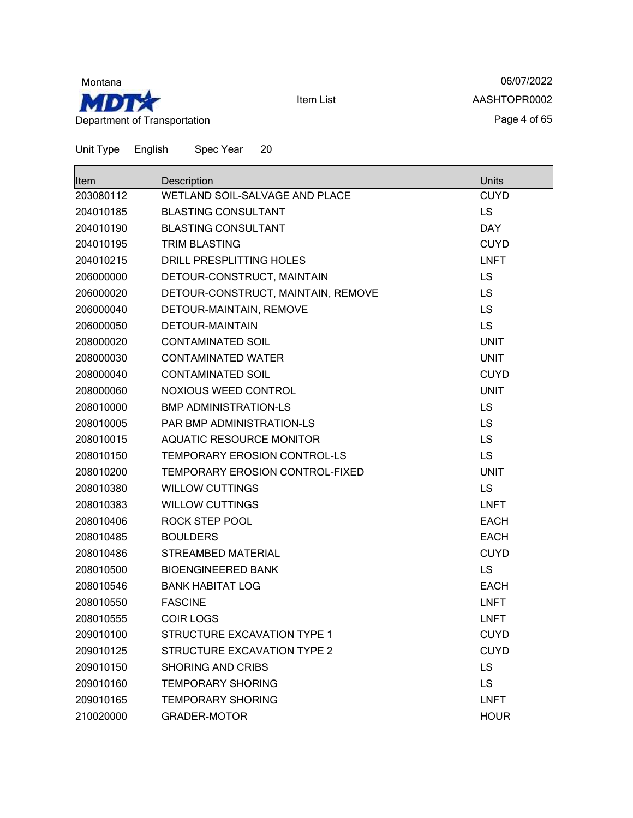

06/07/2022 AASHTOPR0002 Page 4 of 65

| Item      | Description                        | Units       |
|-----------|------------------------------------|-------------|
| 203080112 | WETLAND SOIL-SALVAGE AND PLACE     | <b>CUYD</b> |
| 204010185 | <b>BLASTING CONSULTANT</b>         | LS.         |
| 204010190 | <b>BLASTING CONSULTANT</b>         | <b>DAY</b>  |
| 204010195 | <b>TRIM BLASTING</b>               | <b>CUYD</b> |
| 204010215 | DRILL PRESPLITTING HOLES           | <b>LNFT</b> |
| 206000000 | DETOUR-CONSTRUCT, MAINTAIN         | <b>LS</b>   |
| 206000020 | DETOUR-CONSTRUCT, MAINTAIN, REMOVE | <b>LS</b>   |
| 206000040 | DETOUR-MAINTAIN, REMOVE            | <b>LS</b>   |
| 206000050 | DETOUR-MAINTAIN                    | <b>LS</b>   |
| 208000020 | <b>CONTAMINATED SOIL</b>           | <b>UNIT</b> |
| 208000030 | <b>CONTAMINATED WATER</b>          | <b>UNIT</b> |
| 208000040 | CONTAMINATED SOIL                  | <b>CUYD</b> |
| 208000060 | NOXIOUS WEED CONTROL               | <b>UNIT</b> |
| 208010000 | <b>BMP ADMINISTRATION-LS</b>       | <b>LS</b>   |
| 208010005 | <b>PAR BMP ADMINISTRATION-LS</b>   | <b>LS</b>   |
| 208010015 | <b>AQUATIC RESOURCE MONITOR</b>    | <b>LS</b>   |
| 208010150 | TEMPORARY EROSION CONTROL-LS       | <b>LS</b>   |
| 208010200 | TEMPORARY EROSION CONTROL-FIXED    | <b>UNIT</b> |
| 208010380 | <b>WILLOW CUTTINGS</b>             | <b>LS</b>   |
| 208010383 | <b>WILLOW CUTTINGS</b>             | <b>LNFT</b> |
| 208010406 | ROCK STEP POOL                     | <b>EACH</b> |
| 208010485 | <b>BOULDERS</b>                    | <b>EACH</b> |
| 208010486 | <b>STREAMBED MATERIAL</b>          | <b>CUYD</b> |
| 208010500 | <b>BIOENGINEERED BANK</b>          | <b>LS</b>   |
| 208010546 | <b>BANK HABITAT LOG</b>            | <b>EACH</b> |
| 208010550 | <b>FASCINE</b>                     | <b>LNFT</b> |
| 208010555 | <b>COIR LOGS</b>                   | <b>LNFT</b> |
| 209010100 | STRUCTURE EXCAVATION TYPE 1        | <b>CUYD</b> |
| 209010125 | STRUCTURE EXCAVATION TYPE 2        | <b>CUYD</b> |
| 209010150 | <b>SHORING AND CRIBS</b>           | <b>LS</b>   |
| 209010160 | <b>TEMPORARY SHORING</b>           | <b>LS</b>   |
| 209010165 | <b>TEMPORARY SHORING</b>           | <b>LNFT</b> |
| 210020000 | GRADER-MOTOR                       | <b>HOUR</b> |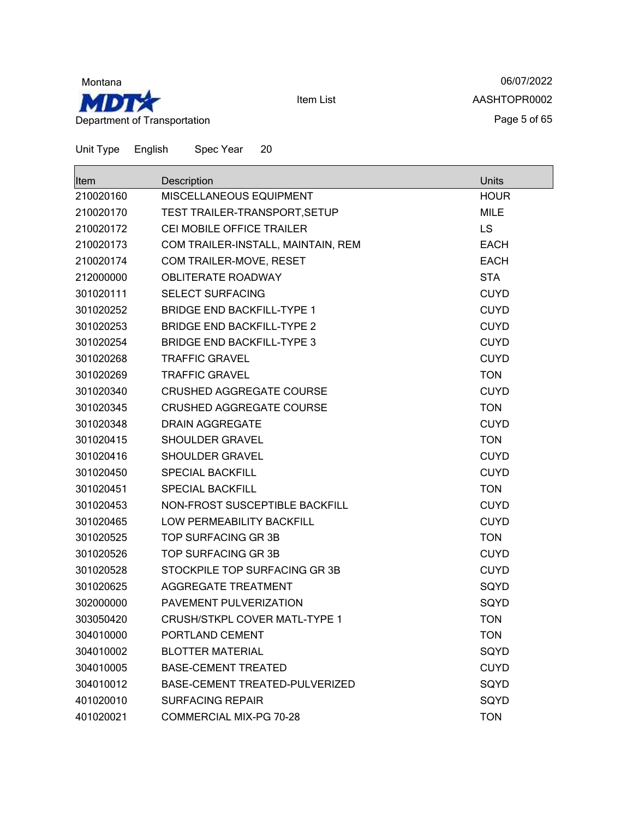

06/07/2022 AASHTOPR0002 Page 5 of 65

| <b>Item</b> | Description                          | <b>Units</b> |
|-------------|--------------------------------------|--------------|
| 210020160   | MISCELLANEOUS EQUIPMENT              | <b>HOUR</b>  |
| 210020170   | TEST TRAILER-TRANSPORT, SETUP        | <b>MILE</b>  |
| 210020172   | CEI MOBILE OFFICE TRAILER            | <b>LS</b>    |
| 210020173   | COM TRAILER-INSTALL, MAINTAIN, REM   | <b>EACH</b>  |
| 210020174   | COM TRAILER-MOVE, RESET              | <b>EACH</b>  |
| 212000000   | <b>OBLITERATE ROADWAY</b>            | <b>STA</b>   |
| 301020111   | <b>SELECT SURFACING</b>              | <b>CUYD</b>  |
| 301020252   | <b>BRIDGE END BACKFILL-TYPE 1</b>    | <b>CUYD</b>  |
| 301020253   | <b>BRIDGE END BACKFILL-TYPE 2</b>    | <b>CUYD</b>  |
| 301020254   | <b>BRIDGE END BACKFILL-TYPE 3</b>    | <b>CUYD</b>  |
| 301020268   | <b>TRAFFIC GRAVEL</b>                | <b>CUYD</b>  |
| 301020269   | <b>TRAFFIC GRAVEL</b>                | <b>TON</b>   |
| 301020340   | <b>CRUSHED AGGREGATE COURSE</b>      | <b>CUYD</b>  |
| 301020345   | <b>CRUSHED AGGREGATE COURSE</b>      | <b>TON</b>   |
| 301020348   | <b>DRAIN AGGREGATE</b>               | <b>CUYD</b>  |
| 301020415   | <b>SHOULDER GRAVEL</b>               | <b>TON</b>   |
| 301020416   | SHOULDER GRAVEL                      | <b>CUYD</b>  |
| 301020450   | <b>SPECIAL BACKFILL</b>              | <b>CUYD</b>  |
| 301020451   | <b>SPECIAL BACKFILL</b>              | <b>TON</b>   |
| 301020453   | NON-FROST SUSCEPTIBLE BACKFILL       | <b>CUYD</b>  |
| 301020465   | LOW PERMEABILITY BACKFILL            | <b>CUYD</b>  |
| 301020525   | TOP SURFACING GR 3B                  | <b>TON</b>   |
| 301020526   | TOP SURFACING GR 3B                  | <b>CUYD</b>  |
| 301020528   | STOCKPILE TOP SURFACING GR 3B        | <b>CUYD</b>  |
| 301020625   | AGGREGATE TREATMENT                  | SQYD         |
| 302000000   | PAVEMENT PULVERIZATION               | SQYD         |
| 303050420   | <b>CRUSH/STKPL COVER MATL-TYPE 1</b> | <b>TON</b>   |
| 304010000   | PORTLAND CEMENT                      | <b>TON</b>   |
| 304010002   | <b>BLOTTER MATERIAL</b>              | SQYD         |
| 304010005   | <b>BASE-CEMENT TREATED</b>           | <b>CUYD</b>  |
| 304010012   | BASE-CEMENT TREATED-PULVERIZED       | SQYD         |
| 401020010   | <b>SURFACING REPAIR</b>              | SQYD         |
| 401020021   | COMMERCIAL MIX-PG 70-28              | <b>TON</b>   |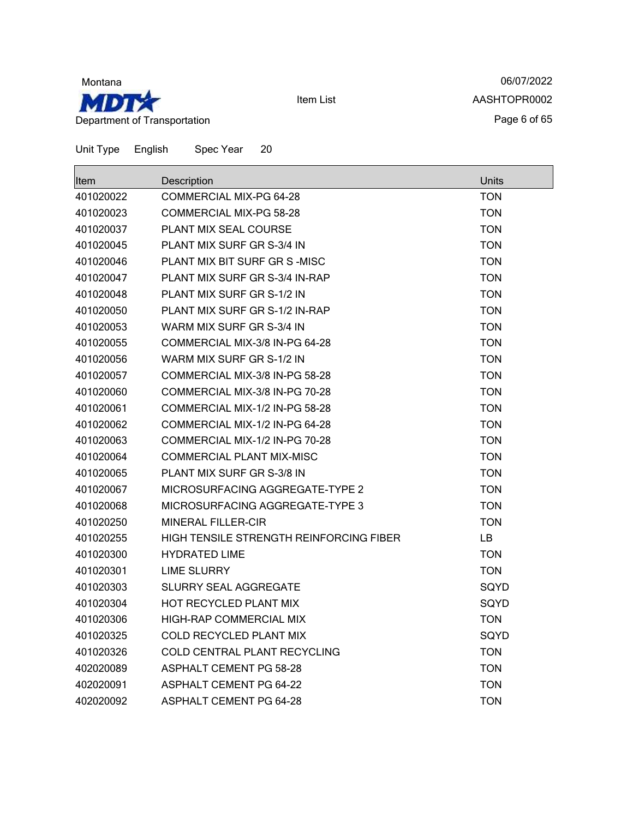

06/07/2022 AASHTOPR0002 Page 6 of 65

| <b>Item</b> | Description                             | Units      |
|-------------|-----------------------------------------|------------|
| 401020022   | COMMERCIAL MIX-PG 64-28                 | <b>TON</b> |
| 401020023   | COMMERCIAL MIX-PG 58-28                 | <b>TON</b> |
| 401020037   | <b>PLANT MIX SEAL COURSE</b>            | <b>TON</b> |
| 401020045   | PLANT MIX SURF GR S-3/4 IN              | <b>TON</b> |
| 401020046   | PLANT MIX BIT SURF GR S-MISC            | <b>TON</b> |
| 401020047   | PLANT MIX SURF GR S-3/4 IN-RAP          | <b>TON</b> |
| 401020048   | PLANT MIX SURF GR S-1/2 IN              | <b>TON</b> |
| 401020050   | PLANT MIX SURF GR S-1/2 IN-RAP          | <b>TON</b> |
| 401020053   | WARM MIX SURF GR S-3/4 IN               | <b>TON</b> |
| 401020055   | COMMERCIAL MIX-3/8 IN-PG 64-28          | <b>TON</b> |
| 401020056   | WARM MIX SURF GR S-1/2 IN               | <b>TON</b> |
| 401020057   | COMMERCIAL MIX-3/8 IN-PG 58-28          | <b>TON</b> |
| 401020060   | COMMERCIAL MIX-3/8 IN-PG 70-28          | <b>TON</b> |
| 401020061   | COMMERCIAL MIX-1/2 IN-PG 58-28          | <b>TON</b> |
| 401020062   | COMMERCIAL MIX-1/2 IN-PG 64-28          | <b>TON</b> |
| 401020063   | COMMERCIAL MIX-1/2 IN-PG 70-28          | <b>TON</b> |
| 401020064   | <b>COMMERCIAL PLANT MIX-MISC</b>        | <b>TON</b> |
| 401020065   | PLANT MIX SURF GR S-3/8 IN              | <b>TON</b> |
| 401020067   | MICROSURFACING AGGREGATE-TYPE 2         | <b>TON</b> |
| 401020068   | MICROSURFACING AGGREGATE-TYPE 3         | <b>TON</b> |
| 401020250   | MINERAL FILLER-CIR                      | <b>TON</b> |
| 401020255   | HIGH TENSILE STRENGTH REINFORCING FIBER | LB.        |
| 401020300   | <b>HYDRATED LIME</b>                    | <b>TON</b> |
| 401020301   | <b>LIME SLURRY</b>                      | <b>TON</b> |
| 401020303   | <b>SLURRY SEAL AGGREGATE</b>            | SQYD       |
| 401020304   | HOT RECYCLED PLANT MIX                  | SQYD       |
| 401020306   | HIGH-RAP COMMERCIAL MIX                 | <b>TON</b> |
| 401020325   | COLD RECYCLED PLANT MIX                 | SQYD       |
| 401020326   | COLD CENTRAL PLANT RECYCLING            | <b>TON</b> |
| 402020089   | <b>ASPHALT CEMENT PG 58-28</b>          | <b>TON</b> |
| 402020091   | <b>ASPHALT CEMENT PG 64-22</b>          | <b>TON</b> |
| 402020092   | <b>ASPHALT CEMENT PG 64-28</b>          | <b>TON</b> |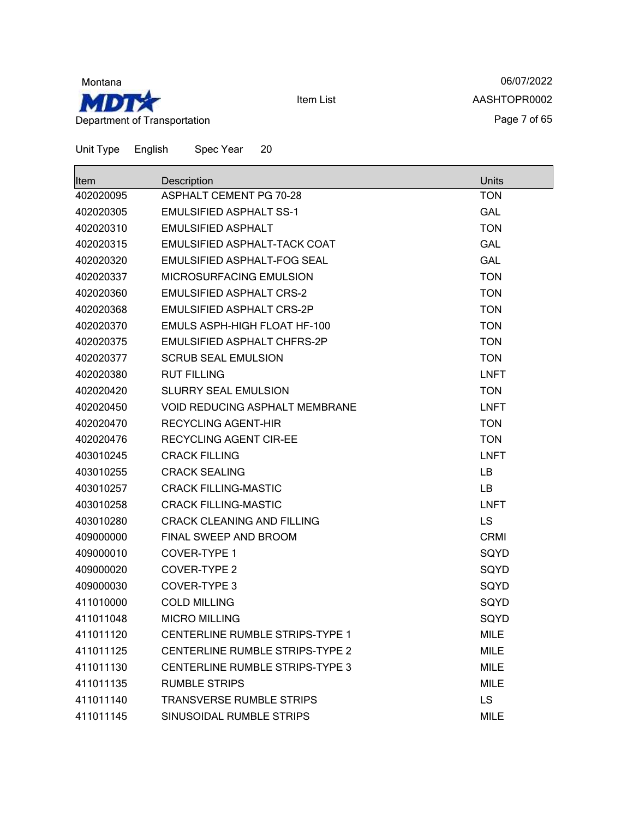

06/07/2022 AASHTOPR0002 Page 7 of 65

| Item      | Description                            | Units       |
|-----------|----------------------------------------|-------------|
| 402020095 | <b>ASPHALT CEMENT PG 70-28</b>         | <b>TON</b>  |
| 402020305 | <b>EMULSIFIED ASPHALT SS-1</b>         | <b>GAL</b>  |
| 402020310 | <b>EMULSIFIED ASPHALT</b>              | <b>TON</b>  |
| 402020315 | EMULSIFIED ASPHALT-TACK COAT           | <b>GAL</b>  |
| 402020320 | EMULSIFIED ASPHALT-FOG SEAL            | <b>GAL</b>  |
| 402020337 | <b>MICROSURFACING EMULSION</b>         | <b>TON</b>  |
| 402020360 | <b>EMULSIFIED ASPHALT CRS-2</b>        | <b>TON</b>  |
| 402020368 | <b>EMULSIFIED ASPHALT CRS-2P</b>       | <b>TON</b>  |
| 402020370 | <b>EMULS ASPH-HIGH FLOAT HF-100</b>    | <b>TON</b>  |
| 402020375 | EMULSIFIED ASPHALT CHFRS-2P            | <b>TON</b>  |
| 402020377 | <b>SCRUB SEAL EMULSION</b>             | <b>TON</b>  |
| 402020380 | <b>RUT FILLING</b>                     | <b>LNFT</b> |
| 402020420 | <b>SLURRY SEAL EMULSION</b>            | <b>TON</b>  |
| 402020450 | <b>VOID REDUCING ASPHALT MEMBRANE</b>  | <b>LNFT</b> |
| 402020470 | <b>RECYCLING AGENT-HIR</b>             | <b>TON</b>  |
| 402020476 | <b>RECYCLING AGENT CIR-EE</b>          | <b>TON</b>  |
| 403010245 | <b>CRACK FILLING</b>                   | <b>LNFT</b> |
| 403010255 | <b>CRACK SEALING</b>                   | LB.         |
| 403010257 | <b>CRACK FILLING-MASTIC</b>            | <b>LB</b>   |
| 403010258 | <b>CRACK FILLING-MASTIC</b>            | <b>LNFT</b> |
| 403010280 | <b>CRACK CLEANING AND FILLING</b>      | <b>LS</b>   |
| 409000000 | FINAL SWEEP AND BROOM                  | <b>CRMI</b> |
| 409000010 | <b>COVER-TYPE 1</b>                    | SQYD        |
| 409000020 | <b>COVER-TYPE 2</b>                    | SQYD        |
| 409000030 | <b>COVER-TYPE 3</b>                    | SQYD        |
| 411010000 | <b>COLD MILLING</b>                    | SQYD        |
| 411011048 | <b>MICRO MILLING</b>                   | SQYD        |
| 411011120 | CENTERLINE RUMBLE STRIPS-TYPE 1        | <b>MILE</b> |
| 411011125 | CENTERLINE RUMBLE STRIPS-TYPE 2        | <b>MILE</b> |
| 411011130 | <b>CENTERLINE RUMBLE STRIPS-TYPE 3</b> | <b>MILE</b> |
| 411011135 | <b>RUMBLE STRIPS</b>                   | <b>MILE</b> |
| 411011140 | <b>TRANSVERSE RUMBLE STRIPS</b>        | LS.         |
| 411011145 | SINUSOIDAL RUMBLE STRIPS               | <b>MILE</b> |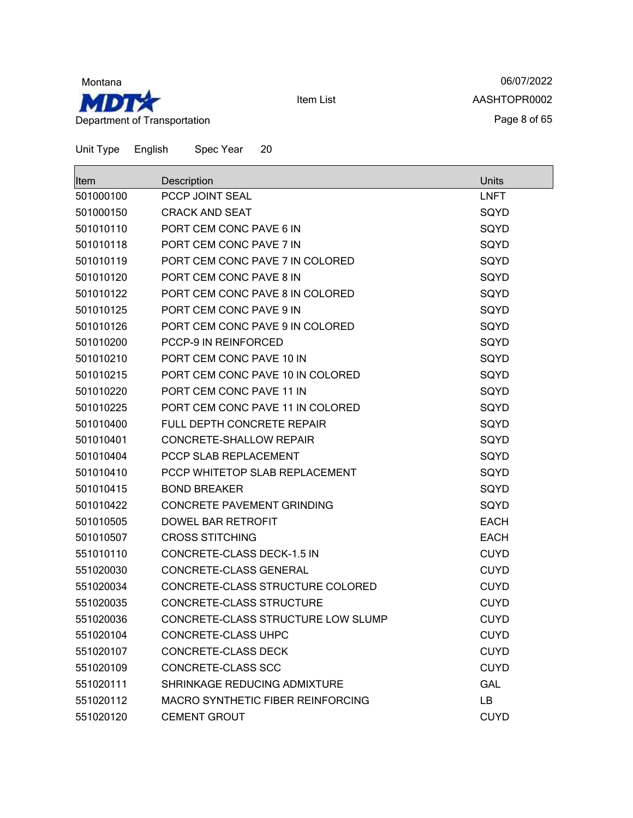

06/07/2022 AASHTOPR0002 Page 8 of 65

| lltem     | Description                        | Units       |
|-----------|------------------------------------|-------------|
| 501000100 | PCCP JOINT SEAL                    | <b>LNFT</b> |
| 501000150 | <b>CRACK AND SEAT</b>              | SQYD        |
| 501010110 | PORT CEM CONC PAVE 6 IN            | SQYD        |
| 501010118 | PORT CEM CONC PAVE 7 IN            | SQYD        |
| 501010119 | PORT CEM CONC PAVE 7 IN COLORED    | SQYD        |
| 501010120 | PORT CEM CONC PAVE 8 IN            | SQYD        |
| 501010122 | PORT CEM CONC PAVE 8 IN COLORED    | SQYD        |
| 501010125 | PORT CEM CONC PAVE 9 IN            | SQYD        |
| 501010126 | PORT CEM CONC PAVE 9 IN COLORED    | SQYD        |
| 501010200 | <b>PCCP-9 IN REINFORCED</b>        | SQYD        |
| 501010210 | PORT CEM CONC PAVE 10 IN           | SQYD        |
| 501010215 | PORT CEM CONC PAVE 10 IN COLORED   | SQYD        |
| 501010220 | PORT CEM CONC PAVE 11 IN           | SQYD        |
| 501010225 | PORT CEM CONC PAVE 11 IN COLORED   | SQYD        |
| 501010400 | FULL DEPTH CONCRETE REPAIR         | SQYD        |
| 501010401 | <b>CONCRETE-SHALLOW REPAIR</b>     | SQYD        |
| 501010404 | PCCP SLAB REPLACEMENT              | SQYD        |
| 501010410 | PCCP WHITETOP SLAB REPLACEMENT     | SQYD        |
| 501010415 | <b>BOND BREAKER</b>                | SQYD        |
| 501010422 | <b>CONCRETE PAVEMENT GRINDING</b>  | SQYD        |
| 501010505 | DOWEL BAR RETROFIT                 | <b>EACH</b> |
| 501010507 | <b>CROSS STITCHING</b>             | <b>EACH</b> |
| 551010110 | CONCRETE-CLASS DECK-1.5 IN         | <b>CUYD</b> |
| 551020030 | CONCRETE-CLASS GENERAL             | <b>CUYD</b> |
| 551020034 | CONCRETE-CLASS STRUCTURE COLORED   | <b>CUYD</b> |
| 551020035 | CONCRETE-CLASS STRUCTURE           | <b>CUYD</b> |
| 551020036 | CONCRETE-CLASS STRUCTURE LOW SLUMP | <b>CUYD</b> |
| 551020104 | CONCRETE-CLASS UHPC                | <b>CUYD</b> |
| 551020107 | CONCRETE-CLASS DECK                | <b>CUYD</b> |
| 551020109 | CONCRETE-CLASS SCC                 | <b>CUYD</b> |
| 551020111 | SHRINKAGE REDUCING ADMIXTURE       | <b>GAL</b>  |
| 551020112 | MACRO SYNTHETIC FIBER REINFORCING  | LB          |
| 551020120 | <b>CEMENT GROUT</b>                | <b>CUYD</b> |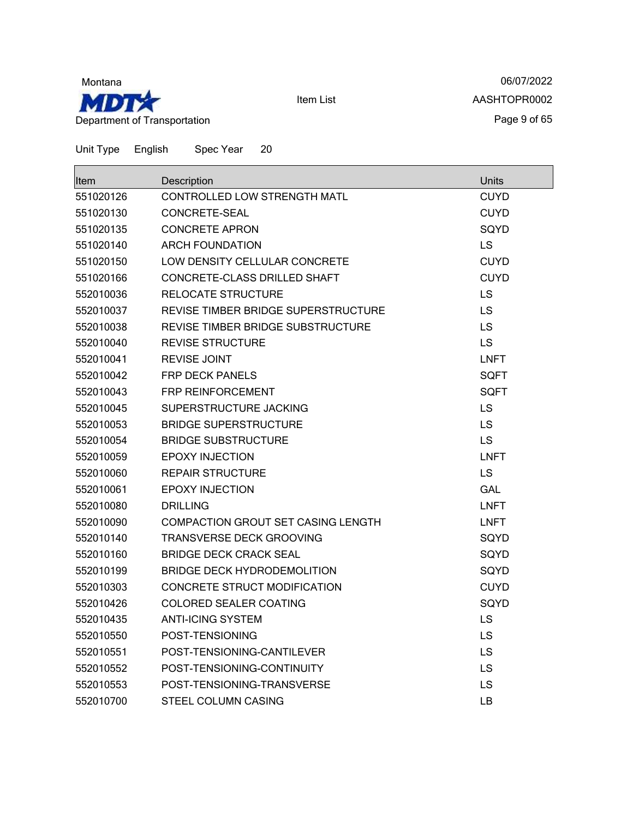

06/07/2022 AASHTOPR0002 Page 9 of 65

| <b>Item</b> | Description                         | Units       |
|-------------|-------------------------------------|-------------|
| 551020126   | CONTROLLED LOW STRENGTH MATL        | <b>CUYD</b> |
| 551020130   | CONCRETE-SEAL                       | <b>CUYD</b> |
| 551020135   | <b>CONCRETE APRON</b>               | SQYD        |
| 551020140   | <b>ARCH FOUNDATION</b>              | <b>LS</b>   |
| 551020150   | LOW DENSITY CELLULAR CONCRETE       | <b>CUYD</b> |
| 551020166   | CONCRETE-CLASS DRILLED SHAFT        | <b>CUYD</b> |
| 552010036   | RELOCATE STRUCTURE                  | LS.         |
| 552010037   | REVISE TIMBER BRIDGE SUPERSTRUCTURE | <b>LS</b>   |
| 552010038   | REVISE TIMBER BRIDGE SUBSTRUCTURE   | <b>LS</b>   |
| 552010040   | <b>REVISE STRUCTURE</b>             | LS          |
| 552010041   | <b>REVISE JOINT</b>                 | <b>LNFT</b> |
| 552010042   | <b>FRP DECK PANELS</b>              | <b>SQFT</b> |
| 552010043   | <b>FRP REINFORCEMENT</b>            | <b>SQFT</b> |
| 552010045   | SUPERSTRUCTURE JACKING              | <b>LS</b>   |
| 552010053   | <b>BRIDGE SUPERSTRUCTURE</b>        | <b>LS</b>   |
| 552010054   | <b>BRIDGE SUBSTRUCTURE</b>          | <b>LS</b>   |
| 552010059   | <b>EPOXY INJECTION</b>              | <b>LNFT</b> |
| 552010060   | <b>REPAIR STRUCTURE</b>             | <b>LS</b>   |
| 552010061   | <b>EPOXY INJECTION</b>              | GAL         |
| 552010080   | <b>DRILLING</b>                     | LNFT        |
| 552010090   | COMPACTION GROUT SET CASING LENGTH  | <b>LNFT</b> |
| 552010140   | <b>TRANSVERSE DECK GROOVING</b>     | SQYD        |
| 552010160   | <b>BRIDGE DECK CRACK SEAL</b>       | SQYD        |
| 552010199   | <b>BRIDGE DECK HYDRODEMOLITION</b>  | SQYD        |
| 552010303   | CONCRETE STRUCT MODIFICATION        | <b>CUYD</b> |
| 552010426   | <b>COLORED SEALER COATING</b>       | SQYD        |
| 552010435   | <b>ANTI-ICING SYSTEM</b>            | <b>LS</b>   |
| 552010550   | POST-TENSIONING                     | LS          |
| 552010551   | POST-TENSIONING-CANTILEVER          | LS.         |
| 552010552   | POST-TENSIONING-CONTINUITY          | <b>LS</b>   |
| 552010553   | POST-TENSIONING-TRANSVERSE          | LS          |
| 552010700   | STEEL COLUMN CASING                 | LВ          |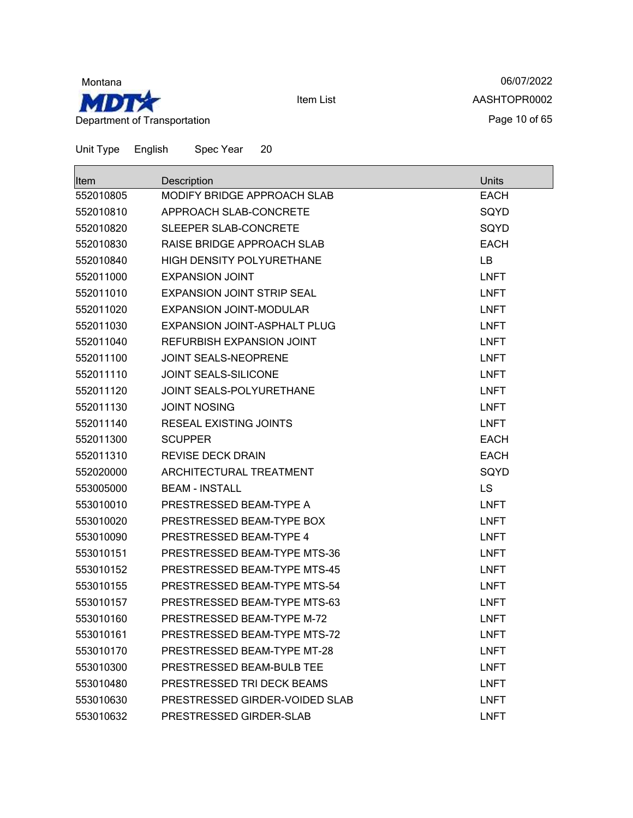

06/07/2022 AASHTOPR0002 Page 10 of 65

| <b>Item</b> | Description                         | Units       |
|-------------|-------------------------------------|-------------|
| 552010805   | MODIFY BRIDGE APPROACH SLAB         | <b>EACH</b> |
| 552010810   | APPROACH SLAB-CONCRETE              | SQYD        |
| 552010820   | SLEEPER SLAB-CONCRETE               | SQYD        |
| 552010830   | RAISE BRIDGE APPROACH SLAB          | <b>EACH</b> |
| 552010840   | <b>HIGH DENSITY POLYURETHANE</b>    | LB          |
| 552011000   | <b>EXPANSION JOINT</b>              | <b>LNFT</b> |
| 552011010   | <b>EXPANSION JOINT STRIP SEAL</b>   | <b>LNFT</b> |
| 552011020   | <b>EXPANSION JOINT-MODULAR</b>      | <b>LNFT</b> |
| 552011030   | <b>EXPANSION JOINT-ASPHALT PLUG</b> | <b>LNFT</b> |
| 552011040   | REFURBISH EXPANSION JOINT           | <b>LNFT</b> |
| 552011100   | <b>JOINT SEALS-NEOPRENE</b>         | <b>LNFT</b> |
| 552011110   | <b>JOINT SEALS-SILICONE</b>         | <b>LNFT</b> |
| 552011120   | JOINT SEALS-POLYURETHANE            | <b>LNFT</b> |
| 552011130   | <b>JOINT NOSING</b>                 | <b>LNFT</b> |
| 552011140   | <b>RESEAL EXISTING JOINTS</b>       | <b>LNFT</b> |
| 552011300   | <b>SCUPPER</b>                      | <b>EACH</b> |
| 552011310   | <b>REVISE DECK DRAIN</b>            | <b>EACH</b> |
| 552020000   | ARCHITECTURAL TREATMENT             | SQYD        |
| 553005000   | <b>BEAM - INSTALL</b>               | <b>LS</b>   |
| 553010010   | PRESTRESSED BEAM-TYPE A             | <b>LNFT</b> |
| 553010020   | PRESTRESSED BEAM-TYPE BOX           | <b>LNFT</b> |
| 553010090   | PRESTRESSED BEAM-TYPE 4             | <b>LNFT</b> |
| 553010151   | PRESTRESSED BEAM-TYPE MTS-36        | <b>LNFT</b> |
| 553010152   | PRESTRESSED BEAM-TYPE MTS-45        | <b>LNFT</b> |
| 553010155   | PRESTRESSED BEAM-TYPE MTS-54        | <b>LNFT</b> |
| 553010157   | PRESTRESSED BEAM-TYPE MTS-63        | <b>LNFT</b> |
| 553010160   | PRESTRESSED BEAM-TYPE M-72          | <b>LNFT</b> |
| 553010161   | PRESTRESSED BEAM-TYPE MTS-72        | <b>LNFT</b> |
| 553010170   | PRESTRESSED BEAM-TYPE MT-28         | <b>LNFT</b> |
| 553010300   | PRESTRESSED BEAM-BULB TEE           | <b>LNFT</b> |
| 553010480   | PRESTRESSED TRI DECK BEAMS          | <b>LNFT</b> |
| 553010630   | PRESTRESSED GIRDER-VOIDED SLAB      | <b>LNFT</b> |
| 553010632   | PRESTRESSED GIRDER-SLAB             | <b>LNFT</b> |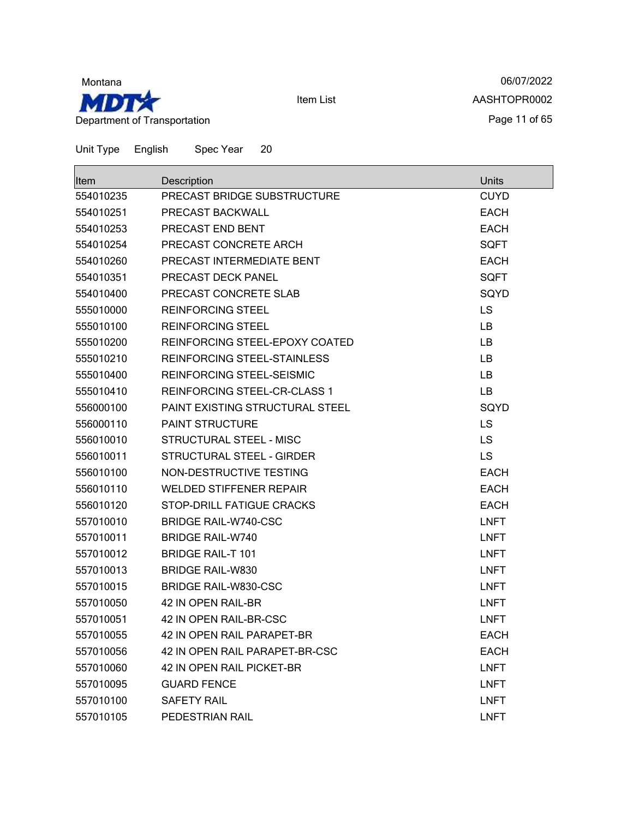

06/07/2022 AASHTOPR0002 Page 11 of 65

| <b>Item</b> | Description                         | Units       |
|-------------|-------------------------------------|-------------|
| 554010235   | PRECAST BRIDGE SUBSTRUCTURE         | <b>CUYD</b> |
| 554010251   | PRECAST BACKWALL                    | <b>EACH</b> |
| 554010253   | PRECAST END BENT                    | <b>EACH</b> |
| 554010254   | PRECAST CONCRETE ARCH               | <b>SQFT</b> |
| 554010260   | PRECAST INTERMEDIATE BENT           | <b>EACH</b> |
| 554010351   | PRECAST DECK PANEL                  | <b>SQFT</b> |
| 554010400   | PRECAST CONCRETE SLAB               | SQYD        |
| 555010000   | <b>REINFORCING STEEL</b>            | <b>LS</b>   |
| 555010100   | <b>REINFORCING STEEL</b>            | LB.         |
| 555010200   | REINFORCING STEEL-EPOXY COATED      | <b>LB</b>   |
| 555010210   | REINFORCING STEEL-STAINLESS         | LB.         |
| 555010400   | <b>REINFORCING STEEL-SEISMIC</b>    | LB          |
| 555010410   | <b>REINFORCING STEEL-CR-CLASS 1</b> | LB          |
| 556000100   | PAINT EXISTING STRUCTURAL STEEL     | SQYD        |
| 556000110   | <b>PAINT STRUCTURE</b>              | LS          |
| 556010010   | STRUCTURAL STEEL - MISC             | <b>LS</b>   |
| 556010011   | STRUCTURAL STEEL - GIRDER           | LS          |
| 556010100   | NON-DESTRUCTIVE TESTING             | <b>EACH</b> |
| 556010110   | <b>WELDED STIFFENER REPAIR</b>      | <b>EACH</b> |
| 556010120   | STOP-DRILL FATIGUE CRACKS           | <b>EACH</b> |
| 557010010   | <b>BRIDGE RAIL-W740-CSC</b>         | <b>LNFT</b> |
| 557010011   | <b>BRIDGE RAIL-W740</b>             | <b>LNFT</b> |
| 557010012   | <b>BRIDGE RAIL-T 101</b>            | <b>LNFT</b> |
| 557010013   | <b>BRIDGE RAIL-W830</b>             | <b>LNFT</b> |
| 557010015   | <b>BRIDGE RAIL-W830-CSC</b>         | <b>LNFT</b> |
| 557010050   | 42 IN OPEN RAIL-BR                  | <b>LNFT</b> |
| 557010051   | 42 IN OPEN RAIL-BR-CSC              | <b>LNFT</b> |
| 557010055   | 42 IN OPEN RAIL PARAPET-BR          | <b>EACH</b> |
| 557010056   | 42 IN OPEN RAIL PARAPET-BR-CSC      | <b>EACH</b> |
| 557010060   | 42 IN OPEN RAIL PICKET-BR           | <b>LNFT</b> |
| 557010095   | <b>GUARD FENCE</b>                  | <b>LNFT</b> |
| 557010100   | <b>SAFETY RAIL</b>                  | <b>LNFT</b> |
| 557010105   | PEDESTRIAN RAIL                     | <b>LNFT</b> |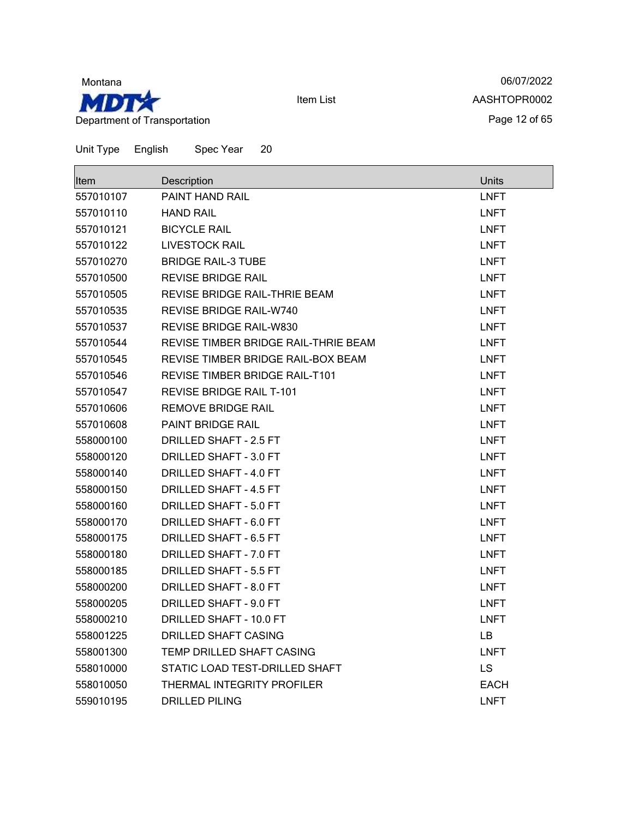

06/07/2022 AASHTOPR0002 Page 12 of 65

| <b>Item</b> | Description                          | <b>Units</b> |
|-------------|--------------------------------------|--------------|
| 557010107   | <b>PAINT HAND RAIL</b>               | <b>LNFT</b>  |
| 557010110   | <b>HAND RAIL</b>                     | <b>LNFT</b>  |
| 557010121   | <b>BICYCLE RAIL</b>                  | <b>LNFT</b>  |
| 557010122   | <b>LIVESTOCK RAIL</b>                | <b>LNFT</b>  |
| 557010270   | <b>BRIDGE RAIL-3 TUBE</b>            | <b>LNFT</b>  |
| 557010500   | <b>REVISE BRIDGE RAIL</b>            | <b>LNFT</b>  |
| 557010505   | REVISE BRIDGE RAIL-THRIE BEAM        | <b>LNFT</b>  |
| 557010535   | REVISE BRIDGE RAIL-W740              | <b>LNFT</b>  |
| 557010537   | <b>REVISE BRIDGE RAIL-W830</b>       | <b>LNFT</b>  |
| 557010544   | REVISE TIMBER BRIDGE RAIL-THRIE BEAM | <b>LNFT</b>  |
| 557010545   | REVISE TIMBER BRIDGE RAIL-BOX BEAM   | <b>LNFT</b>  |
| 557010546   | REVISE TIMBER BRIDGE RAIL-T101       | <b>LNFT</b>  |
| 557010547   | <b>REVISE BRIDGE RAIL T-101</b>      | LNFT         |
| 557010606   | <b>REMOVE BRIDGE RAIL</b>            | <b>LNFT</b>  |
| 557010608   | <b>PAINT BRIDGE RAIL</b>             | <b>LNFT</b>  |
| 558000100   | DRILLED SHAFT - 2.5 FT               | <b>LNFT</b>  |
| 558000120   | DRILLED SHAFT - 3.0 FT               | <b>LNFT</b>  |
| 558000140   | DRILLED SHAFT - 4.0 FT               | <b>LNFT</b>  |
| 558000150   | <b>DRILLED SHAFT - 4.5 FT</b>        | <b>LNFT</b>  |
| 558000160   | DRILLED SHAFT - 5.0 FT               | <b>LNFT</b>  |
| 558000170   | DRILLED SHAFT - 6.0 FT               | <b>LNFT</b>  |
| 558000175   | DRILLED SHAFT - 6.5 FT               | <b>LNFT</b>  |
| 558000180   | DRILLED SHAFT - 7.0 FT               | <b>LNFT</b>  |
| 558000185   | DRILLED SHAFT - 5.5 FT               | <b>LNFT</b>  |
| 558000200   | DRILLED SHAFT - 8.0 FT               | <b>LNFT</b>  |
| 558000205   | DRILLED SHAFT - 9.0 FT               | <b>LNFT</b>  |
| 558000210   | DRILLED SHAFT - 10.0 FT              | <b>LNFT</b>  |
| 558001225   | <b>DRILLED SHAFT CASING</b>          | <b>LB</b>    |
| 558001300   | TEMP DRILLED SHAFT CASING            | <b>LNFT</b>  |
| 558010000   | STATIC LOAD TEST-DRILLED SHAFT       | <b>LS</b>    |
| 558010050   | THERMAL INTEGRITY PROFILER           | <b>EACH</b>  |
| 559010195   | <b>DRILLED PILING</b>                | LNFT         |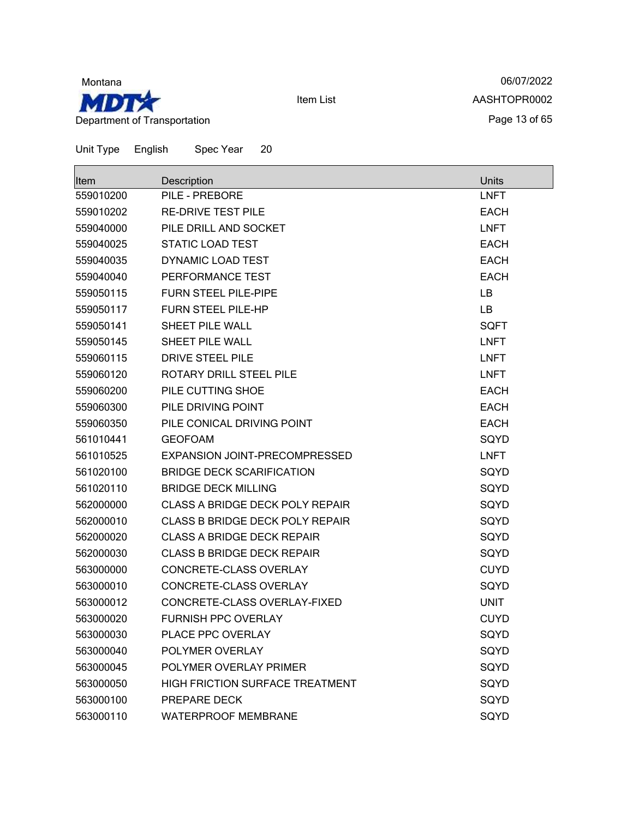

06/07/2022 AASHTOPR0002 Page 13 of 65

| lltem     | Description                            | Units       |
|-----------|----------------------------------------|-------------|
| 559010200 | PILE - PREBORE                         | <b>LNFT</b> |
| 559010202 | <b>RE-DRIVE TEST PILE</b>              | <b>EACH</b> |
| 559040000 | PILE DRILL AND SOCKET                  | <b>LNFT</b> |
| 559040025 | <b>STATIC LOAD TEST</b>                | <b>EACH</b> |
| 559040035 | DYNAMIC LOAD TEST                      | <b>EACH</b> |
| 559040040 | PERFORMANCE TEST                       | <b>EACH</b> |
| 559050115 | <b>FURN STEEL PILE-PIPE</b>            | LB          |
| 559050117 | <b>FURN STEEL PILE-HP</b>              | LB          |
| 559050141 | <b>SHEET PILE WALL</b>                 | <b>SQFT</b> |
| 559050145 | <b>SHEET PILE WALL</b>                 | <b>LNFT</b> |
| 559060115 | DRIVE STEEL PILE                       | <b>LNFT</b> |
| 559060120 | ROTARY DRILL STEEL PILE                | <b>LNFT</b> |
| 559060200 | PILE CUTTING SHOE                      | <b>EACH</b> |
| 559060300 | PILE DRIVING POINT                     | <b>EACH</b> |
| 559060350 | PILE CONICAL DRIVING POINT             | <b>EACH</b> |
| 561010441 | <b>GEOFOAM</b>                         | SQYD        |
| 561010525 | EXPANSION JOINT-PRECOMPRESSED          | <b>LNFT</b> |
| 561020100 | <b>BRIDGE DECK SCARIFICATION</b>       | SQYD        |
| 561020110 | <b>BRIDGE DECK MILLING</b>             | SQYD        |
| 562000000 | <b>CLASS A BRIDGE DECK POLY REPAIR</b> | SQYD        |
| 562000010 | <b>CLASS B BRIDGE DECK POLY REPAIR</b> | SQYD        |
| 562000020 | <b>CLASS A BRIDGE DECK REPAIR</b>      | SQYD        |
| 562000030 | <b>CLASS B BRIDGE DECK REPAIR</b>      | SQYD        |
| 563000000 | CONCRETE-CLASS OVERLAY                 | <b>CUYD</b> |
| 563000010 | CONCRETE-CLASS OVERLAY                 | SQYD        |
| 563000012 | CONCRETE-CLASS OVERLAY-FIXED           | <b>UNIT</b> |
| 563000020 | <b>FURNISH PPC OVERLAY</b>             | <b>CUYD</b> |
| 563000030 | PLACE PPC OVERLAY                      | SQYD        |
| 563000040 | POLYMER OVERLAY                        | SQYD        |
| 563000045 | POLYMER OVERLAY PRIMER                 | SQYD        |
| 563000050 | <b>HIGH FRICTION SURFACE TREATMENT</b> | SQYD        |
| 563000100 | PREPARE DECK                           | SQYD        |
| 563000110 | <b>WATERPROOF MEMBRANE</b>             | SQYD        |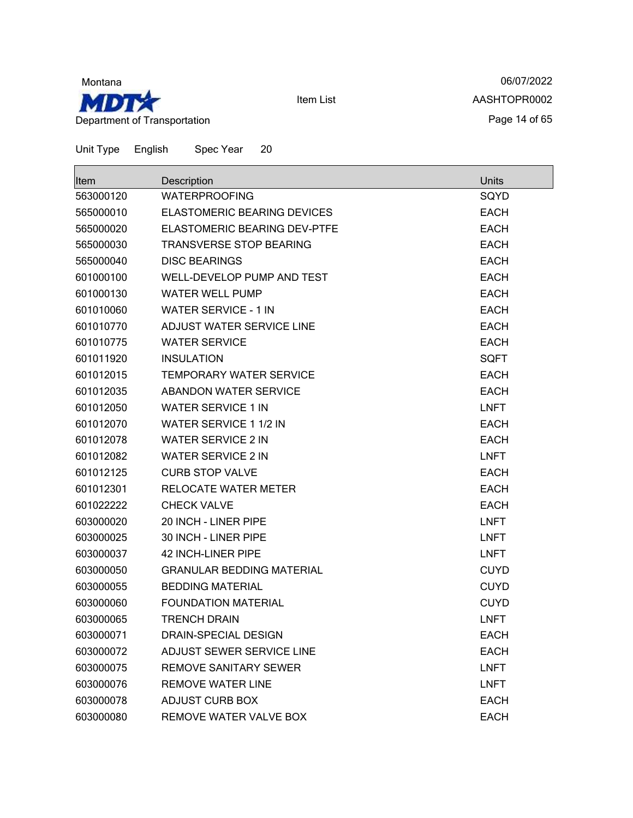

06/07/2022 AASHTOPR0002 Page 14 of 65

Unit Type English Spec Year 20

| lltem     | Description                         | Units       |
|-----------|-------------------------------------|-------------|
| 563000120 | <b>WATERPROOFING</b>                | SQYD        |
| 565000010 | <b>ELASTOMERIC BEARING DEVICES</b>  | <b>EACH</b> |
| 565000020 | <b>ELASTOMERIC BEARING DEV-PTFE</b> | <b>EACH</b> |
| 565000030 | <b>TRANSVERSE STOP BEARING</b>      | <b>EACH</b> |
| 565000040 | <b>DISC BEARINGS</b>                | <b>EACH</b> |
| 601000100 | WELL-DEVELOP PUMP AND TEST          | <b>EACH</b> |
| 601000130 | <b>WATER WELL PUMP</b>              | <b>EACH</b> |
| 601010060 | <b>WATER SERVICE - 1 IN</b>         | <b>EACH</b> |
| 601010770 | ADJUST WATER SERVICE LINE           | <b>EACH</b> |
| 601010775 | <b>WATER SERVICE</b>                | <b>EACH</b> |
| 601011920 | <b>INSULATION</b>                   | <b>SQFT</b> |
| 601012015 | <b>TEMPORARY WATER SERVICE</b>      | <b>EACH</b> |
| 601012035 | ABANDON WATER SERVICE               | <b>EACH</b> |
| 601012050 | <b>WATER SERVICE 1 IN</b>           | <b>LNFT</b> |
| 601012070 | WATER SERVICE 1 1/2 IN              | <b>EACH</b> |
| 601012078 | <b>WATER SERVICE 2 IN</b>           | <b>EACH</b> |
| 601012082 | <b>WATER SERVICE 2 IN</b>           | <b>LNFT</b> |
| 601012125 | <b>CURB STOP VALVE</b>              | <b>EACH</b> |
| 601012301 | RELOCATE WATER METER                | <b>EACH</b> |
| 601022222 | <b>CHECK VALVE</b>                  | <b>EACH</b> |
| 603000020 | 20 INCH - LINER PIPE                | <b>LNFT</b> |
| 603000025 | 30 INCH - LINER PIPE                | <b>LNFT</b> |
| 603000037 | 42 INCH-LINER PIPE                  | <b>LNFT</b> |
| 603000050 | <b>GRANULAR BEDDING MATERIAL</b>    | <b>CUYD</b> |
| 603000055 | <b>BEDDING MATERIAL</b>             | <b>CUYD</b> |
| 603000060 | <b>FOUNDATION MATERIAL</b>          | <b>CUYD</b> |
| 603000065 | <b>TRENCH DRAIN</b>                 | <b>LNFT</b> |
| 603000071 | <b>DRAIN-SPECIAL DESIGN</b>         | <b>EACH</b> |
| 603000072 | ADJUST SEWER SERVICE LINE           | <b>EACH</b> |
| 603000075 | <b>REMOVE SANITARY SEWER</b>        | <b>LNFT</b> |
| 603000076 | <b>REMOVE WATER LINE</b>            | <b>LNFT</b> |
| 603000078 | <b>ADJUST CURB BOX</b>              | <b>EACH</b> |
| 603000080 | REMOVE WATER VALVE BOX              | <b>EACH</b> |

Item List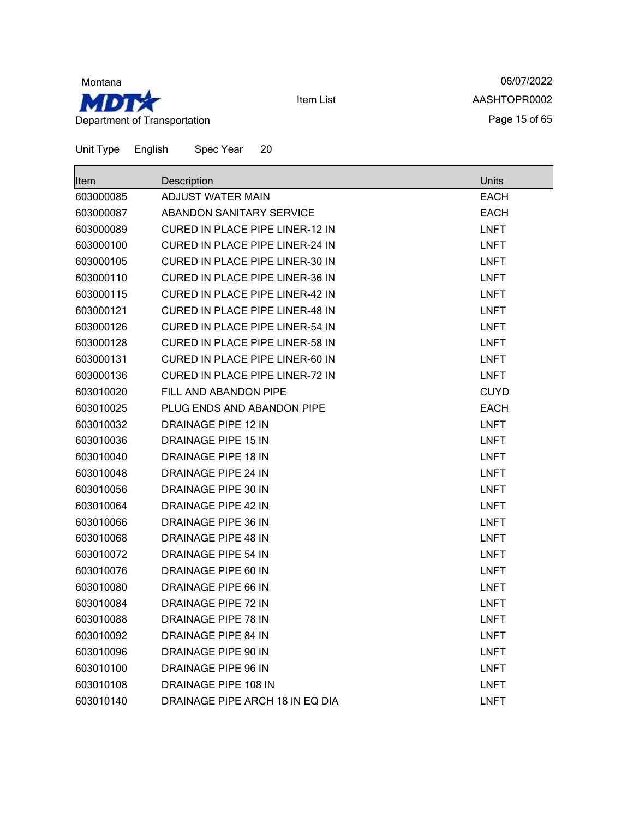

06/07/2022 AASHTOPR0002 Page 15 of 65

| <b>Item</b> | Description                            | Units       |
|-------------|----------------------------------------|-------------|
| 603000085   | ADJUST WATER MAIN                      | <b>EACH</b> |
| 603000087   | <b>ABANDON SANITARY SERVICE</b>        | <b>EACH</b> |
| 603000089   | CURED IN PLACE PIPE LINER-12 IN        | <b>LNFT</b> |
| 603000100   | <b>CURED IN PLACE PIPE LINER-24 IN</b> | <b>LNFT</b> |
| 603000105   | <b>CURED IN PLACE PIPE LINER-30 IN</b> | <b>LNFT</b> |
| 603000110   | CURED IN PLACE PIPE LINER-36 IN        | <b>LNFT</b> |
| 603000115   | <b>CURED IN PLACE PIPE LINER-42 IN</b> | <b>LNFT</b> |
| 603000121   | CURED IN PLACE PIPE LINER-48 IN        | <b>LNFT</b> |
| 603000126   | CURED IN PLACE PIPE LINER-54 IN        | <b>LNFT</b> |
| 603000128   | CURED IN PLACE PIPE LINER-58 IN        | <b>LNFT</b> |
| 603000131   | CURED IN PLACE PIPE LINER-60 IN        | <b>LNFT</b> |
| 603000136   | CURED IN PLACE PIPE LINER-72 IN        | <b>LNFT</b> |
| 603010020   | FILL AND ABANDON PIPE                  | <b>CUYD</b> |
| 603010025   | PLUG ENDS AND ABANDON PIPE             | <b>EACH</b> |
| 603010032   | <b>DRAINAGE PIPE 12 IN</b>             | <b>LNFT</b> |
| 603010036   | DRAINAGE PIPE 15 IN                    | <b>LNFT</b> |
| 603010040   | DRAINAGE PIPE 18 IN                    | <b>LNFT</b> |
| 603010048   | DRAINAGE PIPE 24 IN                    | LNFT        |
| 603010056   | DRAINAGE PIPE 30 IN                    | <b>LNFT</b> |
| 603010064   | DRAINAGE PIPE 42 IN                    | <b>LNFT</b> |
| 603010066   | DRAINAGE PIPE 36 IN                    | <b>LNFT</b> |
| 603010068   | DRAINAGE PIPE 48 IN                    | LNFT        |
| 603010072   | DRAINAGE PIPE 54 IN                    | <b>LNFT</b> |
| 603010076   | DRAINAGE PIPE 60 IN                    | <b>LNFT</b> |
| 603010080   | DRAINAGE PIPE 66 IN                    | <b>LNFT</b> |
| 603010084   | DRAINAGE PIPE 72 IN                    | <b>LNFT</b> |
| 603010088   | DRAINAGE PIPE 78 IN                    | <b>LNFT</b> |
| 603010092   | DRAINAGE PIPE 84 IN                    | LNFT        |
| 603010096   | DRAINAGE PIPE 90 IN                    | <b>LNFT</b> |
| 603010100   | DRAINAGE PIPE 96 IN                    | <b>LNFT</b> |
| 603010108   | DRAINAGE PIPE 108 IN                   | <b>LNFT</b> |
| 603010140   | DRAINAGE PIPE ARCH 18 IN EQ DIA        | <b>LNFT</b> |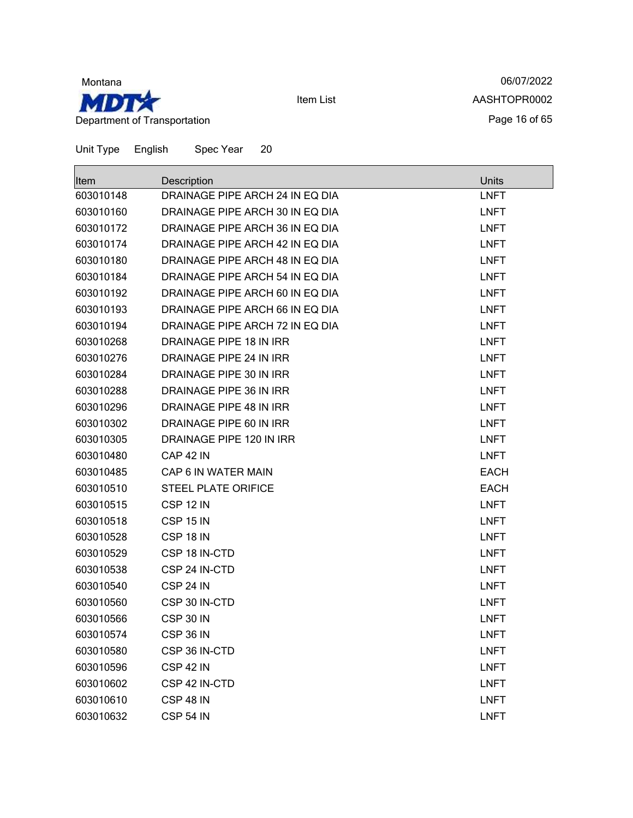

06/07/2022 AASHTOPR0002 Page 16 of 65

| Unit Type English | Spec Year | -20 |
|-------------------|-----------|-----|

| Item      | Description                     | <b>Units</b> |
|-----------|---------------------------------|--------------|
| 603010148 | DRAINAGE PIPE ARCH 24 IN EQ DIA | <b>LNFT</b>  |
| 603010160 | DRAINAGE PIPE ARCH 30 IN EQ DIA | <b>LNFT</b>  |
| 603010172 | DRAINAGE PIPE ARCH 36 IN EQ DIA | <b>LNFT</b>  |
| 603010174 | DRAINAGE PIPE ARCH 42 IN EQ DIA | <b>LNFT</b>  |
| 603010180 | DRAINAGE PIPE ARCH 48 IN EQ DIA | <b>LNFT</b>  |
| 603010184 | DRAINAGE PIPE ARCH 54 IN EQ DIA | <b>LNFT</b>  |
| 603010192 | DRAINAGE PIPE ARCH 60 IN EQ DIA | <b>LNFT</b>  |
| 603010193 | DRAINAGE PIPE ARCH 66 IN EQ DIA | <b>LNFT</b>  |
| 603010194 | DRAINAGE PIPE ARCH 72 IN EQ DIA | <b>LNFT</b>  |
| 603010268 | DRAINAGE PIPE 18 IN IRR         | <b>LNFT</b>  |
| 603010276 | DRAINAGE PIPE 24 IN IRR         | <b>LNFT</b>  |
| 603010284 | DRAINAGE PIPE 30 IN IRR         | <b>LNFT</b>  |
| 603010288 | DRAINAGE PIPE 36 IN IRR         | <b>LNFT</b>  |
| 603010296 | DRAINAGE PIPE 48 IN IRR         | <b>LNFT</b>  |
| 603010302 | DRAINAGE PIPE 60 IN IRR         | <b>LNFT</b>  |
| 603010305 | DRAINAGE PIPE 120 IN IRR        | <b>LNFT</b>  |
| 603010480 | <b>CAP 42 IN</b>                | <b>LNFT</b>  |
| 603010485 | CAP 6 IN WATER MAIN             | <b>EACH</b>  |
| 603010510 | <b>STEEL PLATE ORIFICE</b>      | <b>EACH</b>  |
| 603010515 | CSP 12 IN                       | <b>LNFT</b>  |
| 603010518 | <b>CSP 15 IN</b>                | <b>LNFT</b>  |
| 603010528 | CSP 18 IN                       | <b>LNFT</b>  |
| 603010529 | CSP 18 IN-CTD                   | <b>LNFT</b>  |
| 603010538 | CSP 24 IN-CTD                   | <b>LNFT</b>  |
| 603010540 | CSP 24 IN                       | <b>LNFT</b>  |
| 603010560 | CSP 30 IN-CTD                   | <b>LNFT</b>  |
| 603010566 | CSP 30 IN                       | <b>LNFT</b>  |
| 603010574 | CSP 36 IN                       | <b>LNFT</b>  |
| 603010580 | CSP 36 IN-CTD                   | <b>LNFT</b>  |
| 603010596 | CSP 42 IN                       | <b>LNFT</b>  |
| 603010602 | CSP 42 IN-CTD                   | <b>LNFT</b>  |
| 603010610 | CSP 48 IN                       | <b>LNFT</b>  |
| 603010632 | <b>CSP 54 IN</b>                | <b>LNFT</b>  |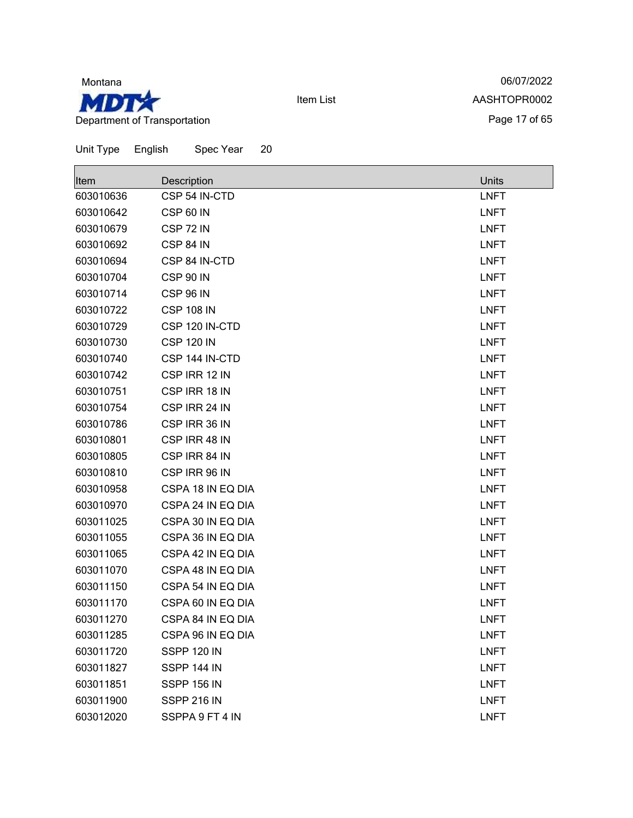

06/07/2022 AASHTOPR0002 Page 17 of 65

| <b>Item</b> | Description        | Units       |
|-------------|--------------------|-------------|
| 603010636   | CSP 54 IN-CTD      | <b>LNFT</b> |
| 603010642   | <b>CSP 60 IN</b>   | <b>LNFT</b> |
| 603010679   | CSP 72 IN          | <b>LNFT</b> |
| 603010692   | CSP 84 IN          | <b>LNFT</b> |
| 603010694   | CSP 84 IN-CTD      | <b>LNFT</b> |
| 603010704   | <b>CSP 90 IN</b>   | <b>LNFT</b> |
| 603010714   | <b>CSP 96 IN</b>   | <b>LNFT</b> |
| 603010722   | <b>CSP 108 IN</b>  | <b>LNFT</b> |
| 603010729   | CSP 120 IN-CTD     | <b>LNFT</b> |
| 603010730   | <b>CSP 120 IN</b>  | <b>LNFT</b> |
| 603010740   | CSP 144 IN-CTD     | <b>LNFT</b> |
| 603010742   | CSP IRR 12 IN      | <b>LNFT</b> |
| 603010751   | CSP IRR 18 IN      | <b>LNFT</b> |
| 603010754   | CSP IRR 24 IN      | <b>LNFT</b> |
| 603010786   | CSP IRR 36 IN      | <b>LNFT</b> |
| 603010801   | CSP IRR 48 IN      | <b>LNFT</b> |
| 603010805   | CSP IRR 84 IN      | <b>LNFT</b> |
| 603010810   | CSP IRR 96 IN      | <b>LNFT</b> |
| 603010958   | CSPA 18 IN EQ DIA  | <b>LNFT</b> |
| 603010970   | CSPA 24 IN EQ DIA  | <b>LNFT</b> |
| 603011025   | CSPA 30 IN EQ DIA  | <b>LNFT</b> |
| 603011055   | CSPA 36 IN EQ DIA  | <b>LNFT</b> |
| 603011065   | CSPA 42 IN EQ DIA  | <b>LNFT</b> |
| 603011070   | CSPA 48 IN EQ DIA  | <b>LNFT</b> |
| 603011150   | CSPA 54 IN EQ DIA  | <b>LNFT</b> |
| 603011170   | CSPA 60 IN EQ DIA  | <b>LNFT</b> |
| 603011270   | CSPA 84 IN EQ DIA  | <b>LNFT</b> |
| 603011285   | CSPA 96 IN EQ DIA  | <b>LNFT</b> |
| 603011720   | SSPP 120 IN        | <b>LNFT</b> |
| 603011827   | SSPP 144 IN        | <b>LNFT</b> |
| 603011851   | <b>SSPP 156 IN</b> | <b>LNFT</b> |
| 603011900   | SSPP 216 IN        | <b>LNFT</b> |
| 603012020   | SSPPA 9 FT 4 IN    | <b>LNFT</b> |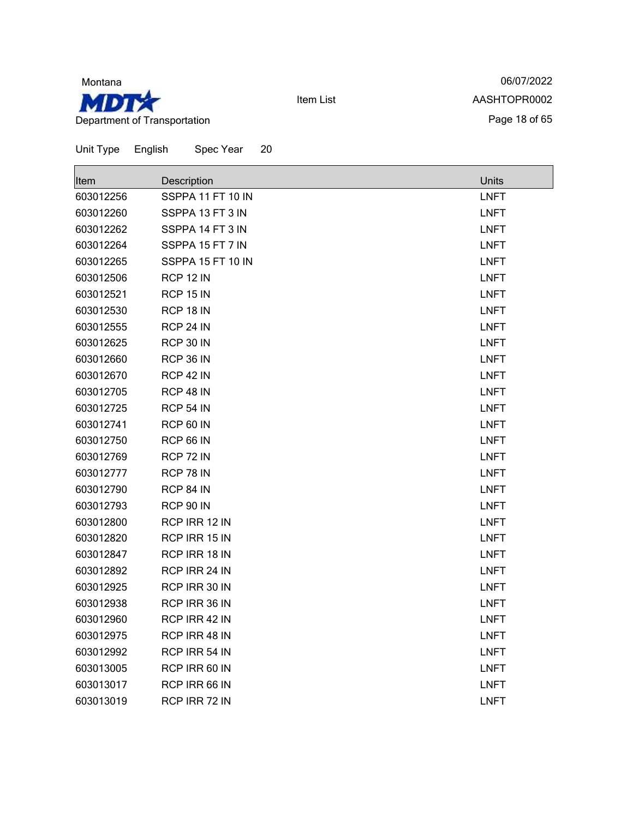

г

Item List

06/07/2022 AASHTOPR0002 Page 18 of 65

 $\overline{\phantom{a}}$ 

| Unit Type | English | Spec Year | 20 |
|-----------|---------|-----------|----|
|           |         |           |    |

| Item      | Description       | <b>Units</b> |
|-----------|-------------------|--------------|
| 603012256 | SSPPA 11 FT 10 IN | <b>LNFT</b>  |
| 603012260 | SSPPA 13 FT 3 IN  | <b>LNFT</b>  |
| 603012262 | SSPPA 14 FT 3 IN  | <b>LNFT</b>  |
| 603012264 | SSPPA 15 FT 7 IN  | <b>LNFT</b>  |
| 603012265 | SSPPA 15 FT 10 IN | <b>LNFT</b>  |
| 603012506 | RCP 12 IN         | <b>LNFT</b>  |
| 603012521 | RCP 15 IN         | <b>LNFT</b>  |
| 603012530 | RCP 18 IN         | <b>LNFT</b>  |
| 603012555 | RCP 24 IN         | <b>LNFT</b>  |
| 603012625 | RCP 30 IN         | <b>LNFT</b>  |
| 603012660 | RCP 36 IN         | <b>LNFT</b>  |
| 603012670 | RCP 42 IN         | <b>LNFT</b>  |
| 603012705 | RCP 48 IN         | <b>LNFT</b>  |
| 603012725 | <b>RCP 54 IN</b>  | <b>LNFT</b>  |
| 603012741 | RCP 60 IN         | <b>LNFT</b>  |
| 603012750 | RCP 66 IN         | <b>LNFT</b>  |
| 603012769 | RCP 72 IN         | <b>LNFT</b>  |
| 603012777 | RCP 78 IN         | <b>LNFT</b>  |
| 603012790 | RCP 84 IN         | <b>LNFT</b>  |
| 603012793 | <b>RCP 90 IN</b>  | <b>LNFT</b>  |
| 603012800 | RCP IRR 12 IN     | <b>LNFT</b>  |
| 603012820 | RCP IRR 15 IN     | <b>LNFT</b>  |
| 603012847 | RCP IRR 18 IN     | <b>LNFT</b>  |
| 603012892 | RCP IRR 24 IN     | <b>LNFT</b>  |
| 603012925 | RCP IRR 30 IN     | <b>LNFT</b>  |
| 603012938 | RCP IRR 36 IN     | <b>LNFT</b>  |
| 603012960 | RCP IRR 42 IN     | <b>LNFT</b>  |
| 603012975 | RCP IRR 48 IN     | <b>LNFT</b>  |
| 603012992 | RCP IRR 54 IN     | <b>LNFT</b>  |
| 603013005 | RCP IRR 60 IN     | <b>LNFT</b>  |
| 603013017 | RCP IRR 66 IN     | <b>LNFT</b>  |
| 603013019 | RCP IRR 72 IN     | LNFT         |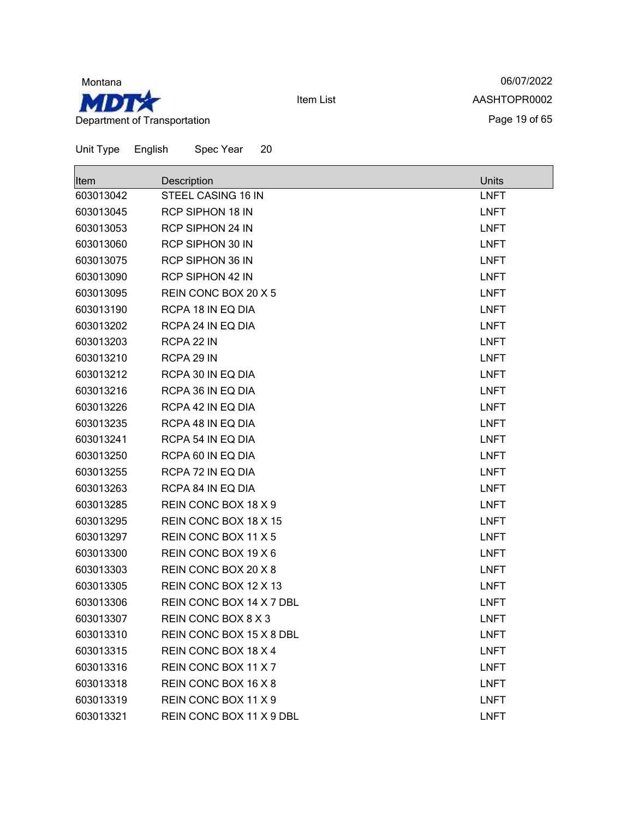

06/07/2022 AASHTOPR0002 Page 19 of 65

| <b>Item</b> | Description              | Units       |
|-------------|--------------------------|-------------|
| 603013042   | STEEL CASING 16 IN       | <b>LNFT</b> |
| 603013045   | <b>RCP SIPHON 18 IN</b>  | <b>LNFT</b> |
| 603013053   | <b>RCP SIPHON 24 IN</b>  | <b>LNFT</b> |
| 603013060   | <b>RCP SIPHON 30 IN</b>  | <b>LNFT</b> |
| 603013075   | <b>RCP SIPHON 36 IN</b>  | <b>LNFT</b> |
| 603013090   | <b>RCP SIPHON 42 IN</b>  | <b>LNFT</b> |
| 603013095   | REIN CONC BOX 20 X 5     | <b>LNFT</b> |
| 603013190   | RCPA 18 IN EQ DIA        | <b>LNFT</b> |
| 603013202   | RCPA 24 IN EQ DIA        | <b>LNFT</b> |
| 603013203   | RCPA 22 IN               | <b>LNFT</b> |
| 603013210   | RCPA 29 IN               | <b>LNFT</b> |
| 603013212   | RCPA 30 IN EQ DIA        | <b>LNFT</b> |
| 603013216   | RCPA 36 IN EQ DIA        | <b>LNFT</b> |
| 603013226   | RCPA 42 IN EQ DIA        | <b>LNFT</b> |
| 603013235   | RCPA 48 IN EQ DIA        | <b>LNFT</b> |
| 603013241   | RCPA 54 IN EQ DIA        | <b>LNFT</b> |
| 603013250   | RCPA 60 IN EQ DIA        | <b>LNFT</b> |
| 603013255   | RCPA 72 IN EQ DIA        | <b>LNFT</b> |
| 603013263   | RCPA 84 IN EQ DIA        | <b>LNFT</b> |
| 603013285   | REIN CONC BOX 18 X 9     | <b>LNFT</b> |
| 603013295   | REIN CONC BOX 18 X 15    | <b>LNFT</b> |
| 603013297   | REIN CONC BOX 11 X 5     | <b>LNFT</b> |
| 603013300   | REIN CONC BOX 19 X 6     | <b>LNFT</b> |
| 603013303   | REIN CONC BOX 20 X 8     | <b>LNFT</b> |
| 603013305   | REIN CONC BOX 12 X 13    | <b>LNFT</b> |
| 603013306   | REIN CONC BOX 14 X 7 DBL | <b>LNFT</b> |
| 603013307   | REIN CONC BOX 8 X 3      | <b>LNFT</b> |
| 603013310   | REIN CONC BOX 15 X 8 DBL | <b>LNFT</b> |
| 603013315   | REIN CONC BOX 18 X 4     | <b>LNFT</b> |
| 603013316   | REIN CONC BOX 11 X 7     | <b>LNFT</b> |
| 603013318   | REIN CONC BOX 16 X 8     | <b>LNFT</b> |
| 603013319   | REIN CONC BOX 11 X 9     | <b>LNFT</b> |
| 603013321   | REIN CONC BOX 11 X 9 DBL | <b>LNFT</b> |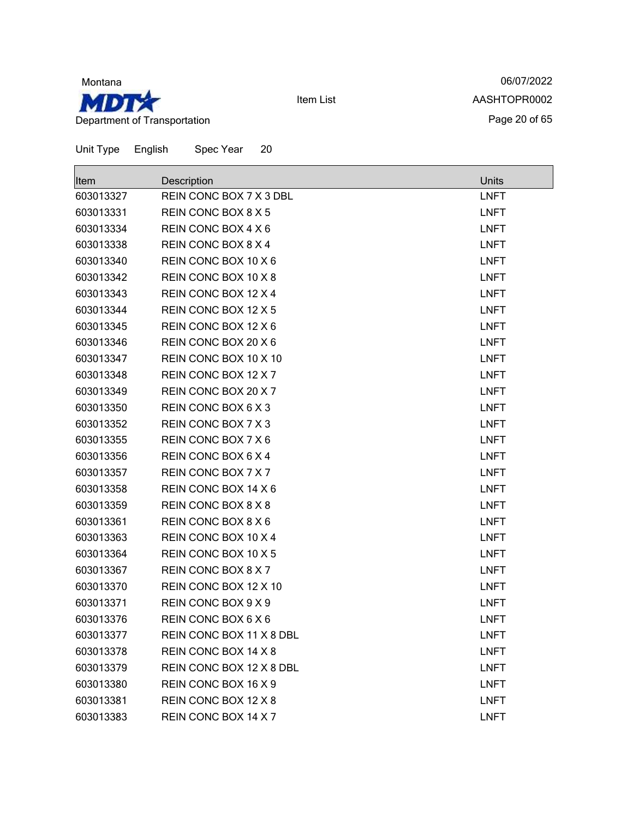

06/07/2022 AASHTOPR0002 Page 20 of 65

| Unit Type | English<br>Spec Year<br>20 |              |
|-----------|----------------------------|--------------|
| Item      | Description                | <b>Units</b> |
| 603013327 | REIN CONC BOX 7 X 3 DBL    | <b>LNFT</b>  |
| 603013331 | REIN CONC BOX 8 X 5        | <b>LNFT</b>  |
| 603013334 | REIN CONC BOX 4 X 6        | <b>LNFT</b>  |
| 603013338 | REIN CONC BOX 8 X 4        | <b>LNFT</b>  |
| 603013340 | REIN CONC BOX 10 X 6       | <b>LNFT</b>  |
| 603013342 | REIN CONC BOX 10 X 8       | <b>LNFT</b>  |
| 603013343 | REIN CONC BOX 12 X 4       | <b>LNFT</b>  |
| 603013344 | REIN CONC BOX 12 X 5       | <b>LNFT</b>  |
| 603013345 | REIN CONC BOX 12 X 6       | <b>LNFT</b>  |
| 603013346 | REIN CONC BOX 20 X 6       | <b>LNFT</b>  |
| 603013347 | REIN CONC BOX 10 X 10      | <b>LNFT</b>  |
| 603013348 | REIN CONC BOX 12 X 7       | <b>LNFT</b>  |
| 603013349 | REIN CONC BOX 20 X 7       | <b>LNFT</b>  |
| 603013350 | REIN CONC BOX 6 X 3        | <b>LNFT</b>  |
| 603013352 | REIN CONC BOX 7 X 3        | <b>LNFT</b>  |
| 603013355 | REIN CONC BOX 7 X 6        | <b>LNFT</b>  |
| 603013356 | REIN CONC BOX 6 X 4        | <b>LNFT</b>  |
| 603013357 | REIN CONC BOX 7 X 7        | <b>LNFT</b>  |
| 603013358 | REIN CONC BOX 14 X 6       | <b>LNFT</b>  |
| 603013359 | REIN CONC BOX 8 X 8        | <b>LNFT</b>  |
| 603013361 | REIN CONC BOX 8 X 6        | <b>LNFT</b>  |
| 603013363 | REIN CONC BOX 10 X 4       | <b>LNFT</b>  |
| 603013364 | REIN CONC BOX 10 X 5       | <b>LNFT</b>  |
| 603013367 | REIN CONC BOX 8 X 7        | <b>LNFT</b>  |
| 603013370 | REIN CONC BOX 12 X 10      | <b>LNFT</b>  |
| 603013371 | REIN CONC BOX 9 X 9        | <b>LNFT</b>  |
| 603013376 | REIN CONC BOX 6 X 6        | <b>LNFT</b>  |
| 603013377 | REIN CONC BOX 11 X 8 DBL   | <b>LNFT</b>  |
| 603013378 | REIN CONC BOX 14 X 8       | <b>LNFT</b>  |
| 603013379 | REIN CONC BOX 12 X 8 DBL   | <b>LNFT</b>  |
| 603013380 | REIN CONC BOX 16 X 9       | <b>LNFT</b>  |
| 603013381 | REIN CONC BOX 12 X 8       | <b>LNFT</b>  |

REIN CONC BOX 14 X 7 LNFT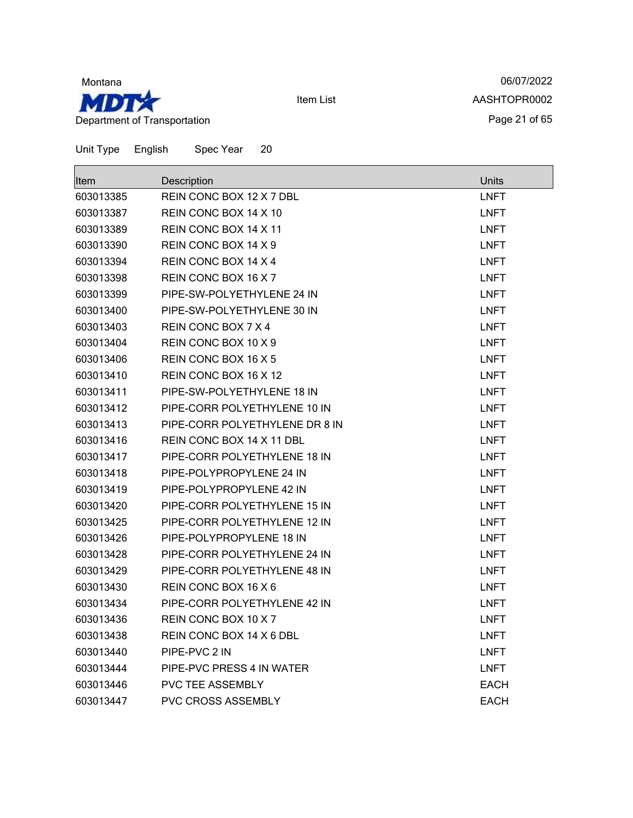

06/07/2022 AASHTOPR0002 Page 21 of 65

Unit Type English Spec Year 20  $\blacksquare$ 

| <b>Item</b> | Description                    | Units       |
|-------------|--------------------------------|-------------|
| 603013385   | REIN CONC BOX 12 X 7 DBL       | <b>LNFT</b> |
| 603013387   | REIN CONC BOX 14 X 10          | <b>LNFT</b> |
| 603013389   | REIN CONC BOX 14 X 11          | <b>LNFT</b> |
| 603013390   | REIN CONC BOX 14 X 9           | <b>LNFT</b> |
| 603013394   | REIN CONC BOX 14 X 4           | <b>LNFT</b> |
| 603013398   | REIN CONC BOX 16 X 7           | <b>LNFT</b> |
| 603013399   | PIPE-SW-POLYETHYLENE 24 IN     | <b>LNFT</b> |
| 603013400   | PIPE-SW-POLYETHYLENE 30 IN     | <b>LNFT</b> |
| 603013403   | REIN CONC BOX 7 X 4            | <b>LNFT</b> |
| 603013404   | REIN CONC BOX 10 X 9           | <b>LNFT</b> |
| 603013406   | REIN CONC BOX 16 X 5           | <b>LNFT</b> |
| 603013410   | REIN CONC BOX 16 X 12          | <b>LNFT</b> |
| 603013411   | PIPE-SW-POLYETHYLENE 18 IN     | <b>LNFT</b> |
| 603013412   | PIPE-CORR POLYETHYLENE 10 IN   | <b>LNFT</b> |
| 603013413   | PIPE-CORR POLYETHYLENE DR 8 IN | <b>LNFT</b> |
| 603013416   | REIN CONC BOX 14 X 11 DBL      | <b>LNFT</b> |
| 603013417   | PIPE-CORR POLYETHYLENE 18 IN   | <b>LNFT</b> |
| 603013418   | PIPE-POLYPROPYLENE 24 IN       | <b>LNFT</b> |
| 603013419   | PIPE-POLYPROPYLENE 42 IN       | <b>LNFT</b> |
| 603013420   | PIPE-CORR POLYETHYLENE 15 IN   | <b>LNFT</b> |
| 603013425   | PIPE-CORR POLYETHYLENE 12 IN   | <b>LNFT</b> |
| 603013426   | PIPE-POLYPROPYLENE 18 IN       | <b>LNFT</b> |
| 603013428   | PIPE-CORR POLYETHYLENE 24 IN   | <b>LNFT</b> |
| 603013429   | PIPE-CORR POLYETHYLENE 48 IN   | <b>LNFT</b> |
| 603013430   | REIN CONC BOX 16 X 6           | <b>LNFT</b> |
| 603013434   | PIPE-CORR POLYETHYLENE 42 IN   | <b>LNFT</b> |
| 603013436   | REIN CONC BOX 10 X 7           | <b>LNFT</b> |
| 603013438   | REIN CONC BOX 14 X 6 DBL       | <b>LNFT</b> |
| 603013440   | PIPE-PVC 2 IN                  | <b>LNFT</b> |
| 603013444   | PIPE-PVC PRESS 4 IN WATER      | <b>LNFT</b> |
| 603013446   | <b>PVC TEE ASSEMBLY</b>        | <b>EACH</b> |
| 603013447   | PVC CROSS ASSEMBLY             | <b>EACH</b> |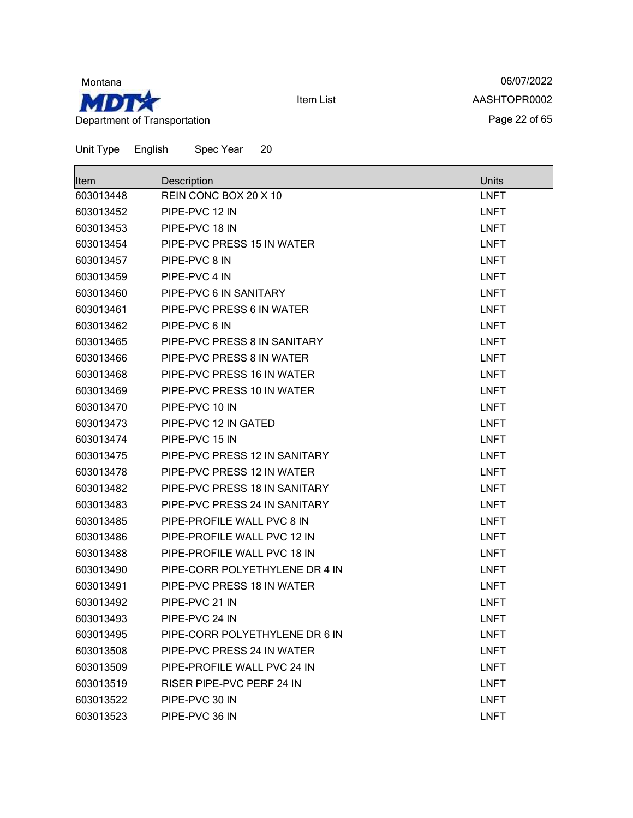

06/07/2022 AASHTOPR0002 Page 22 of 65

| <b>Item</b> | Description                      | Units       |
|-------------|----------------------------------|-------------|
| 603013448   | REIN CONC BOX 20 X 10            | <b>LNFT</b> |
| 603013452   | PIPE-PVC 12 IN                   | <b>LNFT</b> |
| 603013453   | PIPE-PVC 18 IN                   | <b>LNFT</b> |
| 603013454   | PIPE-PVC PRESS 15 IN WATER       | <b>LNFT</b> |
| 603013457   | PIPE-PVC 8 IN                    | <b>LNFT</b> |
| 603013459   | PIPE-PVC 4 IN                    | <b>LNFT</b> |
| 603013460   | PIPE-PVC 6 IN SANITARY           | <b>LNFT</b> |
| 603013461   | PIPE-PVC PRESS 6 IN WATER        | <b>LNFT</b> |
| 603013462   | PIPE-PVC 6 IN                    | <b>LNFT</b> |
| 603013465   | PIPE-PVC PRESS 8 IN SANITARY     | <b>LNFT</b> |
| 603013466   | PIPE-PVC PRESS 8 IN WATER        | <b>LNFT</b> |
| 603013468   | PIPE-PVC PRESS 16 IN WATER       | <b>LNFT</b> |
| 603013469   | PIPE-PVC PRESS 10 IN WATER       | <b>LNFT</b> |
| 603013470   | PIPE-PVC 10 IN                   | <b>LNFT</b> |
| 603013473   | PIPE-PVC 12 IN GATED             | <b>LNFT</b> |
| 603013474   | PIPE-PVC 15 IN                   | <b>LNFT</b> |
| 603013475   | PIPE-PVC PRESS 12 IN SANITARY    | <b>LNFT</b> |
| 603013478   | PIPE-PVC PRESS 12 IN WATER       | <b>LNFT</b> |
| 603013482   | PIPE-PVC PRESS 18 IN SANITARY    | <b>LNFT</b> |
| 603013483   | PIPE-PVC PRESS 24 IN SANITARY    | <b>LNFT</b> |
| 603013485   | PIPE-PROFILE WALL PVC 8 IN       | <b>LNFT</b> |
| 603013486   | PIPE-PROFILE WALL PVC 12 IN      | <b>LNFT</b> |
| 603013488   | PIPE-PROFILE WALL PVC 18 IN      | <b>LNFT</b> |
| 603013490   | PIPE-CORR POLYETHYLENE DR 4 IN   | <b>LNFT</b> |
| 603013491   | PIPE-PVC PRESS 18 IN WATER       | <b>LNFT</b> |
| 603013492   | PIPE-PVC 21 IN                   | <b>LNFT</b> |
| 603013493   | PIPE-PVC 24 IN                   | <b>LNFT</b> |
| 603013495   | PIPE-CORR POLYETHYLENE DR 6 IN   | <b>LNFT</b> |
| 603013508   | PIPE-PVC PRESS 24 IN WATER       | <b>LNFT</b> |
| 603013509   | PIPE-PROFILE WALL PVC 24 IN      | <b>LNFT</b> |
| 603013519   | <b>RISER PIPE-PVC PERF 24 IN</b> | <b>LNFT</b> |
| 603013522   | PIPE-PVC 30 IN                   | <b>LNFT</b> |
| 603013523   | PIPE-PVC 36 IN                   | <b>LNFT</b> |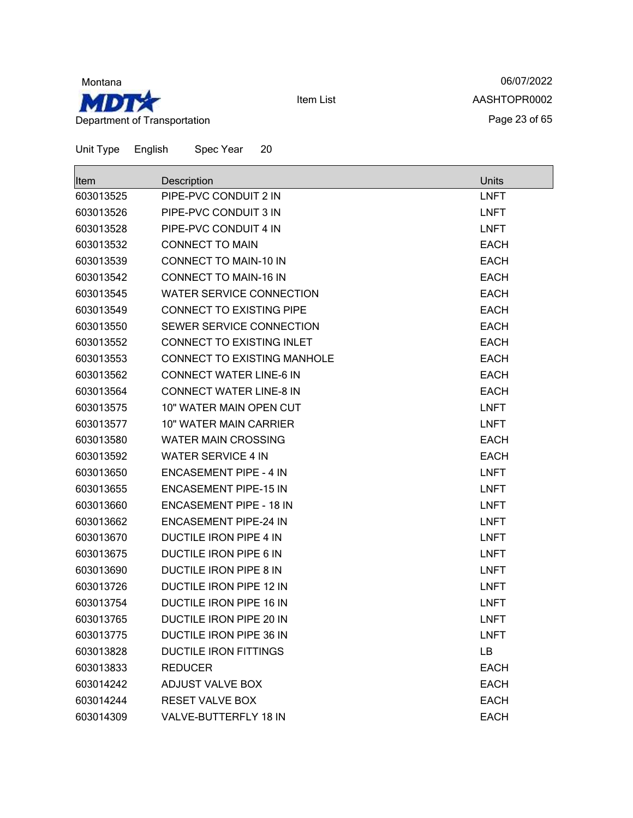

06/07/2022 AASHTOPR0002 Page 23 of 65

| Unit Type | English | Spec Year | 20 |
|-----------|---------|-----------|----|
|-----------|---------|-----------|----|

| ltem      | Description                     | Units       |
|-----------|---------------------------------|-------------|
| 603013525 | PIPE-PVC CONDUIT 2 IN           | <b>LNFT</b> |
| 603013526 | PIPE-PVC CONDUIT 3 IN           | <b>LNFT</b> |
| 603013528 | PIPE-PVC CONDUIT 4 IN           | <b>LNFT</b> |
| 603013532 | <b>CONNECT TO MAIN</b>          | <b>EACH</b> |
| 603013539 | <b>CONNECT TO MAIN-10 IN</b>    | <b>EACH</b> |
| 603013542 | <b>CONNECT TO MAIN-16 IN</b>    | <b>EACH</b> |
| 603013545 | <b>WATER SERVICE CONNECTION</b> | <b>EACH</b> |
| 603013549 | CONNECT TO EXISTING PIPE        | <b>EACH</b> |
| 603013550 | SEWER SERVICE CONNECTION        | <b>EACH</b> |
| 603013552 | CONNECT TO EXISTING INLET       | <b>EACH</b> |
| 603013553 | CONNECT TO EXISTING MANHOLE     | <b>EACH</b> |
| 603013562 | <b>CONNECT WATER LINE-6 IN</b>  | <b>EACH</b> |
| 603013564 | <b>CONNECT WATER LINE-8 IN</b>  | <b>EACH</b> |
| 603013575 | 10" WATER MAIN OPEN CUT         | <b>LNFT</b> |
| 603013577 | 10" WATER MAIN CARRIER          | <b>LNFT</b> |
| 603013580 | <b>WATER MAIN CROSSING</b>      | <b>EACH</b> |
| 603013592 | <b>WATER SERVICE 4 IN</b>       | <b>EACH</b> |
| 603013650 | <b>ENCASEMENT PIPE - 4 IN</b>   | <b>LNFT</b> |
| 603013655 | <b>ENCASEMENT PIPE-15 IN</b>    | <b>LNFT</b> |
| 603013660 | <b>ENCASEMENT PIPE - 18 IN</b>  | <b>LNFT</b> |
| 603013662 | <b>ENCASEMENT PIPE-24 IN</b>    | <b>LNFT</b> |
| 603013670 | DUCTILE IRON PIPE 4 IN          | <b>LNFT</b> |
| 603013675 | <b>DUCTILE IRON PIPE 6 IN</b>   | <b>LNFT</b> |
| 603013690 | <b>DUCTILE IRON PIPE 8 IN</b>   | <b>LNFT</b> |
| 603013726 | DUCTILE IRON PIPE 12 IN         | <b>LNFT</b> |
| 603013754 | DUCTILE IRON PIPE 16 IN         | <b>LNFT</b> |
| 603013765 | DUCTILE IRON PIPE 20 IN         | <b>LNFT</b> |
| 603013775 | <b>DUCTILE IRON PIPE 36 IN</b>  | <b>LNFT</b> |
| 603013828 | <b>DUCTILE IRON FITTINGS</b>    | LB          |
| 603013833 | <b>REDUCER</b>                  | <b>EACH</b> |
| 603014242 | <b>ADJUST VALVE BOX</b>         | <b>EACH</b> |
| 603014244 | <b>RESET VALVE BOX</b>          | <b>EACH</b> |
| 603014309 | VALVE-BUTTERFLY 18 IN           | <b>EACH</b> |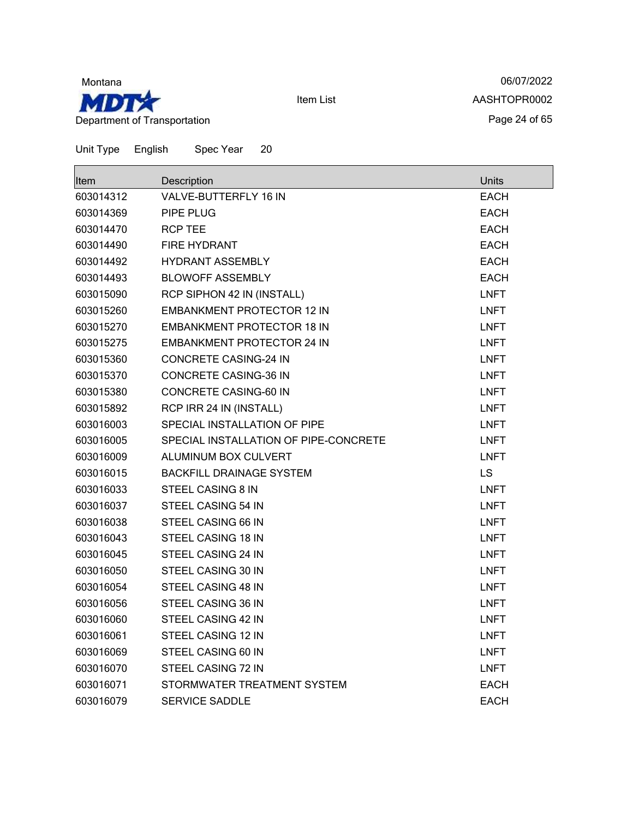

06/07/2022 AASHTOPR0002 Page 24 of 65

| Item      | Description                           | Units       |
|-----------|---------------------------------------|-------------|
| 603014312 | VALVE-BUTTERFLY 16 IN                 | <b>EACH</b> |
| 603014369 | PIPE PLUG                             | <b>EACH</b> |
| 603014470 | <b>RCP TEE</b>                        | <b>EACH</b> |
| 603014490 | FIRE HYDRANT                          | <b>EACH</b> |
| 603014492 | <b>HYDRANT ASSEMBLY</b>               | <b>EACH</b> |
| 603014493 | <b>BLOWOFF ASSEMBLY</b>               | <b>EACH</b> |
| 603015090 | RCP SIPHON 42 IN (INSTALL)            | <b>LNFT</b> |
| 603015260 | <b>EMBANKMENT PROTECTOR 12 IN</b>     | <b>LNFT</b> |
| 603015270 | <b>EMBANKMENT PROTECTOR 18 IN</b>     | <b>LNFT</b> |
| 603015275 | <b>EMBANKMENT PROTECTOR 24 IN</b>     | <b>LNFT</b> |
| 603015360 | <b>CONCRETE CASING-24 IN</b>          | <b>LNFT</b> |
| 603015370 | <b>CONCRETE CASING-36 IN</b>          | <b>LNFT</b> |
| 603015380 | CONCRETE CASING-60 IN                 | <b>LNFT</b> |
| 603015892 | RCP IRR 24 IN (INSTALL)               | <b>LNFT</b> |
| 603016003 | SPECIAL INSTALLATION OF PIPE          | <b>LNFT</b> |
| 603016005 | SPECIAL INSTALLATION OF PIPE-CONCRETE | <b>LNFT</b> |
| 603016009 | ALUMINUM BOX CULVERT                  | <b>LNFT</b> |
| 603016015 | <b>BACKFILL DRAINAGE SYSTEM</b>       | LS          |
| 603016033 | STEEL CASING 8 IN                     | <b>LNFT</b> |
| 603016037 | STEEL CASING 54 IN                    | <b>LNFT</b> |
| 603016038 | STEEL CASING 66 IN                    | <b>LNFT</b> |
| 603016043 | STEEL CASING 18 IN                    | <b>LNFT</b> |
| 603016045 | STEEL CASING 24 IN                    | <b>LNFT</b> |
| 603016050 | STEEL CASING 30 IN                    | <b>LNFT</b> |
| 603016054 | STEEL CASING 48 IN                    | <b>LNFT</b> |
| 603016056 | STEEL CASING 36 IN                    | <b>LNFT</b> |
| 603016060 | STEEL CASING 42 IN                    | <b>LNFT</b> |
| 603016061 | STEEL CASING 12 IN                    | <b>LNFT</b> |
| 603016069 | STEEL CASING 60 IN                    | <b>LNFT</b> |
| 603016070 | STEEL CASING 72 IN                    | <b>LNFT</b> |
| 603016071 | STORMWATER TREATMENT SYSTEM           | <b>EACH</b> |
| 603016079 | <b>SERVICE SADDLE</b>                 | <b>EACH</b> |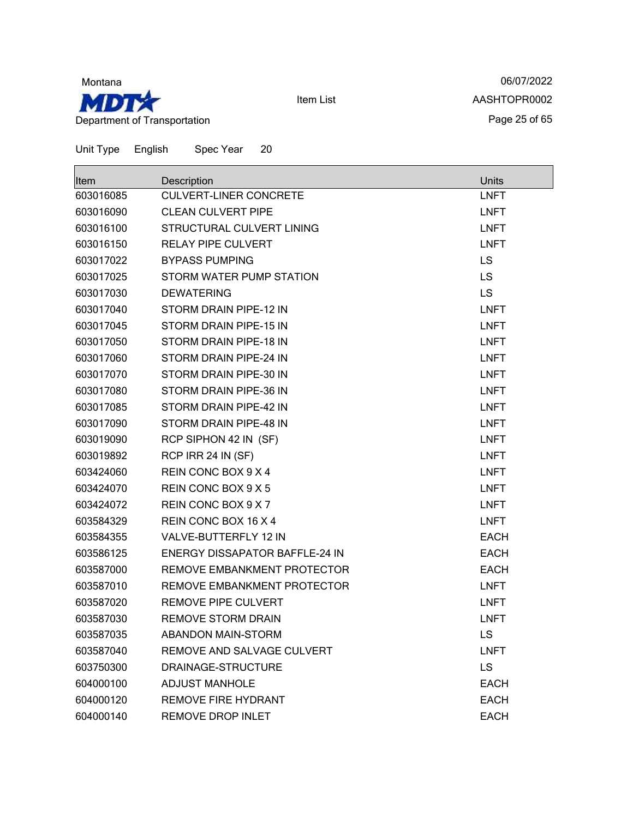

06/07/2022 AASHTOPR0002 Page 25 of 65

| <b>Item</b> | Description                    | <b>Units</b> |
|-------------|--------------------------------|--------------|
| 603016085   | <b>CULVERT-LINER CONCRETE</b>  | <b>LNFT</b>  |
| 603016090   | <b>CLEAN CULVERT PIPE</b>      | <b>LNFT</b>  |
| 603016100   | STRUCTURAL CULVERT LINING      | <b>LNFT</b>  |
| 603016150   | <b>RELAY PIPE CULVERT</b>      | <b>LNFT</b>  |
| 603017022   | <b>BYPASS PUMPING</b>          | LS           |
| 603017025   | STORM WATER PUMP STATION       | <b>LS</b>    |
| 603017030   | <b>DEWATERING</b>              | <b>LS</b>    |
| 603017040   | STORM DRAIN PIPE-12 IN         | <b>LNFT</b>  |
| 603017045   | STORM DRAIN PIPE-15 IN         | <b>LNFT</b>  |
| 603017050   | STORM DRAIN PIPE-18 IN         | <b>LNFT</b>  |
| 603017060   | STORM DRAIN PIPE-24 IN         | <b>LNFT</b>  |
| 603017070   | STORM DRAIN PIPE-30 IN         | <b>LNFT</b>  |
| 603017080   | STORM DRAIN PIPE-36 IN         | <b>LNFT</b>  |
| 603017085   | STORM DRAIN PIPE-42 IN         | <b>LNFT</b>  |
| 603017090   | STORM DRAIN PIPE-48 IN         | <b>LNFT</b>  |
| 603019090   | RCP SIPHON 42 IN (SF)          | <b>LNFT</b>  |
| 603019892   | RCP IRR 24 IN (SF)             | <b>LNFT</b>  |
| 603424060   | REIN CONC BOX 9 X 4            | <b>LNFT</b>  |
| 603424070   | REIN CONC BOX 9 X 5            | <b>LNFT</b>  |
| 603424072   | REIN CONC BOX 9 X 7            | <b>LNFT</b>  |
| 603584329   | REIN CONC BOX 16 X 4           | <b>LNFT</b>  |
| 603584355   | VALVE-BUTTERFLY 12 IN          | <b>EACH</b>  |
| 603586125   | ENERGY DISSAPATOR BAFFLE-24 IN | <b>EACH</b>  |
| 603587000   | REMOVE EMBANKMENT PROTECTOR    | <b>EACH</b>  |
| 603587010   | REMOVE EMBANKMENT PROTECTOR    | <b>LNFT</b>  |
| 603587020   | <b>REMOVE PIPE CULVERT</b>     | <b>LNFT</b>  |
| 603587030   | <b>REMOVE STORM DRAIN</b>      | <b>LNFT</b>  |
| 603587035   | <b>ABANDON MAIN-STORM</b>      | LS           |
| 603587040   | REMOVE AND SALVAGE CULVERT     | <b>LNFT</b>  |
| 603750300   | DRAINAGE-STRUCTURE             | <b>LS</b>    |
| 604000100   | <b>ADJUST MANHOLE</b>          | <b>EACH</b>  |
| 604000120   | <b>REMOVE FIRE HYDRANT</b>     | <b>EACH</b>  |
| 604000140   | REMOVE DROP INLET              | <b>EACH</b>  |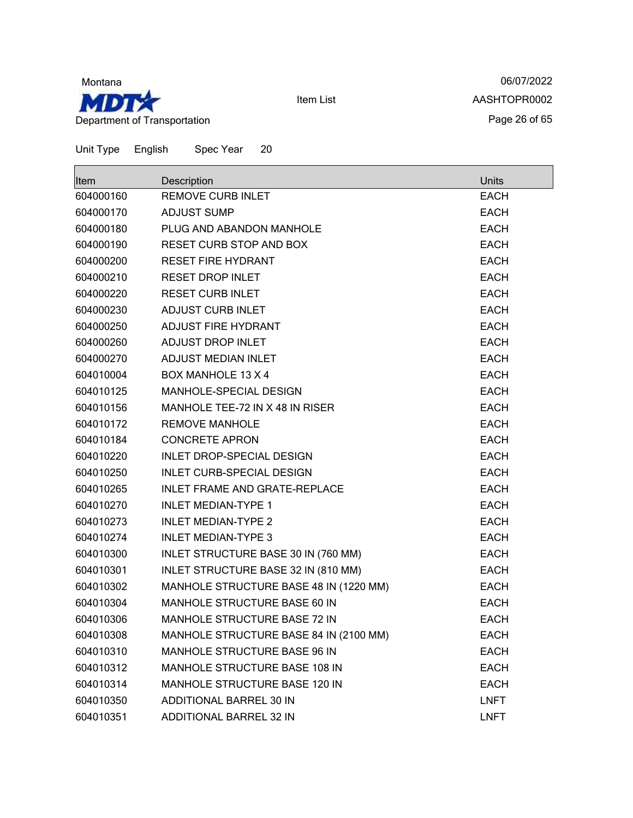

06/07/2022 AASHTOPR0002 Page 26 of 65

| Item      | Description                            | Units       |
|-----------|----------------------------------------|-------------|
| 604000160 | <b>REMOVE CURB INLET</b>               | <b>EACH</b> |
| 604000170 | <b>ADJUST SUMP</b>                     | <b>EACH</b> |
| 604000180 | PLUG AND ABANDON MANHOLE               | <b>EACH</b> |
| 604000190 | <b>RESET CURB STOP AND BOX</b>         | <b>EACH</b> |
| 604000200 | <b>RESET FIRE HYDRANT</b>              | <b>EACH</b> |
| 604000210 | <b>RESET DROP INLET</b>                | <b>EACH</b> |
| 604000220 | <b>RESET CURB INLET</b>                | <b>EACH</b> |
| 604000230 | ADJUST CURB INLET                      | <b>EACH</b> |
| 604000250 | ADJUST FIRE HYDRANT                    | <b>EACH</b> |
| 604000260 | ADJUST DROP INLET                      | <b>EACH</b> |
| 604000270 | ADJUST MEDIAN INLET                    | <b>EACH</b> |
| 604010004 | <b>BOX MANHOLE 13 X 4</b>              | <b>EACH</b> |
| 604010125 | MANHOLE-SPECIAL DESIGN                 | <b>EACH</b> |
| 604010156 | MANHOLE TEE-72 IN X 48 IN RISER        | <b>EACH</b> |
| 604010172 | <b>REMOVE MANHOLE</b>                  | <b>EACH</b> |
| 604010184 | <b>CONCRETE APRON</b>                  | <b>EACH</b> |
| 604010220 | <b>INLET DROP-SPECIAL DESIGN</b>       | <b>EACH</b> |
| 604010250 | <b>INLET CURB-SPECIAL DESIGN</b>       | <b>EACH</b> |
| 604010265 | INLET FRAME AND GRATE-REPLACE          | <b>EACH</b> |
| 604010270 | <b>INLET MEDIAN-TYPE 1</b>             | <b>EACH</b> |
| 604010273 | <b>INLET MEDIAN-TYPE 2</b>             | <b>EACH</b> |
| 604010274 | <b>INLET MEDIAN-TYPE 3</b>             | <b>EACH</b> |
| 604010300 | INLET STRUCTURE BASE 30 IN (760 MM)    | <b>EACH</b> |
| 604010301 | INLET STRUCTURE BASE 32 IN (810 MM)    | <b>EACH</b> |
| 604010302 | MANHOLE STRUCTURE BASE 48 IN (1220 MM) | <b>EACH</b> |
| 604010304 | MANHOLE STRUCTURE BASE 60 IN           | <b>EACH</b> |
| 604010306 | MANHOLE STRUCTURE BASE 72 IN           | <b>EACH</b> |
| 604010308 | MANHOLE STRUCTURE BASE 84 IN (2100 MM) | <b>EACH</b> |
| 604010310 | MANHOLE STRUCTURE BASE 96 IN           | <b>EACH</b> |
| 604010312 | MANHOLE STRUCTURE BASE 108 IN          | <b>EACH</b> |
| 604010314 | MANHOLE STRUCTURE BASE 120 IN          | <b>EACH</b> |
| 604010350 | ADDITIONAL BARREL 30 IN                | <b>LNFT</b> |
| 604010351 | ADDITIONAL BARREL 32 IN                | <b>LNFT</b> |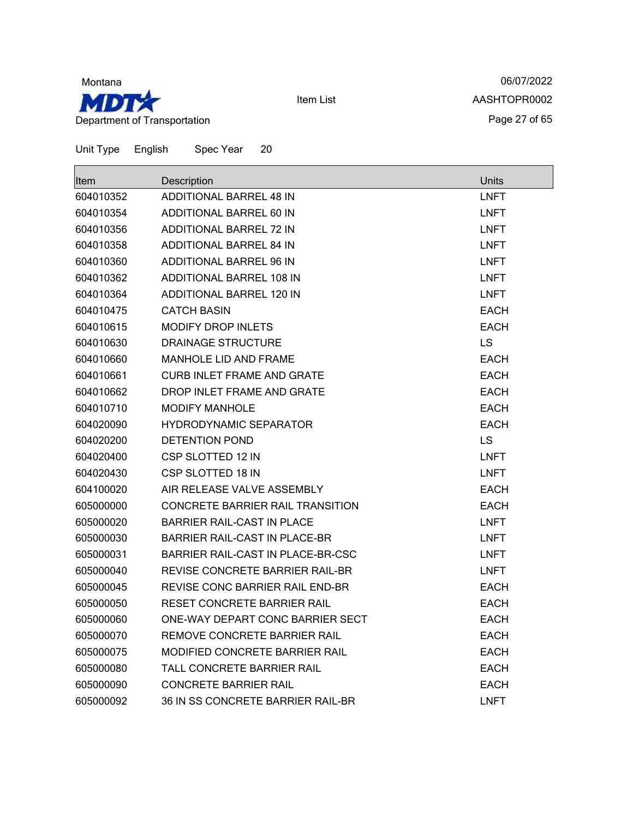

06/07/2022 AASHTOPR0002 Page 27 of 65

| <b>I</b> tem | Description                          | Units       |
|--------------|--------------------------------------|-------------|
| 604010352    | <b>ADDITIONAL BARREL 48 IN</b>       | <b>LNFT</b> |
| 604010354    | ADDITIONAL BARREL 60 IN              | <b>LNFT</b> |
| 604010356    | ADDITIONAL BARREL 72 IN              | <b>LNFT</b> |
| 604010358    | ADDITIONAL BARREL 84 IN              | <b>LNFT</b> |
| 604010360    | ADDITIONAL BARREL 96 IN              | <b>LNFT</b> |
| 604010362    | <b>ADDITIONAL BARREL 108 IN</b>      | <b>LNFT</b> |
| 604010364    | <b>ADDITIONAL BARREL 120 IN</b>      | <b>LNFT</b> |
| 604010475    | <b>CATCH BASIN</b>                   | <b>EACH</b> |
| 604010615    | <b>MODIFY DROP INLETS</b>            | <b>EACH</b> |
| 604010630    | DRAINAGE STRUCTURE                   | LS          |
| 604010660    | <b>MANHOLE LID AND FRAME</b>         | <b>EACH</b> |
| 604010661    | CURB INLET FRAME AND GRATE           | <b>EACH</b> |
| 604010662    | DROP INLET FRAME AND GRATE           | <b>EACH</b> |
| 604010710    | <b>MODIFY MANHOLE</b>                | <b>EACH</b> |
| 604020090    | <b>HYDRODYNAMIC SEPARATOR</b>        | <b>EACH</b> |
| 604020200    | <b>DETENTION POND</b>                | <b>LS</b>   |
| 604020400    | CSP SLOTTED 12 IN                    | <b>LNFT</b> |
| 604020430    | <b>CSP SLOTTED 18 IN</b>             | <b>LNFT</b> |
| 604100020    | AIR RELEASE VALVE ASSEMBLY           | <b>EACH</b> |
| 605000000    | CONCRETE BARRIER RAIL TRANSITION     | <b>EACH</b> |
| 605000020    | <b>BARRIER RAIL-CAST IN PLACE</b>    | <b>LNFT</b> |
| 605000030    | <b>BARRIER RAIL-CAST IN PLACE-BR</b> | <b>LNFT</b> |
| 605000031    | BARRIER RAIL-CAST IN PLACE-BR-CSC    | <b>LNFT</b> |
| 605000040    | REVISE CONCRETE BARRIER RAIL-BR      | <b>LNFT</b> |
| 605000045    | REVISE CONC BARRIER RAIL END-BR      | <b>EACH</b> |
| 605000050    | RESET CONCRETE BARRIER RAIL          | <b>EACH</b> |
| 605000060    | ONE-WAY DEPART CONC BARRIER SECT     | <b>EACH</b> |
| 605000070    | REMOVE CONCRETE BARRIER RAIL         | <b>EACH</b> |
| 605000075    | MODIFIED CONCRETE BARRIER RAIL       | <b>EACH</b> |
| 605000080    | TALL CONCRETE BARRIER RAIL           | <b>EACH</b> |
| 605000090    | <b>CONCRETE BARRIER RAIL</b>         | <b>EACH</b> |
| 605000092    | 36 IN SS CONCRETE BARRIER RAIL-BR    | <b>LNFT</b> |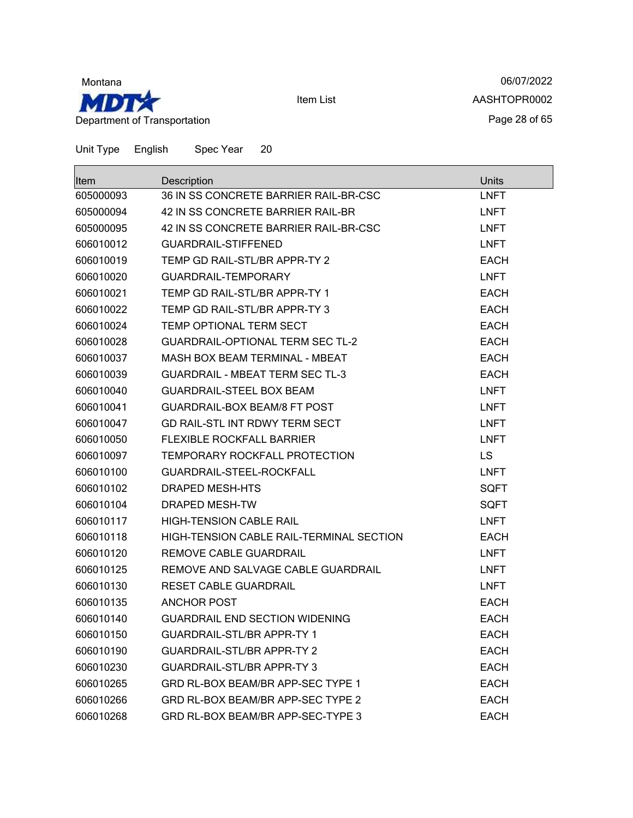

06/07/2022 AASHTOPR0002 Page 28 of 65

| lltem     | Description                              | <b>Units</b> |
|-----------|------------------------------------------|--------------|
| 605000093 | 36 IN SS CONCRETE BARRIER RAIL-BR-CSC    | <b>LNFT</b>  |
| 605000094 | 42 IN SS CONCRETE BARRIER RAIL-BR        | <b>LNFT</b>  |
| 605000095 | 42 IN SS CONCRETE BARRIER RAIL-BR-CSC    | <b>LNFT</b>  |
| 606010012 | <b>GUARDRAIL-STIFFENED</b>               | <b>LNFT</b>  |
| 606010019 | TEMP GD RAIL-STL/BR APPR-TY 2            | <b>EACH</b>  |
| 606010020 | <b>GUARDRAIL-TEMPORARY</b>               | <b>LNFT</b>  |
| 606010021 | TEMP GD RAIL-STL/BR APPR-TY 1            | <b>EACH</b>  |
| 606010022 | TEMP GD RAIL-STL/BR APPR-TY 3            | <b>EACH</b>  |
| 606010024 | TEMP OPTIONAL TERM SECT                  | <b>EACH</b>  |
| 606010028 | <b>GUARDRAIL-OPTIONAL TERM SEC TL-2</b>  | <b>EACH</b>  |
| 606010037 | <b>MASH BOX BEAM TERMINAL - MBEAT</b>    | <b>EACH</b>  |
| 606010039 | <b>GUARDRAIL - MBEAT TERM SEC TL-3</b>   | <b>EACH</b>  |
| 606010040 | <b>GUARDRAIL-STEEL BOX BEAM</b>          | <b>LNFT</b>  |
| 606010041 | <b>GUARDRAIL-BOX BEAM/8 FT POST</b>      | <b>LNFT</b>  |
| 606010047 | GD RAIL-STL INT RDWY TERM SECT           | <b>LNFT</b>  |
| 606010050 | <b>FLEXIBLE ROCKFALL BARRIER</b>         | <b>LNFT</b>  |
| 606010097 | TEMPORARY ROCKFALL PROTECTION            | <b>LS</b>    |
| 606010100 | GUARDRAIL-STEEL-ROCKFALL                 | <b>LNFT</b>  |
| 606010102 | DRAPED MESH-HTS                          | <b>SQFT</b>  |
| 606010104 | <b>DRAPED MESH-TW</b>                    | <b>SQFT</b>  |
| 606010117 | <b>HIGH-TENSION CABLE RAIL</b>           | <b>LNFT</b>  |
| 606010118 | HIGH-TENSION CABLE RAIL-TERMINAL SECTION | <b>EACH</b>  |
| 606010120 | <b>REMOVE CABLE GUARDRAIL</b>            | <b>LNFT</b>  |
| 606010125 | REMOVE AND SALVAGE CABLE GUARDRAIL       | <b>LNFT</b>  |
| 606010130 | <b>RESET CABLE GUARDRAIL</b>             | <b>LNFT</b>  |
| 606010135 | <b>ANCHOR POST</b>                       | <b>EACH</b>  |
| 606010140 | <b>GUARDRAIL END SECTION WIDENING</b>    | <b>EACH</b>  |
| 606010150 | <b>GUARDRAIL-STL/BR APPR-TY 1</b>        | <b>EACH</b>  |
| 606010190 | <b>GUARDRAIL-STL/BR APPR-TY 2</b>        | <b>EACH</b>  |
| 606010230 | <b>GUARDRAIL-STL/BR APPR-TY 3</b>        | <b>EACH</b>  |
| 606010265 | GRD RL-BOX BEAM/BR APP-SEC TYPE 1        | <b>EACH</b>  |
| 606010266 | GRD RL-BOX BEAM/BR APP-SEC TYPE 2        | <b>EACH</b>  |
| 606010268 | GRD RL-BOX BEAM/BR APP-SEC-TYPE 3        | <b>EACH</b>  |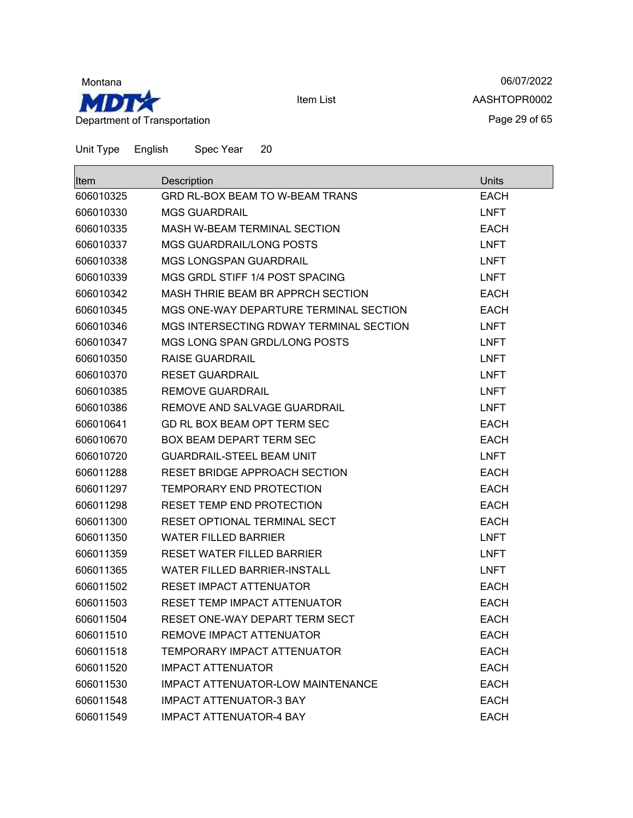

06/07/2022 AASHTOPR0002 Page 29 of 65

| <b>Item</b> | Description                             | Units       |
|-------------|-----------------------------------------|-------------|
| 606010325   | GRD RL-BOX BEAM TO W-BEAM TRANS         | <b>EACH</b> |
| 606010330   | <b>MGS GUARDRAIL</b>                    | <b>LNFT</b> |
| 606010335   | MASH W-BEAM TERMINAL SECTION            | <b>EACH</b> |
| 606010337   | <b>MGS GUARDRAIL/LONG POSTS</b>         | <b>LNFT</b> |
| 606010338   | <b>MGS LONGSPAN GUARDRAIL</b>           | <b>LNFT</b> |
| 606010339   | MGS GRDL STIFF 1/4 POST SPACING         | <b>LNFT</b> |
| 606010342   | MASH THRIE BEAM BR APPRCH SECTION       | <b>EACH</b> |
| 606010345   | MGS ONE-WAY DEPARTURE TERMINAL SECTION  | <b>EACH</b> |
| 606010346   | MGS INTERSECTING RDWAY TERMINAL SECTION | <b>LNFT</b> |
| 606010347   | MGS LONG SPAN GRDL/LONG POSTS           | <b>LNFT</b> |
| 606010350   | <b>RAISE GUARDRAIL</b>                  | <b>LNFT</b> |
| 606010370   | <b>RESET GUARDRAIL</b>                  | <b>LNFT</b> |
| 606010385   | <b>REMOVE GUARDRAIL</b>                 | <b>LNFT</b> |
| 606010386   | REMOVE AND SALVAGE GUARDRAIL            | <b>LNFT</b> |
| 606010641   | GD RL BOX BEAM OPT TERM SEC             | <b>EACH</b> |
| 606010670   | <b>BOX BEAM DEPART TERM SEC</b>         | <b>EACH</b> |
| 606010720   | <b>GUARDRAIL-STEEL BEAM UNIT</b>        | <b>LNFT</b> |
| 606011288   | RESET BRIDGE APPROACH SECTION           | <b>EACH</b> |
| 606011297   | TEMPORARY END PROTECTION                | <b>EACH</b> |
| 606011298   | RESET TEMP END PROTECTION               | <b>EACH</b> |
| 606011300   | RESET OPTIONAL TERMINAL SECT            | <b>EACH</b> |
| 606011350   | <b>WATER FILLED BARRIER</b>             | <b>LNFT</b> |
| 606011359   | <b>RESET WATER FILLED BARRIER</b>       | <b>LNFT</b> |
| 606011365   | <b>WATER FILLED BARRIER-INSTALL</b>     | <b>LNFT</b> |
| 606011502   | <b>RESET IMPACT ATTENUATOR</b>          | <b>EACH</b> |
| 606011503   | RESET TEMP IMPACT ATTENUATOR            | <b>EACH</b> |
| 606011504   | RESET ONE-WAY DEPART TERM SECT          | <b>EACH</b> |
| 606011510   | REMOVE IMPACT ATTENUATOR                | <b>EACH</b> |
| 606011518   | TEMPORARY IMPACT ATTENUATOR             | <b>EACH</b> |
| 606011520   | <b>IMPACT ATTENUATOR</b>                | <b>EACH</b> |
| 606011530   | IMPACT ATTENUATOR-LOW MAINTENANCE       | <b>EACH</b> |
| 606011548   | <b>IMPACT ATTENUATOR-3 BAY</b>          | <b>EACH</b> |
| 606011549   | <b>IMPACT ATTENUATOR-4 BAY</b>          | <b>EACH</b> |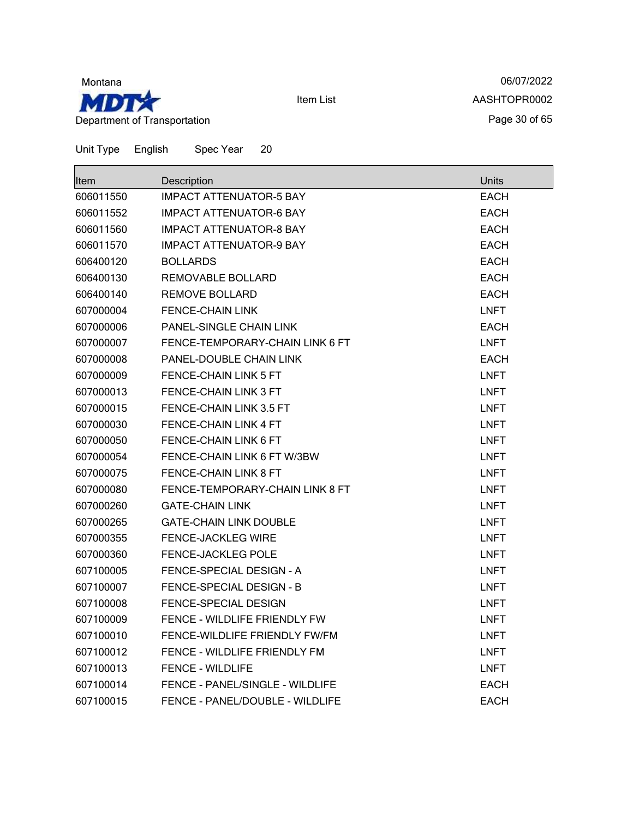

06/07/2022 AASHTOPR0002 Page 30 of 65

| Unit Type | English | Spec Year | 20 |
|-----------|---------|-----------|----|
|-----------|---------|-----------|----|

| Item      | Description                     | Units       |
|-----------|---------------------------------|-------------|
| 606011550 | <b>IMPACT ATTENUATOR-5 BAY</b>  | <b>EACH</b> |
| 606011552 | <b>IMPACT ATTENUATOR-6 BAY</b>  | <b>EACH</b> |
| 606011560 | <b>IMPACT ATTENUATOR-8 BAY</b>  | <b>EACH</b> |
| 606011570 | <b>IMPACT ATTENUATOR-9 BAY</b>  | <b>EACH</b> |
| 606400120 | <b>BOLLARDS</b>                 | <b>EACH</b> |
| 606400130 | REMOVABLE BOLLARD               | <b>EACH</b> |
| 606400140 | <b>REMOVE BOLLARD</b>           | <b>EACH</b> |
| 607000004 | <b>FENCE-CHAIN LINK</b>         | <b>LNFT</b> |
| 607000006 | PANEL-SINGLE CHAIN LINK         | <b>EACH</b> |
| 607000007 | FENCE-TEMPORARY-CHAIN LINK 6 FT | <b>LNFT</b> |
| 607000008 | PANEL-DOUBLE CHAIN LINK         | <b>EACH</b> |
| 607000009 | FENCE-CHAIN LINK 5 FT           | <b>LNFT</b> |
| 607000013 | FENCE-CHAIN LINK 3 FT           | <b>LNFT</b> |
| 607000015 | FENCE-CHAIN LINK 3.5 FT         | LNFT        |
| 607000030 | <b>FENCE-CHAIN LINK 4 FT</b>    | <b>LNFT</b> |
| 607000050 | FENCE-CHAIN LINK 6 FT           | <b>LNFT</b> |
| 607000054 | FENCE-CHAIN LINK 6 FT W/3BW     | <b>LNFT</b> |
| 607000075 | FENCE-CHAIN LINK 8 FT           | <b>LNFT</b> |
| 607000080 | FENCE-TEMPORARY-CHAIN LINK 8 FT | <b>LNFT</b> |
| 607000260 | <b>GATE-CHAIN LINK</b>          | <b>LNFT</b> |
| 607000265 | <b>GATE-CHAIN LINK DOUBLE</b>   | <b>LNFT</b> |
| 607000355 | <b>FENCE-JACKLEG WIRE</b>       | <b>LNFT</b> |
| 607000360 | FENCE-JACKLEG POLE              | <b>LNFT</b> |
| 607100005 | FENCE-SPECIAL DESIGN - A        | <b>LNFT</b> |
| 607100007 | FENCE-SPECIAL DESIGN - B        | <b>LNFT</b> |
| 607100008 | FENCE-SPECIAL DESIGN            | <b>LNFT</b> |
| 607100009 | FENCE - WILDLIFE FRIENDLY FW    | <b>LNFT</b> |
| 607100010 | FENCE-WILDLIFE FRIENDLY FW/FM   | <b>LNFT</b> |
| 607100012 | FENCE - WILDLIFE FRIENDLY FM    | LNFT        |
| 607100013 | <b>FENCE - WILDLIFE</b>         | <b>LNFT</b> |
| 607100014 | FENCE - PANEL/SINGLE - WILDLIFE | <b>EACH</b> |
| 607100015 | FENCE - PANEL/DOUBLE - WILDLIFE | <b>EACH</b> |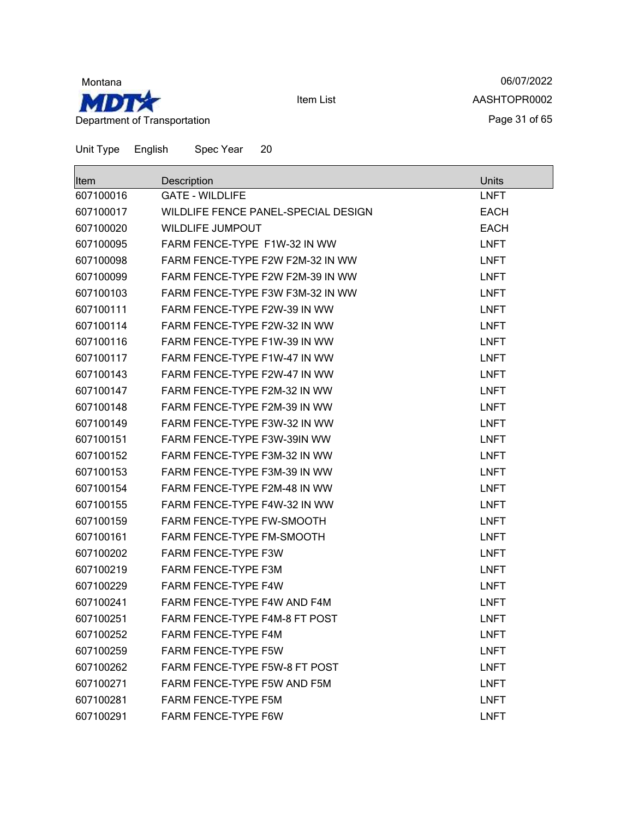

06/07/2022 AASHTOPR0002 Page 31 of 65

| <b>Item</b> | Description                         | <b>Units</b> |
|-------------|-------------------------------------|--------------|
| 607100016   | <b>GATE - WILDLIFE</b>              | <b>LNFT</b>  |
| 607100017   | WILDLIFE FENCE PANEL-SPECIAL DESIGN | <b>EACH</b>  |
| 607100020   | <b>WILDLIFE JUMPOUT</b>             | <b>EACH</b>  |
| 607100095   | FARM FENCE-TYPE F1W-32 IN WW        | <b>LNFT</b>  |
| 607100098   | FARM FENCE-TYPE F2W F2M-32 IN WW    | <b>LNFT</b>  |
| 607100099   | FARM FENCE-TYPE F2W F2M-39 IN WW    | <b>LNFT</b>  |
| 607100103   | FARM FENCE-TYPE F3W F3M-32 IN WW    | <b>LNFT</b>  |
| 607100111   | FARM FENCE-TYPE F2W-39 IN WW        | <b>LNFT</b>  |
| 607100114   | FARM FENCE-TYPE F2W-32 IN WW        | <b>LNFT</b>  |
| 607100116   | FARM FENCE-TYPE F1W-39 IN WW        | <b>LNFT</b>  |
| 607100117   | FARM FENCE-TYPE F1W-47 IN WW        | <b>LNFT</b>  |
| 607100143   | FARM FENCE-TYPE F2W-47 IN WW        | <b>LNFT</b>  |
| 607100147   | FARM FENCE-TYPE F2M-32 IN WW        | <b>LNFT</b>  |
| 607100148   | FARM FENCE-TYPE F2M-39 IN WW        | <b>LNFT</b>  |
| 607100149   | FARM FENCE-TYPE F3W-32 IN WW        | <b>LNFT</b>  |
| 607100151   | FARM FENCE-TYPE F3W-39IN WW         | <b>LNFT</b>  |
| 607100152   | FARM FENCE-TYPE F3M-32 IN WW        | <b>LNFT</b>  |
| 607100153   | FARM FENCE-TYPE F3M-39 IN WW        | <b>LNFT</b>  |
| 607100154   | FARM FENCE-TYPE F2M-48 IN WW        | <b>LNFT</b>  |
| 607100155   | FARM FENCE-TYPE F4W-32 IN WW        | <b>LNFT</b>  |
| 607100159   | FARM FENCE-TYPE FW-SMOOTH           | <b>LNFT</b>  |
| 607100161   | <b>FARM FENCE-TYPE FM-SMOOTH</b>    | <b>LNFT</b>  |
| 607100202   | FARM FENCE-TYPE F3W                 | <b>LNFT</b>  |
| 607100219   | FARM FENCE-TYPE F3M                 | <b>LNFT</b>  |
| 607100229   | FARM FENCE-TYPE F4W                 | <b>LNFT</b>  |
| 607100241   | FARM FENCE-TYPE F4W AND F4M         | <b>LNFT</b>  |
| 607100251   | FARM FENCE-TYPE F4M-8 FT POST       | <b>LNFT</b>  |
| 607100252   | <b>FARM FENCE-TYPE F4M</b>          | <b>LNFT</b>  |
| 607100259   | <b>FARM FENCE-TYPE F5W</b>          | <b>LNFT</b>  |
| 607100262   | FARM FENCE-TYPE F5W-8 FT POST       | <b>LNFT</b>  |
| 607100271   | FARM FENCE-TYPE F5W AND F5M         | <b>LNFT</b>  |
| 607100281   | <b>FARM FENCE-TYPE F5M</b>          | <b>LNFT</b>  |
| 607100291   | FARM FENCE-TYPE F6W                 | <b>LNFT</b>  |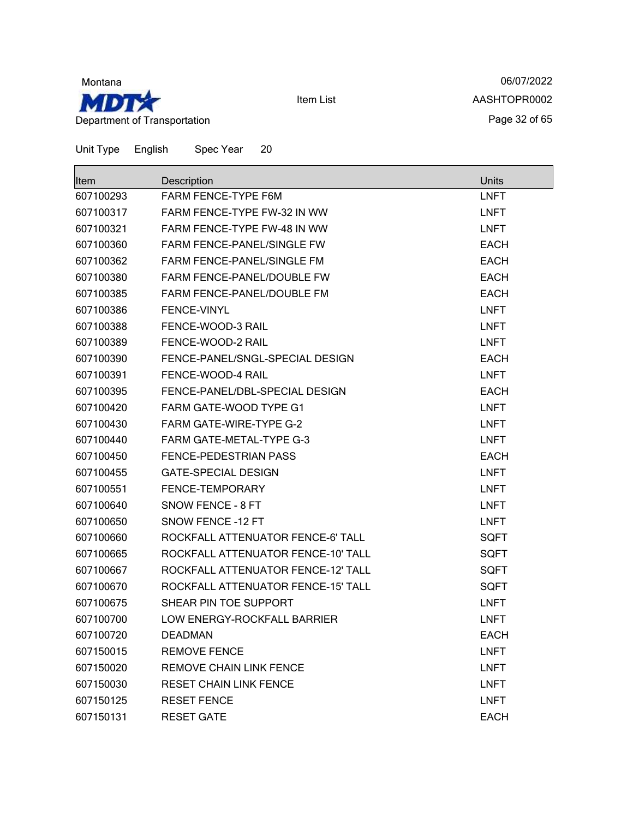

06/07/2022 AASHTOPR0002 Page 32 of 65

| lltem     | Description                        | <b>Units</b> |
|-----------|------------------------------------|--------------|
| 607100293 | FARM FENCE-TYPE F6M                | <b>LNFT</b>  |
| 607100317 | FARM FENCE-TYPE FW-32 IN WW        | <b>LNFT</b>  |
| 607100321 | FARM FENCE-TYPE FW-48 IN WW        | <b>LNFT</b>  |
| 607100360 | <b>FARM FENCE-PANEL/SINGLE FW</b>  | <b>EACH</b>  |
| 607100362 | <b>FARM FENCE-PANEL/SINGLE FM</b>  | <b>EACH</b>  |
| 607100380 | FARM FENCE-PANEL/DOUBLE FW         | <b>EACH</b>  |
| 607100385 | FARM FENCE-PANEL/DOUBLE FM         | <b>EACH</b>  |
| 607100386 | FENCE-VINYL                        | <b>LNFT</b>  |
| 607100388 | FENCE-WOOD-3 RAIL                  | <b>LNFT</b>  |
| 607100389 | FENCE-WOOD-2 RAIL                  | <b>LNFT</b>  |
| 607100390 | FENCE-PANEL/SNGL-SPECIAL DESIGN    | <b>EACH</b>  |
| 607100391 | FENCE-WOOD-4 RAIL                  | <b>LNFT</b>  |
| 607100395 | FENCE-PANEL/DBL-SPECIAL DESIGN     | <b>EACH</b>  |
| 607100420 | FARM GATE-WOOD TYPE G1             | <b>LNFT</b>  |
| 607100430 | <b>FARM GATE-WIRE-TYPE G-2</b>     | <b>LNFT</b>  |
| 607100440 | FARM GATE-METAL-TYPE G-3           | <b>LNFT</b>  |
| 607100450 | FENCE-PEDESTRIAN PASS              | <b>EACH</b>  |
| 607100455 | <b>GATE-SPECIAL DESIGN</b>         | <b>LNFT</b>  |
| 607100551 | FENCE-TEMPORARY                    | <b>LNFT</b>  |
| 607100640 | SNOW FENCE - 8 FT                  | <b>LNFT</b>  |
| 607100650 | SNOW FENCE -12 FT                  | <b>LNFT</b>  |
| 607100660 | ROCKFALL ATTENUATOR FENCE-6' TALL  | <b>SQFT</b>  |
| 607100665 | ROCKFALL ATTENUATOR FENCE-10' TALL | <b>SQFT</b>  |
| 607100667 | ROCKFALL ATTENUATOR FENCE-12' TALL | <b>SQFT</b>  |
| 607100670 | ROCKFALL ATTENUATOR FENCE-15' TALL | <b>SQFT</b>  |
| 607100675 | SHEAR PIN TOE SUPPORT              | <b>LNFT</b>  |
| 607100700 | LOW ENERGY-ROCKFALL BARRIER        | <b>LNFT</b>  |
| 607100720 | <b>DEADMAN</b>                     | <b>EACH</b>  |
| 607150015 | <b>REMOVE FENCE</b>                | <b>LNFT</b>  |
| 607150020 | REMOVE CHAIN LINK FENCE            | <b>LNFT</b>  |
| 607150030 | <b>RESET CHAIN LINK FENCE</b>      | <b>LNFT</b>  |
| 607150125 | <b>RESET FENCE</b>                 | <b>LNFT</b>  |
| 607150131 | <b>RESET GATE</b>                  | <b>EACH</b>  |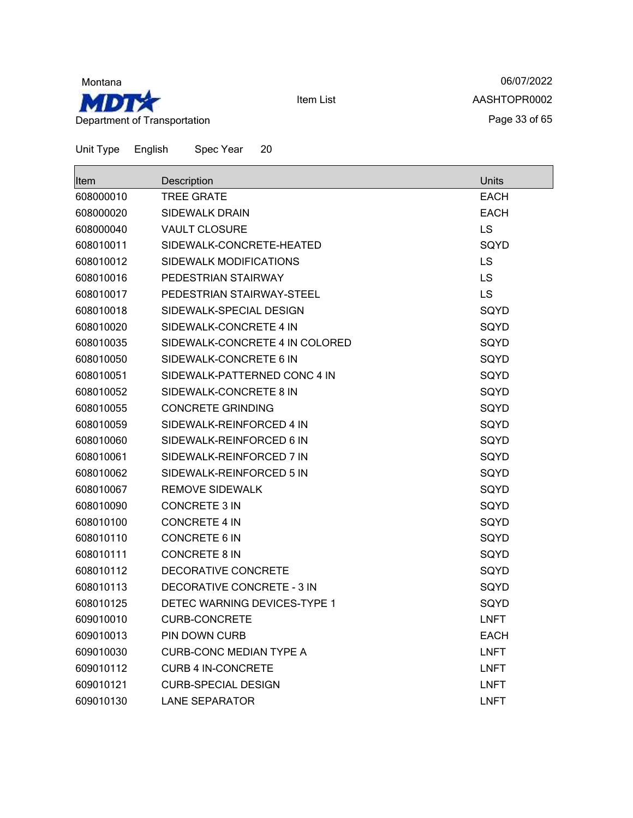

06/07/2022 AASHTOPR0002 Page 33 of 65

| Item      | Description                    | <b>Units</b> |
|-----------|--------------------------------|--------------|
| 608000010 | TREE GRATE                     | EACH         |
| 608000020 | <b>SIDEWALK DRAIN</b>          | <b>EACH</b>  |
| 608000040 | <b>VAULT CLOSURE</b>           | <b>LS</b>    |
| 608010011 | SIDEWALK-CONCRETE-HEATED       | SQYD         |
| 608010012 | SIDEWALK MODIFICATIONS         | LS           |
| 608010016 | PEDESTRIAN STAIRWAY            | LS           |
| 608010017 | PEDESTRIAN STAIRWAY-STEEL      | <b>LS</b>    |
| 608010018 | SIDEWALK-SPECIAL DESIGN        | SQYD         |
| 608010020 | SIDEWALK-CONCRETE 4 IN         | SQYD         |
| 608010035 | SIDEWALK-CONCRETE 4 IN COLORED | SQYD         |
| 608010050 | SIDEWALK-CONCRETE 6 IN         | SQYD         |
| 608010051 | SIDEWALK-PATTERNED CONC 4 IN   | SQYD         |
| 608010052 | SIDEWALK-CONCRETE 8 IN         | SQYD         |
| 608010055 | <b>CONCRETE GRINDING</b>       | SQYD         |
| 608010059 | SIDEWALK-REINFORCED 4 IN       | SQYD         |
| 608010060 | SIDEWALK-REINFORCED 6 IN       | SQYD         |
| 608010061 | SIDEWALK-REINFORCED 7 IN       | SQYD         |
| 608010062 | SIDEWALK-REINFORCED 5 IN       | SQYD         |
| 608010067 | <b>REMOVE SIDEWALK</b>         | SQYD         |
| 608010090 | <b>CONCRETE 3 IN</b>           | SQYD         |
| 608010100 | <b>CONCRETE 4 IN</b>           | SQYD         |
| 608010110 | <b>CONCRETE 6 IN</b>           | SQYD         |
| 608010111 | <b>CONCRETE 8 IN</b>           | SQYD         |
| 608010112 | DECORATIVE CONCRETE            | SQYD         |
| 608010113 | DECORATIVE CONCRETE - 3 IN     | SQYD         |
| 608010125 | DETEC WARNING DEVICES-TYPE 1   | SQYD         |
| 609010010 | <b>CURB-CONCRETE</b>           | <b>LNFT</b>  |
| 609010013 | PIN DOWN CURB                  | <b>EACH</b>  |
| 609010030 | <b>CURB-CONC MEDIAN TYPE A</b> | <b>LNFT</b>  |
| 609010112 | <b>CURB 4 IN-CONCRETE</b>      | <b>LNFT</b>  |
| 609010121 | <b>CURB-SPECIAL DESIGN</b>     | <b>LNFT</b>  |
| 609010130 | <b>LANE SEPARATOR</b>          | <b>LNFT</b>  |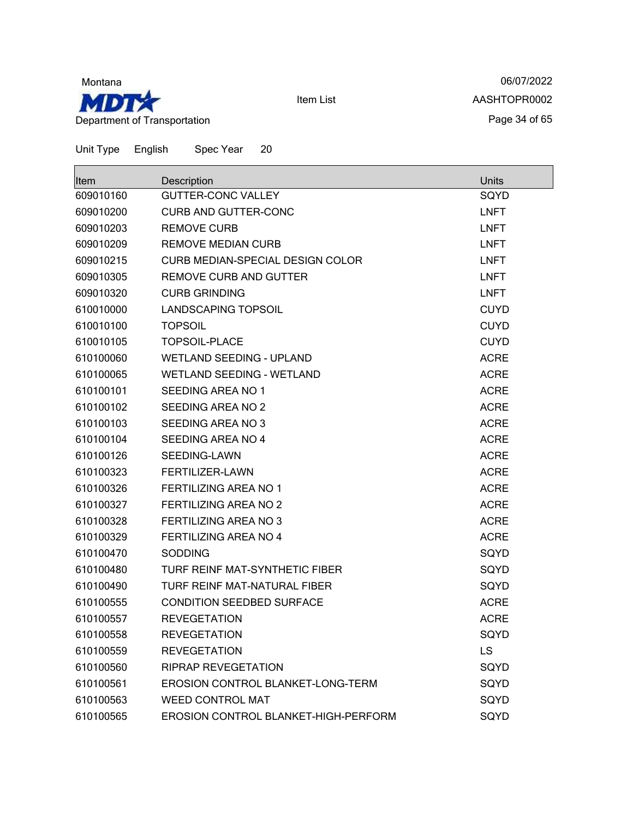

06/07/2022 AASHTOPR0002 Page 34 of 65

| <b>Item</b> | Description                              | Units       |
|-------------|------------------------------------------|-------------|
| 609010160   | <b>GUTTER-CONC VALLEY</b>                | SQYD        |
| 609010200   | <b>CURB AND GUTTER-CONC</b>              | <b>LNFT</b> |
| 609010203   | <b>REMOVE CURB</b>                       | <b>LNFT</b> |
| 609010209   | <b>REMOVE MEDIAN CURB</b>                | <b>LNFT</b> |
| 609010215   | CURB MEDIAN-SPECIAL DESIGN COLOR         | <b>LNFT</b> |
| 609010305   | REMOVE CURB AND GUTTER                   | <b>LNFT</b> |
| 609010320   | <b>CURB GRINDING</b>                     | <b>LNFT</b> |
| 610010000   | <b>LANDSCAPING TOPSOIL</b>               | <b>CUYD</b> |
| 610010100   | <b>TOPSOIL</b>                           | <b>CUYD</b> |
| 610010105   | <b>TOPSOIL-PLACE</b>                     | <b>CUYD</b> |
| 610100060   | <b>WETLAND SEEDING - UPLAND</b>          | <b>ACRE</b> |
| 610100065   | WETLAND SEEDING - WETLAND                | <b>ACRE</b> |
| 610100101   | SEEDING AREA NO 1                        | <b>ACRE</b> |
| 610100102   | SEEDING AREA NO 2                        | <b>ACRE</b> |
| 610100103   | SEEDING AREA NO 3                        | <b>ACRE</b> |
| 610100104   | SEEDING AREA NO 4                        | <b>ACRE</b> |
| 610100126   | SEEDING-LAWN                             | <b>ACRE</b> |
| 610100323   | FERTILIZER-LAWN                          | <b>ACRE</b> |
| 610100326   | <b>FERTILIZING AREA NO 1</b>             | <b>ACRE</b> |
| 610100327   | <b>FERTILIZING AREA NO 2</b>             | <b>ACRE</b> |
| 610100328   | FERTILIZING AREA NO 3                    | <b>ACRE</b> |
| 610100329   | FERTILIZING AREA NO 4                    | <b>ACRE</b> |
| 610100470   | <b>SODDING</b>                           | SQYD        |
| 610100480   | TURF REINF MAT-SYNTHETIC FIBER           | SQYD        |
| 610100490   | TURF REINF MAT-NATURAL FIBER             | SQYD        |
| 610100555   | <b>CONDITION SEEDBED SURFACE</b>         | <b>ACRE</b> |
| 610100557   | <b>REVEGETATION</b>                      | <b>ACRE</b> |
| 610100558   | <b>REVEGETATION</b>                      | SQYD        |
| 610100559   | <b>REVEGETATION</b>                      | LS          |
| 610100560   | <b>RIPRAP REVEGETATION</b>               | SQYD        |
| 610100561   | <b>EROSION CONTROL BLANKET-LONG-TERM</b> | SQYD        |
| 610100563   | <b>WEED CONTROL MAT</b>                  | SQYD        |
| 610100565   | EROSION CONTROL BLANKET-HIGH-PERFORM     | SQYD        |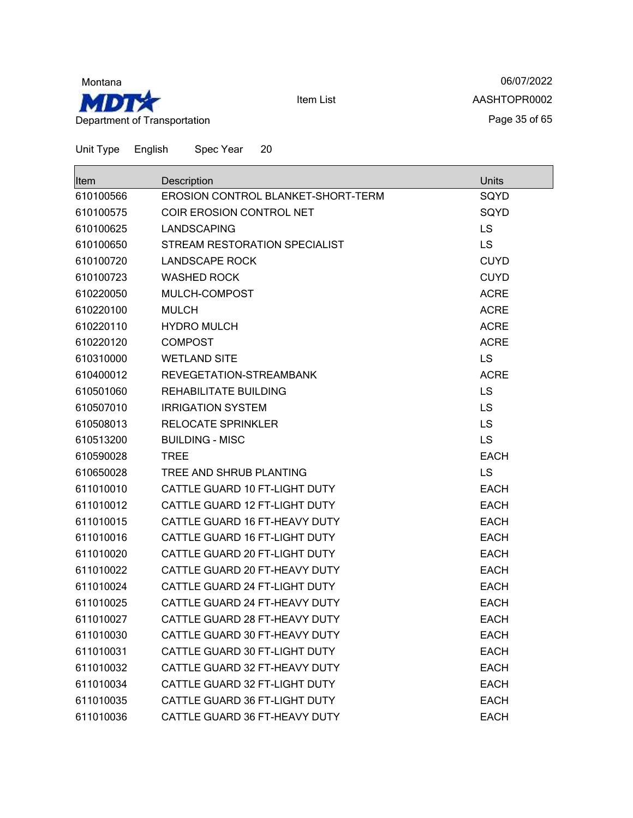

06/07/2022 AASHTOPR0002 Page 35 of 65

| ∥tem      | Description                        | Units       |
|-----------|------------------------------------|-------------|
| 610100566 | EROSION CONTROL BLANKET-SHORT-TERM | SQYD        |
| 610100575 | COIR EROSION CONTROL NET           | SQYD        |
| 610100625 | <b>LANDSCAPING</b>                 | <b>LS</b>   |
| 610100650 | STREAM RESTORATION SPECIALIST      | <b>LS</b>   |
| 610100720 | <b>LANDSCAPE ROCK</b>              | <b>CUYD</b> |
| 610100723 | <b>WASHED ROCK</b>                 | <b>CUYD</b> |
| 610220050 | MULCH-COMPOST                      | <b>ACRE</b> |
| 610220100 | <b>MULCH</b>                       | <b>ACRE</b> |
| 610220110 | <b>HYDRO MULCH</b>                 | <b>ACRE</b> |
| 610220120 | <b>COMPOST</b>                     | <b>ACRE</b> |
| 610310000 | <b>WETLAND SITE</b>                | <b>LS</b>   |
| 610400012 | REVEGETATION-STREAMBANK            | <b>ACRE</b> |
| 610501060 | REHABILITATE BUILDING              | <b>LS</b>   |
| 610507010 | <b>IRRIGATION SYSTEM</b>           | <b>LS</b>   |
| 610508013 | <b>RELOCATE SPRINKLER</b>          | <b>LS</b>   |
| 610513200 | <b>BUILDING - MISC</b>             | <b>LS</b>   |
| 610590028 | <b>TREE</b>                        | <b>EACH</b> |
| 610650028 | TREE AND SHRUB PLANTING            | <b>LS</b>   |
| 611010010 | CATTLE GUARD 10 FT-LIGHT DUTY      | <b>EACH</b> |
| 611010012 | CATTLE GUARD 12 FT-LIGHT DUTY      | <b>EACH</b> |
| 611010015 | CATTLE GUARD 16 FT-HEAVY DUTY      | <b>EACH</b> |
| 611010016 | CATTLE GUARD 16 FT-LIGHT DUTY      | <b>EACH</b> |
| 611010020 | CATTLE GUARD 20 FT-LIGHT DUTY      | <b>EACH</b> |
| 611010022 | CATTLE GUARD 20 FT-HEAVY DUTY      | <b>EACH</b> |
| 611010024 | CATTLE GUARD 24 FT-LIGHT DUTY      | <b>EACH</b> |
| 611010025 | CATTLE GUARD 24 FT-HEAVY DUTY      | <b>EACH</b> |
| 611010027 | CATTLE GUARD 28 FT-HEAVY DUTY      | <b>EACH</b> |
| 611010030 | CATTLE GUARD 30 FT-HEAVY DUTY      | <b>EACH</b> |
| 611010031 | CATTLE GUARD 30 FT-LIGHT DUTY      | <b>EACH</b> |
| 611010032 | CATTLE GUARD 32 FT-HEAVY DUTY      | <b>EACH</b> |
| 611010034 | CATTLE GUARD 32 FT-LIGHT DUTY      | <b>EACH</b> |
| 611010035 | CATTLE GUARD 36 FT-LIGHT DUTY      | <b>EACH</b> |
| 611010036 | CATTLE GUARD 36 FT-HEAVY DUTY      | <b>EACH</b> |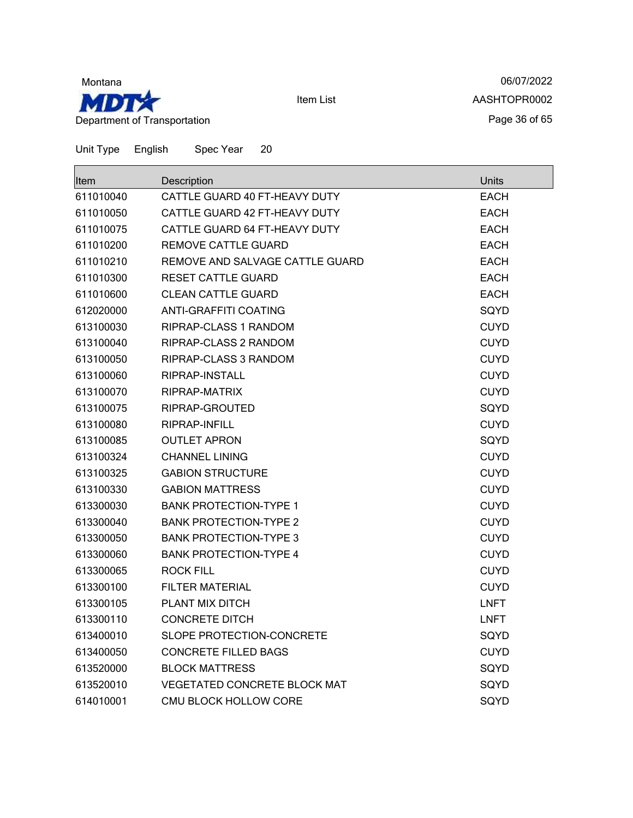

06/07/2022 AASHTOPR0002 Page 36 of 65

| Item      | Description                     | Units       |
|-----------|---------------------------------|-------------|
| 611010040 | CATTLE GUARD 40 FT-HEAVY DUTY   | EACH        |
| 611010050 | CATTLE GUARD 42 FT-HEAVY DUTY   | <b>EACH</b> |
| 611010075 | CATTLE GUARD 64 FT-HEAVY DUTY   | <b>EACH</b> |
| 611010200 | <b>REMOVE CATTLE GUARD</b>      | <b>EACH</b> |
| 611010210 | REMOVE AND SALVAGE CATTLE GUARD | <b>EACH</b> |
| 611010300 | <b>RESET CATTLE GUARD</b>       | <b>EACH</b> |
| 611010600 | <b>CLEAN CATTLE GUARD</b>       | <b>EACH</b> |
| 612020000 | ANTI-GRAFFITI COATING           | SQYD        |
| 613100030 | RIPRAP-CLASS 1 RANDOM           | <b>CUYD</b> |
| 613100040 | RIPRAP-CLASS 2 RANDOM           | <b>CUYD</b> |
| 613100050 | RIPRAP-CLASS 3 RANDOM           | <b>CUYD</b> |
| 613100060 | RIPRAP-INSTALL                  | <b>CUYD</b> |
| 613100070 | RIPRAP-MATRIX                   | <b>CUYD</b> |
| 613100075 | RIPRAP-GROUTED                  | SQYD        |
| 613100080 | RIPRAP-INFILL                   | <b>CUYD</b> |
| 613100085 | <b>OUTLET APRON</b>             | SQYD        |
| 613100324 | <b>CHANNEL LINING</b>           | <b>CUYD</b> |
| 613100325 | <b>GABION STRUCTURE</b>         | <b>CUYD</b> |
| 613100330 | <b>GABION MATTRESS</b>          | <b>CUYD</b> |
| 613300030 | <b>BANK PROTECTION-TYPE 1</b>   | <b>CUYD</b> |
| 613300040 | <b>BANK PROTECTION-TYPE 2</b>   | <b>CUYD</b> |
| 613300050 | <b>BANK PROTECTION-TYPE 3</b>   | <b>CUYD</b> |
| 613300060 | <b>BANK PROTECTION-TYPE 4</b>   | <b>CUYD</b> |
| 613300065 | ROCK FILL                       | <b>CUYD</b> |
| 613300100 | <b>FILTER MATERIAL</b>          | <b>CUYD</b> |
| 613300105 | PLANT MIX DITCH                 | <b>LNFT</b> |
| 613300110 | <b>CONCRETE DITCH</b>           | <b>LNFT</b> |
| 613400010 | SLOPE PROTECTION-CONCRETE       | SQYD        |
| 613400050 | <b>CONCRETE FILLED BAGS</b>     | <b>CUYD</b> |
| 613520000 | <b>BLOCK MATTRESS</b>           | SQYD        |
| 613520010 | VEGETATED CONCRETE BLOCK MAT    | SQYD        |
| 614010001 | CMU BLOCK HOLLOW CORE           | SQYD        |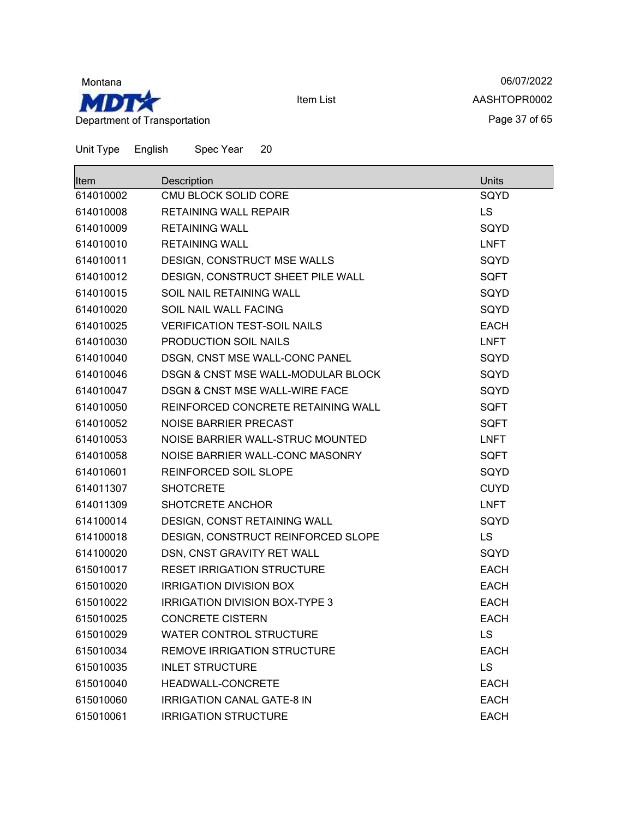

06/07/2022 AASHTOPR0002 Page 37 of 65

| lltem     | Description                                   | <b>Units</b> |
|-----------|-----------------------------------------------|--------------|
| 614010002 | CMU BLOCK SOLID CORE                          | SQYD         |
| 614010008 | <b>RETAINING WALL REPAIR</b>                  | <b>LS</b>    |
| 614010009 | <b>RETAINING WALL</b>                         | SQYD         |
| 614010010 | <b>RETAINING WALL</b>                         | <b>LNFT</b>  |
| 614010011 | DESIGN, CONSTRUCT MSE WALLS                   | SQYD         |
| 614010012 | DESIGN, CONSTRUCT SHEET PILE WALL             | <b>SQFT</b>  |
| 614010015 | SOIL NAIL RETAINING WALL                      | SQYD         |
| 614010020 | SOIL NAIL WALL FACING                         | SQYD         |
| 614010025 | <b>VERIFICATION TEST-SOIL NAILS</b>           | <b>EACH</b>  |
| 614010030 | PRODUCTION SOIL NAILS                         | <b>LNFT</b>  |
| 614010040 | DSGN, CNST MSE WALL-CONC PANEL                | SQYD         |
| 614010046 | <b>DSGN &amp; CNST MSE WALL-MODULAR BLOCK</b> | SQYD         |
| 614010047 | DSGN & CNST MSE WALL-WIRE FACE                | SQYD         |
| 614010050 | REINFORCED CONCRETE RETAINING WALL            | <b>SQFT</b>  |
| 614010052 | NOISE BARRIER PRECAST                         | <b>SQFT</b>  |
| 614010053 | NOISE BARRIER WALL-STRUC MOUNTED              | <b>LNFT</b>  |
| 614010058 | NOISE BARRIER WALL-CONC MASONRY               | <b>SQFT</b>  |
| 614010601 | REINFORCED SOIL SLOPE                         | SQYD         |
| 614011307 | <b>SHOTCRETE</b>                              | <b>CUYD</b>  |
| 614011309 | SHOTCRETE ANCHOR                              | <b>LNFT</b>  |
| 614100014 | DESIGN, CONST RETAINING WALL                  | SQYD         |
| 614100018 | DESIGN, CONSTRUCT REINFORCED SLOPE            | LS           |
| 614100020 | DSN, CNST GRAVITY RET WALL                    | SQYD         |
| 615010017 | <b>RESET IRRIGATION STRUCTURE</b>             | <b>EACH</b>  |
| 615010020 | <b>IRRIGATION DIVISION BOX</b>                | <b>EACH</b>  |
| 615010022 | <b>IRRIGATION DIVISION BOX-TYPE 3</b>         | <b>EACH</b>  |
| 615010025 | <b>CONCRETE CISTERN</b>                       | <b>EACH</b>  |
| 615010029 | <b>WATER CONTROL STRUCTURE</b>                | LS           |
| 615010034 | REMOVE IRRIGATION STRUCTURE                   | <b>EACH</b>  |
| 615010035 | <b>INLET STRUCTURE</b>                        | <b>LS</b>    |
| 615010040 | HEADWALL-CONCRETE                             | <b>EACH</b>  |
| 615010060 | <b>IRRIGATION CANAL GATE-8 IN</b>             | <b>EACH</b>  |
| 615010061 | <b>IRRIGATION STRUCTURE</b>                   | <b>EACH</b>  |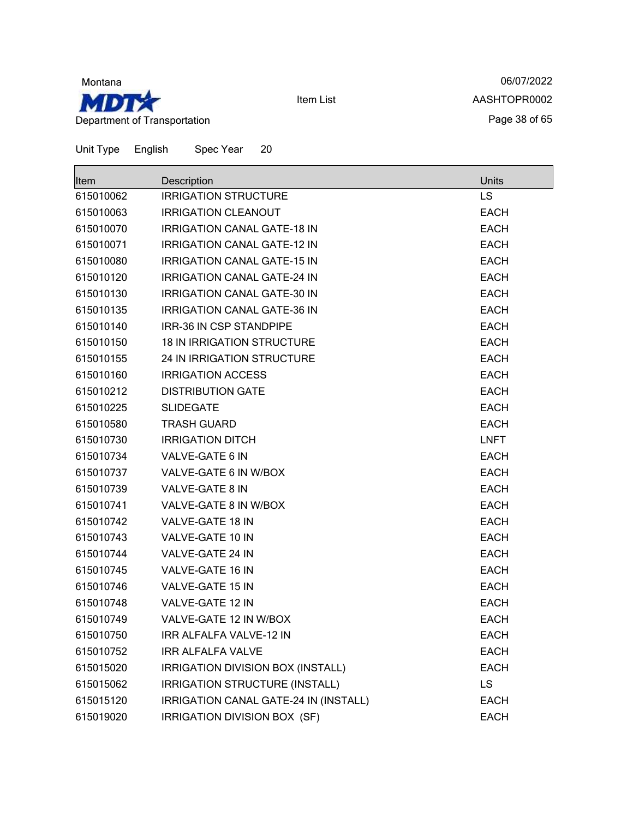

06/07/2022 AASHTOPR0002 Page 38 of 65

|  | Unit Type | English | Spec Year | 20 |
|--|-----------|---------|-----------|----|
|--|-----------|---------|-----------|----|

| <b>Item</b> | Description                           | Units       |
|-------------|---------------------------------------|-------------|
| 615010062   | <b>IRRIGATION STRUCTURE</b>           | LS          |
| 615010063   | <b>IRRIGATION CLEANOUT</b>            | <b>EACH</b> |
| 615010070   | <b>IRRIGATION CANAL GATE-18 IN</b>    | <b>EACH</b> |
| 615010071   | <b>IRRIGATION CANAL GATE-12 IN</b>    | <b>EACH</b> |
| 615010080   | <b>IRRIGATION CANAL GATE-15 IN</b>    | <b>EACH</b> |
| 615010120   | <b>IRRIGATION CANAL GATE-24 IN</b>    | <b>EACH</b> |
| 615010130   | <b>IRRIGATION CANAL GATE-30 IN</b>    | <b>EACH</b> |
| 615010135   | <b>IRRIGATION CANAL GATE-36 IN</b>    | <b>EACH</b> |
| 615010140   | <b>IRR-36 IN CSP STANDPIPE</b>        | <b>EACH</b> |
| 615010150   | <b>18 IN IRRIGATION STRUCTURE</b>     | <b>EACH</b> |
| 615010155   | 24 IN IRRIGATION STRUCTURE            | <b>EACH</b> |
| 615010160   | <b>IRRIGATION ACCESS</b>              | <b>EACH</b> |
| 615010212   | <b>DISTRIBUTION GATE</b>              | <b>EACH</b> |
| 615010225   | <b>SLIDEGATE</b>                      | <b>EACH</b> |
| 615010580   | <b>TRASH GUARD</b>                    | <b>EACH</b> |
| 615010730   | <b>IRRIGATION DITCH</b>               | <b>LNFT</b> |
| 615010734   | VALVE-GATE 6 IN                       | <b>EACH</b> |
| 615010737   | VALVE-GATE 6 IN W/BOX                 | <b>EACH</b> |
| 615010739   | VALVE-GATE 8 IN                       | <b>EACH</b> |
| 615010741   | VALVE-GATE 8 IN W/BOX                 | <b>EACH</b> |
| 615010742   | <b>VALVE-GATE 18 IN</b>               | <b>EACH</b> |
| 615010743   | VALVE-GATE 10 IN                      | <b>EACH</b> |
| 615010744   | VALVE-GATE 24 IN                      | <b>EACH</b> |
| 615010745   | VALVE-GATE 16 IN                      | <b>EACH</b> |
| 615010746   | VALVE-GATE 15 IN                      | <b>EACH</b> |
| 615010748   | VALVE-GATE 12 IN                      | <b>EACH</b> |
| 615010749   | VALVE-GATE 12 IN W/BOX                | <b>EACH</b> |
| 615010750   | <b>IRR ALFALFA VALVE-12 IN</b>        | <b>EACH</b> |
| 615010752   | <b>IRR ALFALFA VALVE</b>              | <b>EACH</b> |
| 615015020   | IRRIGATION DIVISION BOX (INSTALL)     | <b>EACH</b> |
| 615015062   | IRRIGATION STRUCTURE (INSTALL)        | LS          |
| 615015120   | IRRIGATION CANAL GATE-24 IN (INSTALL) | <b>EACH</b> |
| 615019020   | IRRIGATION DIVISION BOX (SF)          | <b>EACH</b> |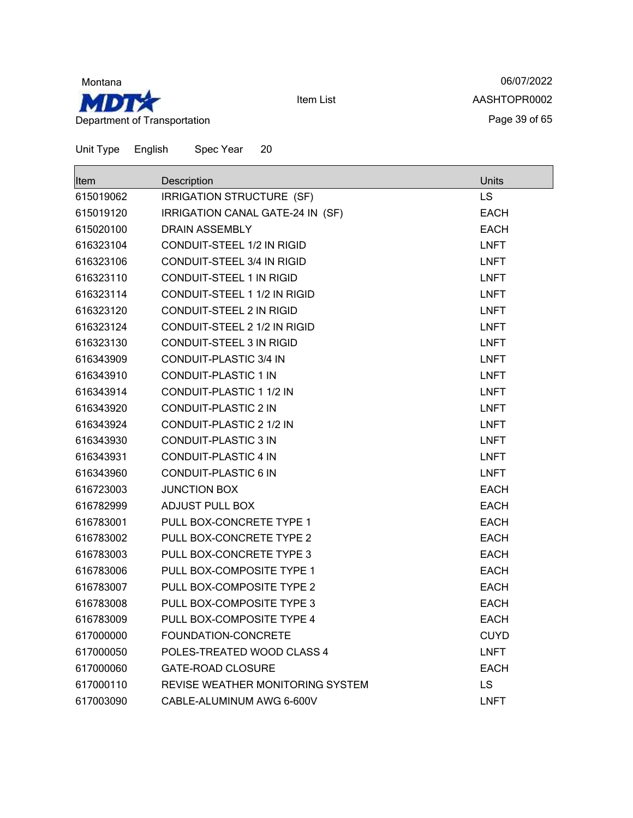

06/07/2022 AASHTOPR0002 Page 39 of 65

| <b>Item</b> | Description                       | Units       |
|-------------|-----------------------------------|-------------|
| 615019062   | IRRIGATION STRUCTURE (SF)         | LS          |
| 615019120   | IRRIGATION CANAL GATE-24 IN (SF)  | <b>EACH</b> |
| 615020100   | DRAIN ASSEMBLY                    | <b>EACH</b> |
| 616323104   | <b>CONDUIT-STEEL 1/2 IN RIGID</b> | <b>LNFT</b> |
| 616323106   | <b>CONDUIT-STEEL 3/4 IN RIGID</b> | <b>LNFT</b> |
| 616323110   | <b>CONDUIT-STEEL 1 IN RIGID</b>   | <b>LNFT</b> |
| 616323114   | CONDUIT-STEEL 1 1/2 IN RIGID      | <b>LNFT</b> |
| 616323120   | CONDUIT-STEEL 2 IN RIGID          | <b>LNFT</b> |
| 616323124   | CONDUIT-STEEL 2 1/2 IN RIGID      | LNFT        |
| 616323130   | <b>CONDUIT-STEEL 3 IN RIGID</b>   | <b>LNFT</b> |
| 616343909   | <b>CONDUIT-PLASTIC 3/4 IN</b>     | <b>LNFT</b> |
| 616343910   | <b>CONDUIT-PLASTIC 1 IN</b>       | <b>LNFT</b> |
| 616343914   | CONDUIT-PLASTIC 1 1/2 IN          | <b>LNFT</b> |
| 616343920   | CONDUIT-PLASTIC 2 IN              | <b>LNFT</b> |
| 616343924   | CONDUIT-PLASTIC 2 1/2 IN          | <b>LNFT</b> |
| 616343930   | <b>CONDUIT-PLASTIC 3 IN</b>       | <b>LNFT</b> |
| 616343931   | <b>CONDUIT-PLASTIC 4 IN</b>       | <b>LNFT</b> |
| 616343960   | <b>CONDUIT-PLASTIC 6 IN</b>       | <b>LNFT</b> |
| 616723003   | <b>JUNCTION BOX</b>               | <b>EACH</b> |
| 616782999   | <b>ADJUST PULL BOX</b>            | <b>EACH</b> |
| 616783001   | PULL BOX-CONCRETE TYPE 1          | <b>EACH</b> |
| 616783002   | PULL BOX-CONCRETE TYPE 2          | <b>EACH</b> |
| 616783003   | PULL BOX-CONCRETE TYPE 3          | <b>EACH</b> |
| 616783006   | PULL BOX-COMPOSITE TYPE 1         | EACH        |
| 616783007   | PULL BOX-COMPOSITE TYPE 2         | <b>EACH</b> |
| 616783008   | PULL BOX-COMPOSITE TYPE 3         | <b>EACH</b> |
| 616783009   | PULL BOX-COMPOSITE TYPE 4         | <b>EACH</b> |
| 617000000   | FOUNDATION-CONCRETE               | <b>CUYD</b> |
| 617000050   | POLES-TREATED WOOD CLASS 4        | <b>LNFT</b> |
| 617000060   | <b>GATE-ROAD CLOSURE</b>          | <b>EACH</b> |
| 617000110   | REVISE WEATHER MONITORING SYSTEM  | LS          |
| 617003090   | CABLE-ALUMINUM AWG 6-600V         | <b>LNFT</b> |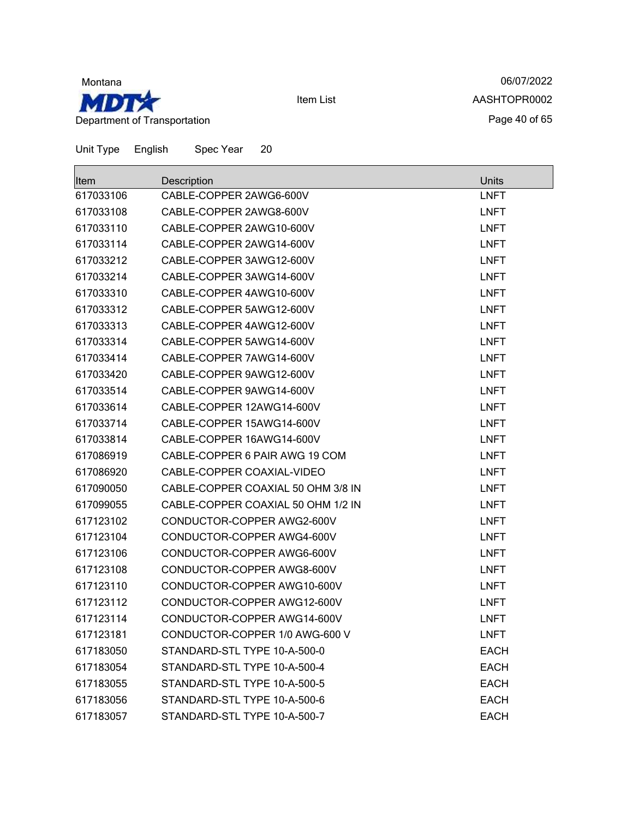

06/07/2022 AASHTOPR0002 Page 40 of 65

| Unit Type | English | Spec Year                | 20                                 |             |
|-----------|---------|--------------------------|------------------------------------|-------------|
| Item      |         | Description              |                                    | Units       |
| 617033106 |         | CABLE-COPPER 2AWG6-600V  |                                    | <b>LNFT</b> |
| 617033108 |         | CABLE-COPPER 2AWG8-600V  |                                    | <b>LNFT</b> |
| 617033110 |         | CABLE-COPPER 2AWG10-600V |                                    | <b>LNFT</b> |
| 617033114 |         | CABLE-COPPER 2AWG14-600V |                                    | <b>LNFT</b> |
| 617033212 |         | CABLE-COPPER 3AWG12-600V |                                    | <b>LNFT</b> |
| 617033214 |         | CABLE-COPPER 3AWG14-600V |                                    | <b>LNFT</b> |
| 617033310 |         | CABLE-COPPER 4AWG10-600V |                                    | <b>LNFT</b> |
| 617033312 |         | CABLE-COPPER 5AWG12-600V |                                    | <b>LNFT</b> |
| 617033313 |         | CABLE-COPPER 4AWG12-600V |                                    | <b>LNFT</b> |
| 617033314 |         | CABLE-COPPER 5AWG14-600V |                                    | <b>LNFT</b> |
| 617033414 |         | CABLE-COPPER 7AWG14-600V |                                    | <b>LNFT</b> |
| 617033420 |         | CABLE-COPPER 9AWG12-600V |                                    | <b>LNFT</b> |
| 617033514 |         | CABLE-COPPER 9AWG14-600V |                                    | <b>LNFT</b> |
| 617033614 |         |                          | CABLE-COPPER 12AWG14-600V          | <b>LNFT</b> |
| 617033714 |         |                          | CABLE-COPPER 15AWG14-600V          | <b>LNFT</b> |
| 617033814 |         |                          | CABLE-COPPER 16AWG14-600V          | <b>LNFT</b> |
| 617086919 |         |                          | CABLE-COPPER 6 PAIR AWG 19 COM     | <b>LNFT</b> |
| 617086920 |         |                          | CABLE-COPPER COAXIAL-VIDEO         | <b>LNFT</b> |
| 617090050 |         |                          | CABLE-COPPER COAXIAL 50 OHM 3/8 IN | <b>LNFT</b> |
| 617099055 |         |                          | CABLE-COPPER COAXIAL 50 OHM 1/2 IN | <b>LNFT</b> |
| 617123102 |         |                          | CONDUCTOR-COPPER AWG2-600V         | <b>LNFT</b> |
| 617123104 |         |                          | CONDUCTOR-COPPER AWG4-600V         | <b>LNFT</b> |
| 617123106 |         |                          | CONDUCTOR-COPPER AWG6-600V         | <b>LNFT</b> |
| 617123108 |         |                          | CONDUCTOR-COPPER AWG8-600V         | <b>LNFT</b> |
| 617123110 |         |                          | CONDUCTOR-COPPER AWG10-600V        | <b>LNFT</b> |
| 617123112 |         |                          | CONDUCTOR-COPPER AWG12-600V        | <b>LNFT</b> |
| 617123114 |         |                          | CONDUCTOR-COPPER AWG14-600V        | <b>LNFT</b> |
| 617123181 |         |                          | CONDUCTOR-COPPER 1/0 AWG-600 V     | <b>LNFT</b> |
| 617183050 |         |                          | STANDARD-STL TYPE 10-A-500-0       | <b>EACH</b> |
| 617183054 |         |                          | STANDARD-STL TYPE 10-A-500-4       | <b>EACH</b> |
| 617183055 |         |                          | STANDARD-STL TYPE 10-A-500-5       | <b>EACH</b> |

 STANDARD-STL TYPE 10-A-500-6 EACH STANDARD-STL TYPE 10-A-500-7 EACH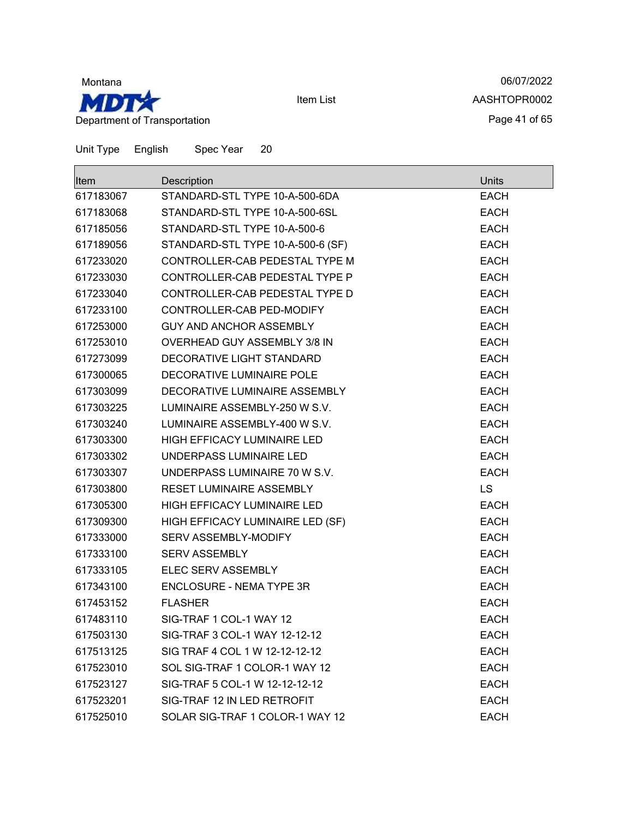

06/07/2022 AASHTOPR0002 Page 41 of 65

| <b>Item</b> | Description                       | <b>Units</b> |
|-------------|-----------------------------------|--------------|
| 617183067   | STANDARD-STL TYPE 10-A-500-6DA    | <b>EACH</b>  |
| 617183068   | STANDARD-STL TYPE 10-A-500-6SL    | <b>EACH</b>  |
| 617185056   | STANDARD-STL TYPE 10-A-500-6      | <b>EACH</b>  |
| 617189056   | STANDARD-STL TYPE 10-A-500-6 (SF) | <b>EACH</b>  |
| 617233020   | CONTROLLER-CAB PEDESTAL TYPE M    | <b>EACH</b>  |
| 617233030   | CONTROLLER-CAB PEDESTAL TYPE P    | <b>EACH</b>  |
| 617233040   | CONTROLLER-CAB PEDESTAL TYPE D    | <b>EACH</b>  |
| 617233100   | CONTROLLER-CAB PED-MODIFY         | <b>EACH</b>  |
| 617253000   | GUY AND ANCHOR ASSEMBLY           | <b>EACH</b>  |
| 617253010   | OVERHEAD GUY ASSEMBLY 3/8 IN      | <b>EACH</b>  |
| 617273099   | DECORATIVE LIGHT STANDARD         | <b>EACH</b>  |
| 617300065   | DECORATIVE LUMINAIRE POLE         | <b>EACH</b>  |
| 617303099   | DECORATIVE LUMINAIRE ASSEMBLY     | <b>EACH</b>  |
| 617303225   | LUMINAIRE ASSEMBLY-250 W S.V.     | <b>EACH</b>  |
| 617303240   | LUMINAIRE ASSEMBLY-400 W S.V.     | <b>EACH</b>  |
| 617303300   | HIGH EFFICACY LUMINAIRE LED       | <b>EACH</b>  |
| 617303302   | UNDERPASS LUMINAIRE LED           | <b>EACH</b>  |
| 617303307   | UNDERPASS LUMINAIRE 70 W S.V.     | <b>EACH</b>  |
| 617303800   | RESET LUMINAIRE ASSEMBLY          | LS           |
| 617305300   | HIGH EFFICACY LUMINAIRE LED       | <b>EACH</b>  |
| 617309300   | HIGH EFFICACY LUMINAIRE LED (SF)  | <b>EACH</b>  |
| 617333000   | <b>SERV ASSEMBLY-MODIFY</b>       | <b>EACH</b>  |
| 617333100   | <b>SERV ASSEMBLY</b>              | <b>EACH</b>  |
| 617333105   | ELEC SERV ASSEMBLY                | <b>EACH</b>  |
| 617343100   | ENCLOSURE - NEMA TYPE 3R          | <b>EACH</b>  |
| 617453152   | <b>FLASHER</b>                    | <b>EACH</b>  |
| 617483110   | SIG-TRAF 1 COL-1 WAY 12           | <b>EACH</b>  |
| 617503130   | SIG-TRAF 3 COL-1 WAY 12-12-12     | <b>EACH</b>  |
| 617513125   | SIG TRAF 4 COL 1 W 12-12-12-12    | <b>EACH</b>  |
| 617523010   | SOL SIG-TRAF 1 COLOR-1 WAY 12     | <b>EACH</b>  |
| 617523127   | SIG-TRAF 5 COL-1 W 12-12-12-12    | <b>EACH</b>  |
| 617523201   | SIG-TRAF 12 IN LED RETROFIT       | <b>EACH</b>  |
| 617525010   | SOLAR SIG-TRAF 1 COLOR-1 WAY 12   | <b>EACH</b>  |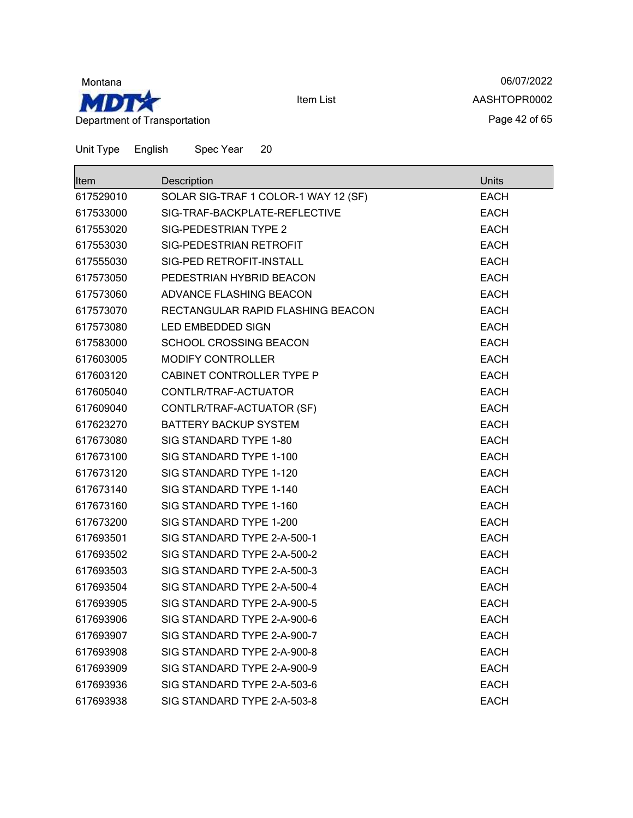

06/07/2022 AASHTOPR0002 Page 42 of 65

| <b>Item</b> | Description                          | Units       |
|-------------|--------------------------------------|-------------|
| 617529010   | SOLAR SIG-TRAF 1 COLOR-1 WAY 12 (SF) | EACH        |
| 617533000   | SIG-TRAF-BACKPLATE-REFLECTIVE        | <b>EACH</b> |
| 617553020   | SIG-PEDESTRIAN TYPE 2                | <b>EACH</b> |
| 617553030   | SIG-PEDESTRIAN RETROFIT              | <b>EACH</b> |
| 617555030   | SIG-PED RETROFIT-INSTALL             | <b>EACH</b> |
| 617573050   | PEDESTRIAN HYBRID BEACON             | <b>EACH</b> |
| 617573060   | ADVANCE FLASHING BEACON              | <b>EACH</b> |
| 617573070   | RECTANGULAR RAPID FLASHING BEACON    | <b>EACH</b> |
| 617573080   | LED EMBEDDED SIGN                    | EACH        |
| 617583000   | SCHOOL CROSSING BEACON               | <b>EACH</b> |
| 617603005   | <b>MODIFY CONTROLLER</b>             | <b>EACH</b> |
| 617603120   | CABINET CONTROLLER TYPE P            | <b>EACH</b> |
| 617605040   | CONTLR/TRAF-ACTUATOR                 | <b>EACH</b> |
| 617609040   | CONTLR/TRAF-ACTUATOR (SF)            | <b>EACH</b> |
| 617623270   | <b>BATTERY BACKUP SYSTEM</b>         | <b>EACH</b> |
| 617673080   | SIG STANDARD TYPE 1-80               | <b>EACH</b> |
| 617673100   | SIG STANDARD TYPE 1-100              | <b>EACH</b> |
| 617673120   | SIG STANDARD TYPE 1-120              | <b>EACH</b> |
| 617673140   | SIG STANDARD TYPE 1-140              | <b>EACH</b> |
| 617673160   | SIG STANDARD TYPE 1-160              | EACH        |
| 617673200   | SIG STANDARD TYPE 1-200              | <b>EACH</b> |
| 617693501   | SIG STANDARD TYPE 2-A-500-1          | EACH        |
| 617693502   | SIG STANDARD TYPE 2-A-500-2          | <b>EACH</b> |
| 617693503   | SIG STANDARD TYPE 2-A-500-3          | <b>EACH</b> |
| 617693504   | SIG STANDARD TYPE 2-A-500-4          | <b>EACH</b> |
| 617693905   | SIG STANDARD TYPE 2-A-900-5          | <b>EACH</b> |
| 617693906   | SIG STANDARD TYPE 2-A-900-6          | <b>EACH</b> |
| 617693907   | SIG STANDARD TYPE 2-A-900-7          | <b>EACH</b> |
| 617693908   | SIG STANDARD TYPE 2-A-900-8          | <b>EACH</b> |
| 617693909   | SIG STANDARD TYPE 2-A-900-9          | <b>EACH</b> |
| 617693936   | SIG STANDARD TYPE 2-A-503-6          | <b>EACH</b> |
| 617693938   | SIG STANDARD TYPE 2-A-503-8          | EACH        |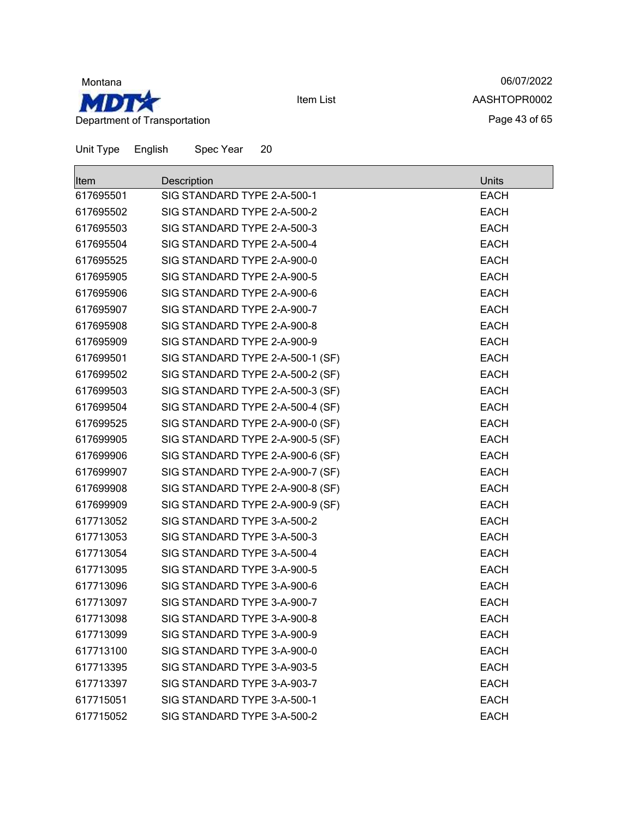

06/07/2022 AASHTOPR0002 Page 43 of 65

| Unit Type | English     | Spec Year                        | 20 |  |              |
|-----------|-------------|----------------------------------|----|--|--------------|
| Item      | Description |                                  |    |  | <b>Units</b> |
| 617695501 |             | SIG STANDARD TYPE 2-A-500-1      |    |  | <b>EACH</b>  |
| 617695502 |             | SIG STANDARD TYPE 2-A-500-2      |    |  | <b>EACH</b>  |
| 617695503 |             | SIG STANDARD TYPE 2-A-500-3      |    |  | <b>EACH</b>  |
| 617695504 |             | SIG STANDARD TYPE 2-A-500-4      |    |  | <b>EACH</b>  |
| 617695525 |             | SIG STANDARD TYPE 2-A-900-0      |    |  | <b>EACH</b>  |
| 617695905 |             | SIG STANDARD TYPE 2-A-900-5      |    |  | <b>EACH</b>  |
| 617695906 |             | SIG STANDARD TYPE 2-A-900-6      |    |  | <b>EACH</b>  |
| 617695907 |             | SIG STANDARD TYPE 2-A-900-7      |    |  | <b>EACH</b>  |
| 617695908 |             | SIG STANDARD TYPE 2-A-900-8      |    |  | <b>EACH</b>  |
| 617695909 |             | SIG STANDARD TYPE 2-A-900-9      |    |  | <b>EACH</b>  |
| 617699501 |             | SIG STANDARD TYPE 2-A-500-1 (SF) |    |  | <b>EACH</b>  |
| 617699502 |             | SIG STANDARD TYPE 2-A-500-2 (SF) |    |  | <b>EACH</b>  |
| 617699503 |             | SIG STANDARD TYPE 2-A-500-3 (SF) |    |  | <b>EACH</b>  |
| 617699504 |             | SIG STANDARD TYPE 2-A-500-4 (SF) |    |  | <b>EACH</b>  |
| 617699525 |             | SIG STANDARD TYPE 2-A-900-0 (SF) |    |  | <b>EACH</b>  |
| 617699905 |             | SIG STANDARD TYPE 2-A-900-5 (SF) |    |  | <b>EACH</b>  |
| 617699906 |             | SIG STANDARD TYPE 2-A-900-6 (SF) |    |  | <b>EACH</b>  |
| 617699907 |             | SIG STANDARD TYPE 2-A-900-7 (SF) |    |  | <b>EACH</b>  |
| 617699908 |             | SIG STANDARD TYPE 2-A-900-8 (SF) |    |  | <b>EACH</b>  |
| 617699909 |             | SIG STANDARD TYPE 2-A-900-9 (SF) |    |  | <b>EACH</b>  |
| 617713052 |             | SIG STANDARD TYPE 3-A-500-2      |    |  | <b>EACH</b>  |
| 617713053 |             | SIG STANDARD TYPE 3-A-500-3      |    |  | <b>EACH</b>  |
| 617713054 |             | SIG STANDARD TYPE 3-A-500-4      |    |  | <b>EACH</b>  |
| 617713095 |             | SIG STANDARD TYPE 3-A-900-5      |    |  | <b>EACH</b>  |
| 617713096 |             | SIG STANDARD TYPE 3-A-900-6      |    |  | <b>EACH</b>  |
| 617713097 |             | SIG STANDARD TYPE 3-A-900-7      |    |  | <b>EACH</b>  |
| 617713098 |             | SIG STANDARD TYPE 3-A-900-8      |    |  | <b>EACH</b>  |
| 617713099 |             | SIG STANDARD TYPE 3-A-900-9      |    |  | <b>EACH</b>  |
| 617713100 |             | SIG STANDARD TYPE 3-A-900-0      |    |  | <b>EACH</b>  |
| 617713395 |             | SIG STANDARD TYPE 3-A-903-5      |    |  | <b>EACH</b>  |
| 617713397 |             | SIG STANDARD TYPE 3-A-903-7      |    |  | <b>EACH</b>  |
| 617715051 |             | SIG STANDARD TYPE 3-A-500-1      |    |  | <b>EACH</b>  |
| 617715052 |             | SIG STANDARD TYPE 3-A-500-2      |    |  | <b>EACH</b>  |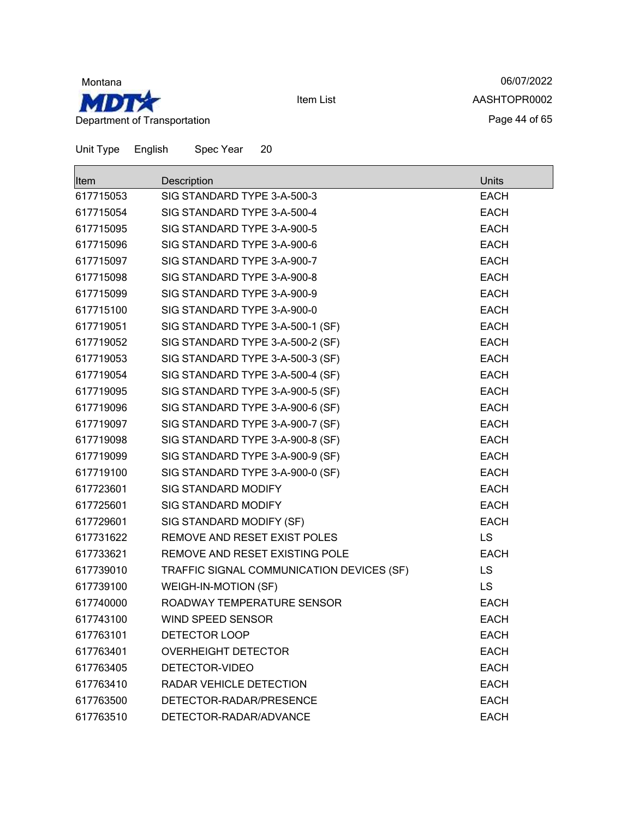

06/07/2022 AASHTOPR0002 Page 44 of 65

| Unit Type | English | Spec Year | 20 |
|-----------|---------|-----------|----|
|           |         |           |    |

| Item      | Description                               | Units       |
|-----------|-------------------------------------------|-------------|
| 617715053 | SIG STANDARD TYPE 3-A-500-3               | <b>EACH</b> |
| 617715054 | SIG STANDARD TYPE 3-A-500-4               | <b>EACH</b> |
| 617715095 | SIG STANDARD TYPE 3-A-900-5               | <b>EACH</b> |
| 617715096 | SIG STANDARD TYPE 3-A-900-6               | <b>EACH</b> |
| 617715097 | SIG STANDARD TYPE 3-A-900-7               | <b>EACH</b> |
| 617715098 | SIG STANDARD TYPE 3-A-900-8               | <b>EACH</b> |
| 617715099 | SIG STANDARD TYPE 3-A-900-9               | <b>EACH</b> |
| 617715100 | SIG STANDARD TYPE 3-A-900-0               | <b>EACH</b> |
| 617719051 | SIG STANDARD TYPE 3-A-500-1 (SF)          | <b>EACH</b> |
| 617719052 | SIG STANDARD TYPE 3-A-500-2 (SF)          | <b>EACH</b> |
| 617719053 | SIG STANDARD TYPE 3-A-500-3 (SF)          | <b>EACH</b> |
| 617719054 | SIG STANDARD TYPE 3-A-500-4 (SF)          | <b>EACH</b> |
| 617719095 | SIG STANDARD TYPE 3-A-900-5 (SF)          | <b>EACH</b> |
| 617719096 | SIG STANDARD TYPE 3-A-900-6 (SF)          | <b>EACH</b> |
| 617719097 | SIG STANDARD TYPE 3-A-900-7 (SF)          | <b>EACH</b> |
| 617719098 | SIG STANDARD TYPE 3-A-900-8 (SF)          | <b>EACH</b> |
| 617719099 | SIG STANDARD TYPE 3-A-900-9 (SF)          | <b>EACH</b> |
| 617719100 | SIG STANDARD TYPE 3-A-900-0 (SF)          | <b>EACH</b> |
| 617723601 | SIG STANDARD MODIFY                       | <b>EACH</b> |
| 617725601 | SIG STANDARD MODIFY                       | <b>EACH</b> |
| 617729601 | SIG STANDARD MODIFY (SF)                  | <b>EACH</b> |
| 617731622 | REMOVE AND RESET EXIST POLES              | <b>LS</b>   |
| 617733621 | REMOVE AND RESET EXISTING POLE            | <b>EACH</b> |
| 617739010 | TRAFFIC SIGNAL COMMUNICATION DEVICES (SF) | LS          |
| 617739100 | <b>WEIGH-IN-MOTION (SF)</b>               | <b>LS</b>   |
| 617740000 | ROADWAY TEMPERATURE SENSOR                | <b>EACH</b> |
| 617743100 | WIND SPEED SENSOR                         | <b>EACH</b> |
| 617763101 | DETECTOR LOOP                             | <b>EACH</b> |
| 617763401 | <b>OVERHEIGHT DETECTOR</b>                | <b>EACH</b> |
| 617763405 | DETECTOR-VIDEO                            | <b>EACH</b> |
| 617763410 | RADAR VEHICLE DETECTION                   | <b>EACH</b> |
| 617763500 | DETECTOR-RADAR/PRESENCE                   | <b>EACH</b> |
| 617763510 | DETECTOR-RADAR/ADVANCE                    | <b>EACH</b> |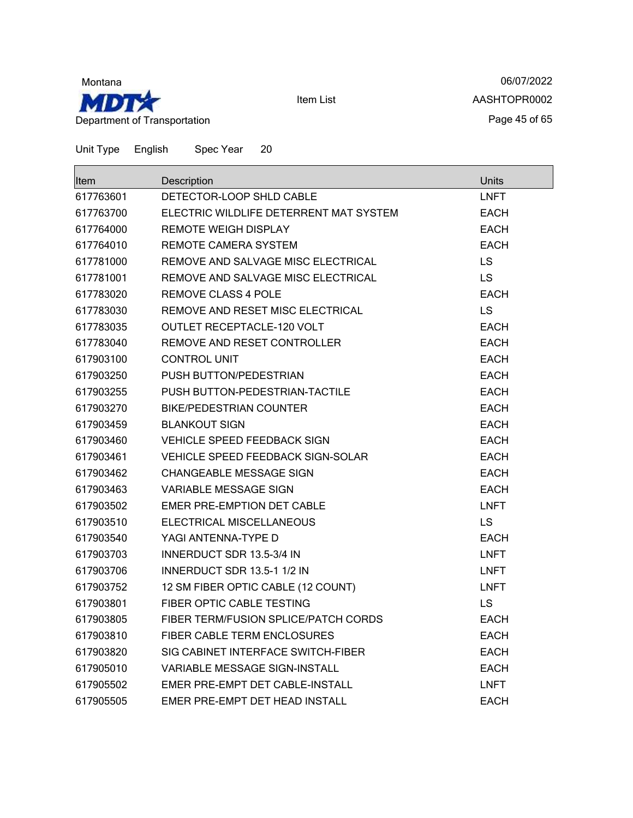

06/07/2022 AASHTOPR0002 Page 45 of 65

| <b>Item</b> | Description                              | <b>Units</b> |
|-------------|------------------------------------------|--------------|
| 617763601   | DETECTOR-LOOP SHLD CABLE                 | <b>LNFT</b>  |
| 617763700   | ELECTRIC WILDLIFE DETERRENT MAT SYSTEM   | <b>EACH</b>  |
| 617764000   | <b>REMOTE WEIGH DISPLAY</b>              | <b>EACH</b>  |
| 617764010   | REMOTE CAMERA SYSTEM                     | <b>EACH</b>  |
| 617781000   | REMOVE AND SALVAGE MISC ELECTRICAL       | LS           |
| 617781001   | REMOVE AND SALVAGE MISC ELECTRICAL       | LS           |
| 617783020   | <b>REMOVE CLASS 4 POLE</b>               | <b>EACH</b>  |
| 617783030   | REMOVE AND RESET MISC ELECTRICAL         | <b>LS</b>    |
| 617783035   | <b>OUTLET RECEPTACLE-120 VOLT</b>        | <b>EACH</b>  |
| 617783040   | REMOVE AND RESET CONTROLLER              | <b>EACH</b>  |
| 617903100   | <b>CONTROL UNIT</b>                      | <b>EACH</b>  |
| 617903250   | PUSH BUTTON/PEDESTRIAN                   | EACH         |
| 617903255   | PUSH BUTTON-PEDESTRIAN-TACTILE           | <b>EACH</b>  |
| 617903270   | <b>BIKE/PEDESTRIAN COUNTER</b>           | <b>EACH</b>  |
| 617903459   | <b>BLANKOUT SIGN</b>                     | <b>EACH</b>  |
| 617903460   | <b>VEHICLE SPEED FEEDBACK SIGN</b>       | <b>EACH</b>  |
| 617903461   | <b>VEHICLE SPEED FEEDBACK SIGN-SOLAR</b> | <b>EACH</b>  |
| 617903462   | CHANGEABLE MESSAGE SIGN                  | <b>EACH</b>  |
| 617903463   | <b>VARIABLE MESSAGE SIGN</b>             | <b>EACH</b>  |
| 617903502   | EMER PRE-EMPTION DET CABLE               | <b>LNFT</b>  |
| 617903510   | ELECTRICAL MISCELLANEOUS                 | <b>LS</b>    |
| 617903540   | YAGI ANTENNA-TYPE D                      | <b>EACH</b>  |
| 617903703   | INNERDUCT SDR 13.5-3/4 IN                | <b>LNFT</b>  |
| 617903706   | INNERDUCT SDR 13.5-1 1/2 IN              | <b>LNFT</b>  |
| 617903752   | 12 SM FIBER OPTIC CABLE (12 COUNT)       | <b>LNFT</b>  |
| 617903801   | <b>FIBER OPTIC CABLE TESTING</b>         | <b>LS</b>    |
| 617903805   | FIBER TERM/FUSION SPLICE/PATCH CORDS     | <b>EACH</b>  |
| 617903810   | <b>FIBER CABLE TERM ENCLOSURES</b>       | <b>EACH</b>  |
| 617903820   | SIG CABINET INTERFACE SWITCH-FIBER       | <b>EACH</b>  |
| 617905010   | <b>VARIABLE MESSAGE SIGN-INSTALL</b>     | EACH         |
| 617905502   | EMER PRE-EMPT DET CABLE-INSTALL          | <b>LNFT</b>  |
| 617905505   | EMER PRE-EMPT DET HEAD INSTALL           | <b>EACH</b>  |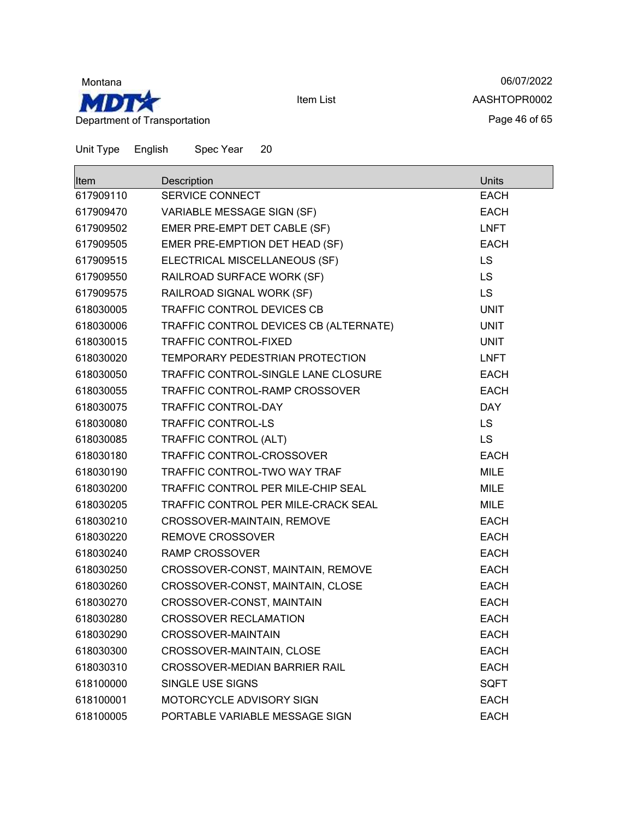

06/07/2022 AASHTOPR0002 Page 46 of 65

| Item      | Description                            | Units       |
|-----------|----------------------------------------|-------------|
| 617909110 | <b>SERVICE CONNECT</b>                 | <b>EACH</b> |
| 617909470 | VARIABLE MESSAGE SIGN (SF)             | <b>EACH</b> |
| 617909502 | EMER PRE-EMPT DET CABLE (SF)           | <b>LNFT</b> |
| 617909505 | EMER PRE-EMPTION DET HEAD (SF)         | <b>EACH</b> |
| 617909515 | ELECTRICAL MISCELLANEOUS (SF)          | <b>LS</b>   |
| 617909550 | RAILROAD SURFACE WORK (SF)             | <b>LS</b>   |
| 617909575 | RAILROAD SIGNAL WORK (SF)              | <b>LS</b>   |
| 618030005 | <b>TRAFFIC CONTROL DEVICES CB</b>      | <b>UNIT</b> |
| 618030006 | TRAFFIC CONTROL DEVICES CB (ALTERNATE) | <b>UNIT</b> |
| 618030015 | <b>TRAFFIC CONTROL-FIXED</b>           | <b>UNIT</b> |
| 618030020 | TEMPORARY PEDESTRIAN PROTECTION        | <b>LNFT</b> |
| 618030050 | TRAFFIC CONTROL-SINGLE LANE CLOSURE    | <b>EACH</b> |
| 618030055 | TRAFFIC CONTROL-RAMP CROSSOVER         | <b>EACH</b> |
| 618030075 | <b>TRAFFIC CONTROL-DAY</b>             | <b>DAY</b>  |
| 618030080 | <b>TRAFFIC CONTROL-LS</b>              | <b>LS</b>   |
| 618030085 | TRAFFIC CONTROL (ALT)                  | <b>LS</b>   |
| 618030180 | TRAFFIC CONTROL-CROSSOVER              | <b>EACH</b> |
| 618030190 | TRAFFIC CONTROL-TWO WAY TRAF           | <b>MILE</b> |
| 618030200 | TRAFFIC CONTROL PER MILE-CHIP SEAL     | <b>MILE</b> |
| 618030205 | TRAFFIC CONTROL PER MILE-CRACK SEAL    | <b>MILE</b> |
| 618030210 | CROSSOVER-MAINTAIN, REMOVE             | <b>EACH</b> |
| 618030220 | <b>REMOVE CROSSOVER</b>                | <b>EACH</b> |
| 618030240 | <b>RAMP CROSSOVER</b>                  | <b>EACH</b> |
| 618030250 | CROSSOVER-CONST, MAINTAIN, REMOVE      | <b>EACH</b> |
| 618030260 | CROSSOVER-CONST, MAINTAIN, CLOSE       | <b>EACH</b> |
| 618030270 | CROSSOVER-CONST, MAINTAIN              | <b>EACH</b> |
| 618030280 | <b>CROSSOVER RECLAMATION</b>           | <b>EACH</b> |
| 618030290 | CROSSOVER-MAINTAIN                     | <b>EACH</b> |
| 618030300 | CROSSOVER-MAINTAIN, CLOSE              | <b>EACH</b> |
| 618030310 | <b>CROSSOVER-MEDIAN BARRIER RAIL</b>   | <b>EACH</b> |
| 618100000 | SINGLE USE SIGNS                       | <b>SQFT</b> |
| 618100001 | MOTORCYCLE ADVISORY SIGN               | <b>EACH</b> |
| 618100005 | PORTABLE VARIABLE MESSAGE SIGN         | <b>EACH</b> |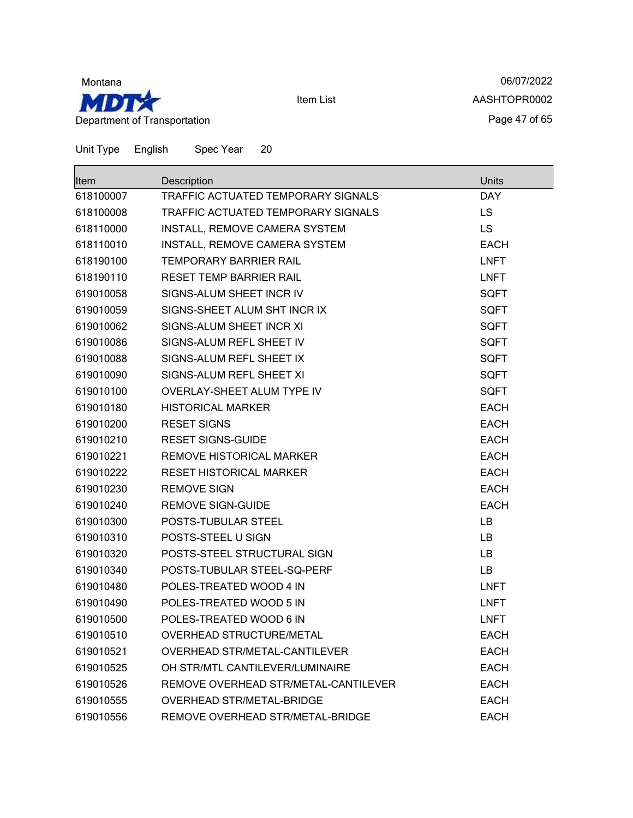

06/07/2022 AASHTOPR0002 Page 47 of 65

| <b>Item</b> | Description                          | Units       |
|-------------|--------------------------------------|-------------|
| 618100007   | TRAFFIC ACTUATED TEMPORARY SIGNALS   | <b>DAY</b>  |
| 618100008   | TRAFFIC ACTUATED TEMPORARY SIGNALS   | LS.         |
| 618110000   | INSTALL, REMOVE CAMERA SYSTEM        | <b>LS</b>   |
| 618110010   | INSTALL, REMOVE CAMERA SYSTEM        | <b>EACH</b> |
| 618190100   | <b>TEMPORARY BARRIER RAIL</b>        | <b>LNFT</b> |
| 618190110   | <b>RESET TEMP BARRIER RAIL</b>       | <b>LNFT</b> |
| 619010058   | SIGNS-ALUM SHEET INCR IV             | <b>SQFT</b> |
| 619010059   | SIGNS-SHEET ALUM SHT INCR IX         | <b>SQFT</b> |
| 619010062   | SIGNS-ALUM SHEET INCR XI             | <b>SQFT</b> |
| 619010086   | SIGNS-ALUM REFL SHEET IV             | <b>SQFT</b> |
| 619010088   | SIGNS-ALUM REFL SHEET IX             | <b>SQFT</b> |
| 619010090   | SIGNS-ALUM REFL SHEET XI             | <b>SQFT</b> |
| 619010100   | OVERLAY-SHEET ALUM TYPE IV           | <b>SQFT</b> |
| 619010180   | <b>HISTORICAL MARKER</b>             | <b>EACH</b> |
| 619010200   | <b>RESET SIGNS</b>                   | <b>EACH</b> |
| 619010210   | <b>RESET SIGNS-GUIDE</b>             | <b>EACH</b> |
| 619010221   | REMOVE HISTORICAL MARKER             | <b>EACH</b> |
| 619010222   | <b>RESET HISTORICAL MARKER</b>       | <b>EACH</b> |
| 619010230   | <b>REMOVE SIGN</b>                   | <b>EACH</b> |
| 619010240   | <b>REMOVE SIGN-GUIDE</b>             | <b>EACH</b> |
| 619010300   | POSTS-TUBULAR STEEL                  | LB          |
| 619010310   | POSTS-STEEL U SIGN                   | LB          |
| 619010320   | POSTS-STEEL STRUCTURAL SIGN          | LB          |
| 619010340   | POSTS-TUBULAR STEEL-SQ-PERF          | LB          |
| 619010480   | POLES-TREATED WOOD 4 IN              | <b>LNFT</b> |
| 619010490   | POLES-TREATED WOOD 5 IN              | <b>LNFT</b> |
| 619010500   | POLES-TREATED WOOD 6 IN              | <b>LNFT</b> |
| 619010510   | <b>OVERHEAD STRUCTURE/METAL</b>      | <b>EACH</b> |
| 619010521   | OVERHEAD STR/METAL-CANTILEVER        | <b>EACH</b> |
| 619010525   | OH STR/MTL CANTILEVER/LUMINAIRE      | <b>EACH</b> |
| 619010526   | REMOVE OVERHEAD STR/METAL-CANTILEVER | <b>EACH</b> |
| 619010555   | OVERHEAD STR/METAL-BRIDGE            | <b>EACH</b> |
| 619010556   | REMOVE OVERHEAD STR/METAL-BRIDGE     | <b>EACH</b> |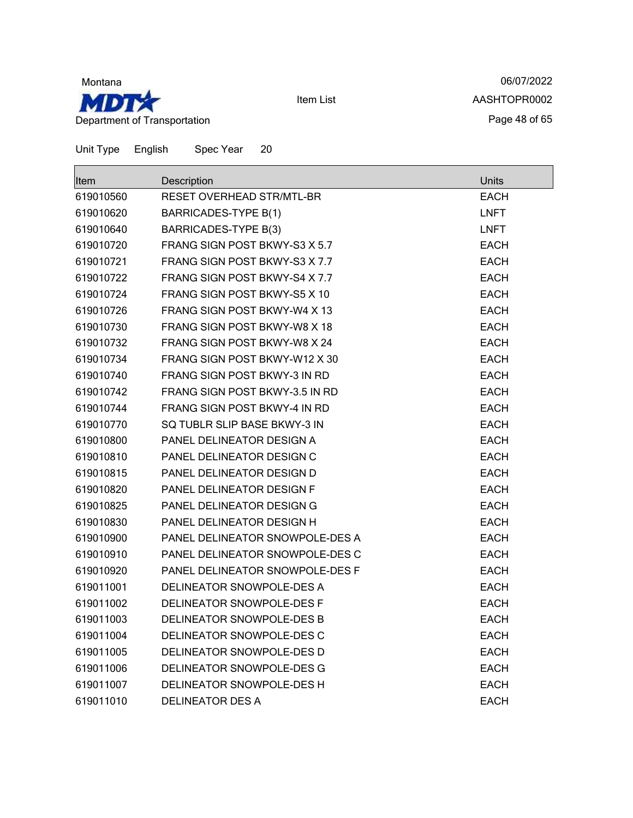

06/07/2022 AASHTOPR0002 Page 48 of 65

| <b>Item</b> | Description                     | <b>Units</b> |
|-------------|---------------------------------|--------------|
| 619010560   | RESET OVERHEAD STR/MTL-BR       | <b>EACH</b>  |
| 619010620   | <b>BARRICADES-TYPE B(1)</b>     | <b>LNFT</b>  |
| 619010640   | <b>BARRICADES-TYPE B(3)</b>     | <b>LNFT</b>  |
| 619010720   | FRANG SIGN POST BKWY-S3 X 5.7   | <b>EACH</b>  |
| 619010721   | FRANG SIGN POST BKWY-S3 X 7.7   | <b>EACH</b>  |
| 619010722   | FRANG SIGN POST BKWY-S4 X 7.7   | <b>EACH</b>  |
| 619010724   | FRANG SIGN POST BKWY-S5 X 10    | <b>EACH</b>  |
| 619010726   | FRANG SIGN POST BKWY-W4 X 13    | <b>EACH</b>  |
| 619010730   | FRANG SIGN POST BKWY-W8 X 18    | <b>EACH</b>  |
| 619010732   | FRANG SIGN POST BKWY-W8 X 24    | <b>EACH</b>  |
| 619010734   | FRANG SIGN POST BKWY-W12 X 30   | <b>EACH</b>  |
| 619010740   | FRANG SIGN POST BKWY-3 IN RD    | <b>EACH</b>  |
| 619010742   | FRANG SIGN POST BKWY-3.5 IN RD  | <b>EACH</b>  |
| 619010744   | FRANG SIGN POST BKWY-4 IN RD    | <b>EACH</b>  |
| 619010770   | SQ TUBLR SLIP BASE BKWY-3 IN    | <b>EACH</b>  |
| 619010800   | PANEL DELINEATOR DESIGN A       | EACH         |
| 619010810   | PANEL DELINEATOR DESIGN C       | <b>EACH</b>  |
| 619010815   | PANEL DELINEATOR DESIGN D       | <b>EACH</b>  |
| 619010820   | PANEL DELINEATOR DESIGN F       | <b>EACH</b>  |
| 619010825   | PANEL DELINEATOR DESIGN G       | EACH         |
| 619010830   | PANEL DELINEATOR DESIGN H       | <b>EACH</b>  |
| 619010900   | PANEL DELINEATOR SNOWPOLE-DES A | <b>EACH</b>  |
| 619010910   | PANEL DELINEATOR SNOWPOLE-DES C | <b>EACH</b>  |
| 619010920   | PANEL DELINEATOR SNOWPOLE-DES F | <b>EACH</b>  |
| 619011001   | DELINEATOR SNOWPOLE-DES A       | <b>EACH</b>  |
| 619011002   | DELINEATOR SNOWPOLE-DES F       | <b>EACH</b>  |
| 619011003   | DELINEATOR SNOWPOLE-DES B       | <b>EACH</b>  |
| 619011004   | DELINEATOR SNOWPOLE-DES C       | <b>EACH</b>  |
| 619011005   | DELINEATOR SNOWPOLE-DES D       | <b>EACH</b>  |
| 619011006   | DELINEATOR SNOWPOLE-DES G       | <b>EACH</b>  |
| 619011007   | DELINEATOR SNOWPOLE-DES H       | <b>EACH</b>  |
| 619011010   | <b>DELINEATOR DES A</b>         | <b>EACH</b>  |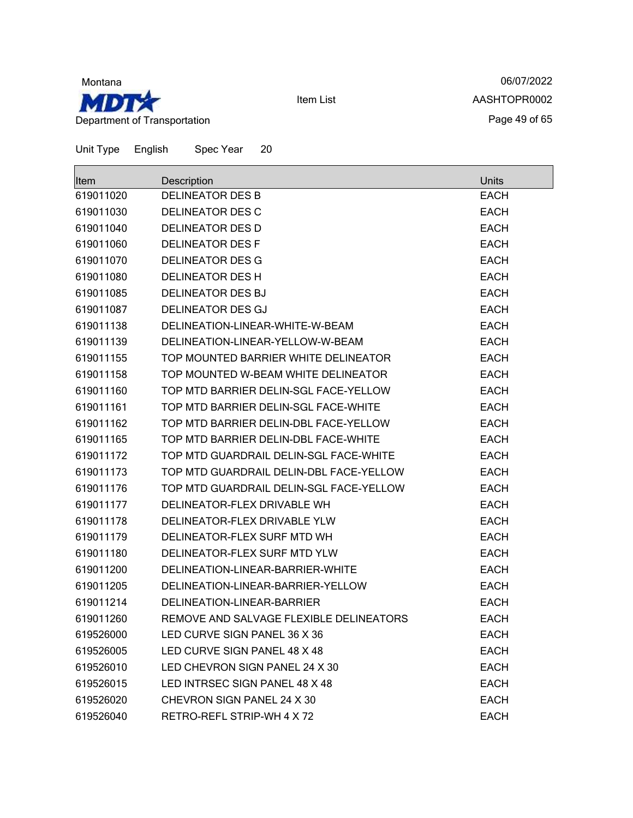

06/07/2022 AASHTOPR0002 Page 49 of 65

Unit Type English Spec Year 20  $\blacksquare$ 

| lltem     | Description                             | Units       |
|-----------|-----------------------------------------|-------------|
| 619011020 | <b>DELINEATOR DES B</b>                 | <b>EACH</b> |
| 619011030 | <b>DELINEATOR DES C</b>                 | <b>EACH</b> |
| 619011040 | <b>DELINEATOR DES D</b>                 | <b>EACH</b> |
| 619011060 | <b>DELINEATOR DES F</b>                 | <b>EACH</b> |
| 619011070 | <b>DELINEATOR DES G</b>                 | <b>EACH</b> |
| 619011080 | <b>DELINEATOR DES H</b>                 | <b>EACH</b> |
| 619011085 | <b>DELINEATOR DES BJ</b>                | <b>EACH</b> |
| 619011087 | <b>DELINEATOR DES GJ</b>                | <b>EACH</b> |
| 619011138 | DELINEATION-LINEAR-WHITE-W-BEAM         | <b>EACH</b> |
| 619011139 | DELINEATION-LINEAR-YELLOW-W-BEAM        | <b>EACH</b> |
| 619011155 | TOP MOUNTED BARRIER WHITE DELINEATOR    | <b>EACH</b> |
| 619011158 | TOP MOUNTED W-BEAM WHITE DELINEATOR     | <b>EACH</b> |
| 619011160 | TOP MTD BARRIER DELIN-SGL FACE-YELLOW   | <b>EACH</b> |
| 619011161 | TOP MTD BARRIER DELIN-SGL FACE-WHITE    | <b>EACH</b> |
| 619011162 | TOP MTD BARRIER DELIN-DBL FACE-YELLOW   | <b>EACH</b> |
| 619011165 | TOP MTD BARRIER DELIN-DBL FACE-WHITE    | <b>EACH</b> |
| 619011172 | TOP MTD GUARDRAIL DELIN-SGL FACE-WHITE  | <b>EACH</b> |
| 619011173 | TOP MTD GUARDRAIL DELIN-DBL FACE-YELLOW | <b>EACH</b> |
| 619011176 | TOP MTD GUARDRAIL DELIN-SGL FACE-YELLOW | <b>EACH</b> |
| 619011177 | DELINEATOR-FLEX DRIVABLE WH             | <b>EACH</b> |
| 619011178 | DELINEATOR-FLEX DRIVABLE YLW            | <b>EACH</b> |
| 619011179 | DELINEATOR-FLEX SURF MTD WH             | <b>EACH</b> |
| 619011180 | DELINEATOR-FLEX SURF MTD YLW            | <b>EACH</b> |
| 619011200 | DELINEATION-LINEAR-BARRIER-WHITE        | <b>EACH</b> |
| 619011205 | DELINEATION-LINEAR-BARRIER-YELLOW       | <b>EACH</b> |
| 619011214 | DELINEATION-LINEAR-BARRIER              | <b>EACH</b> |
| 619011260 | REMOVE AND SALVAGE FLEXIBLE DELINEATORS | <b>EACH</b> |
| 619526000 | LED CURVE SIGN PANEL 36 X 36            | <b>EACH</b> |
| 619526005 | LED CURVE SIGN PANEL 48 X 48            | <b>EACH</b> |
| 619526010 | LED CHEVRON SIGN PANEL 24 X 30          | <b>EACH</b> |
| 619526015 | LED INTRSEC SIGN PANEL 48 X 48          | <b>EACH</b> |
| 619526020 | CHEVRON SIGN PANEL 24 X 30              | <b>EACH</b> |
| 619526040 | RETRO-REFL STRIP-WH 4 X 72              | <b>EACH</b> |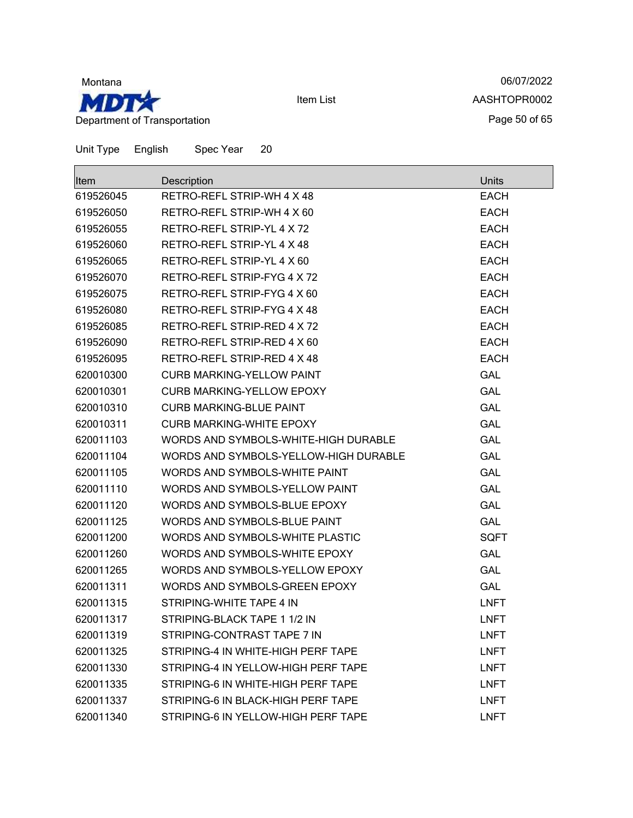

06/07/2022 AASHTOPR0002 Page 50 of 65

| Item      | Description                           | Units       |
|-----------|---------------------------------------|-------------|
| 619526045 | RETRO-REFL STRIP-WH 4 X 48            | <b>EACH</b> |
| 619526050 | RETRO-REFL STRIP-WH 4 X 60            | <b>EACH</b> |
| 619526055 | RETRO-REFL STRIP-YL 4 X 72            | <b>EACH</b> |
| 619526060 | RETRO-REFL STRIP-YL 4 X 48            | <b>EACH</b> |
| 619526065 | RETRO-REFL STRIP-YL 4 X 60            | <b>EACH</b> |
| 619526070 | RETRO-REFL STRIP-FYG 4 X 72           | <b>EACH</b> |
| 619526075 | RETRO-REFL STRIP-FYG 4 X 60           | <b>EACH</b> |
| 619526080 | RETRO-REFL STRIP-FYG 4 X 48           | <b>EACH</b> |
| 619526085 | RETRO-REFL STRIP-RED 4 X 72           | <b>EACH</b> |
| 619526090 | RETRO-REFL STRIP-RED 4 X 60           | <b>EACH</b> |
| 619526095 | RETRO-REFL STRIP-RED 4 X 48           | <b>EACH</b> |
| 620010300 | <b>CURB MARKING-YELLOW PAINT</b>      | <b>GAL</b>  |
| 620010301 | <b>CURB MARKING-YELLOW EPOXY</b>      | <b>GAL</b>  |
| 620010310 | <b>CURB MARKING-BLUE PAINT</b>        | <b>GAL</b>  |
| 620010311 | <b>CURB MARKING-WHITE EPOXY</b>       | <b>GAL</b>  |
| 620011103 | WORDS AND SYMBOLS-WHITE-HIGH DURABLE  | <b>GAL</b>  |
| 620011104 | WORDS AND SYMBOLS-YELLOW-HIGH DURABLE | <b>GAL</b>  |
| 620011105 | WORDS AND SYMBOLS-WHITE PAINT         | <b>GAL</b>  |
| 620011110 | WORDS AND SYMBOLS-YELLOW PAINT        | <b>GAL</b>  |
| 620011120 | WORDS AND SYMBOLS-BLUE EPOXY          | <b>GAL</b>  |
| 620011125 | WORDS AND SYMBOLS-BLUE PAINT          | <b>GAL</b>  |
| 620011200 | WORDS AND SYMBOLS-WHITE PLASTIC       | <b>SQFT</b> |
| 620011260 | WORDS AND SYMBOLS-WHITE EPOXY         | <b>GAL</b>  |
| 620011265 | WORDS AND SYMBOLS-YELLOW EPOXY        | <b>GAL</b>  |
| 620011311 | WORDS AND SYMBOLS-GREEN EPOXY         | <b>GAL</b>  |
| 620011315 | STRIPING-WHITE TAPE 4 IN              | <b>LNFT</b> |
| 620011317 | STRIPING-BLACK TAPE 1 1/2 IN          | <b>LNFT</b> |
| 620011319 | STRIPING-CONTRAST TAPE 7 IN           | <b>LNFT</b> |
| 620011325 | STRIPING-4 IN WHITE-HIGH PERF TAPE    | <b>LNFT</b> |
| 620011330 | STRIPING-4 IN YELLOW-HIGH PERF TAPE   | <b>LNFT</b> |
| 620011335 | STRIPING-6 IN WHITE-HIGH PERF TAPE    | <b>LNFT</b> |
| 620011337 | STRIPING-6 IN BLACK-HIGH PERF TAPE    | <b>LNFT</b> |
| 620011340 | STRIPING-6 IN YELLOW-HIGH PERF TAPE   | <b>LNFT</b> |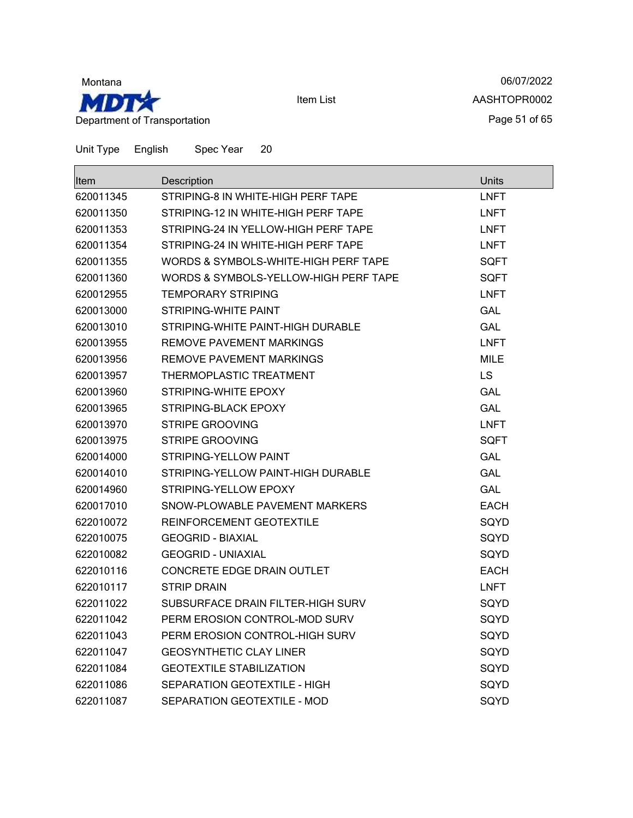

06/07/2022 AASHTOPR0002 Page 51 of 65

| Item      | Description                           | <b>Units</b> |
|-----------|---------------------------------------|--------------|
| 620011345 | STRIPING-8 IN WHITE-HIGH PERF TAPE    | <b>LNFT</b>  |
| 620011350 | STRIPING-12 IN WHITE-HIGH PERF TAPE   | <b>LNFT</b>  |
| 620011353 | STRIPING-24 IN YELLOW-HIGH PERF TAPE  | <b>LNFT</b>  |
| 620011354 | STRIPING-24 IN WHITE-HIGH PERF TAPE   | <b>LNFT</b>  |
| 620011355 | WORDS & SYMBOLS-WHITE-HIGH PERF TAPE  | SQFT         |
| 620011360 | WORDS & SYMBOLS-YELLOW-HIGH PERF TAPE | SQFT         |
| 620012955 | <b>TEMPORARY STRIPING</b>             | <b>LNFT</b>  |
| 620013000 | STRIPING-WHITE PAINT                  | <b>GAL</b>   |
| 620013010 | STRIPING-WHITE PAINT-HIGH DURABLE     | <b>GAL</b>   |
| 620013955 | REMOVE PAVEMENT MARKINGS              | <b>LNFT</b>  |
| 620013956 | REMOVE PAVEMENT MARKINGS              | MILE         |
| 620013957 | THERMOPLASTIC TREATMENT               | <b>LS</b>    |
| 620013960 | STRIPING-WHITE EPOXY                  | <b>GAL</b>   |
| 620013965 | STRIPING-BLACK EPOXY                  | <b>GAL</b>   |
| 620013970 | <b>STRIPE GROOVING</b>                | <b>LNFT</b>  |
| 620013975 | <b>STRIPE GROOVING</b>                | SQFT         |
| 620014000 | STRIPING-YELLOW PAINT                 | GAL          |
| 620014010 | STRIPING-YELLOW PAINT-HIGH DURABLE    | <b>GAL</b>   |
| 620014960 | STRIPING-YELLOW EPOXY                 | GAL          |
| 620017010 | SNOW-PLOWABLE PAVEMENT MARKERS        | <b>EACH</b>  |
| 622010072 | REINFORCEMENT GEOTEXTILE              | SQYD         |
| 622010075 | <b>GEOGRID - BIAXIAL</b>              | SQYD         |
| 622010082 | <b>GEOGRID - UNIAXIAL</b>             | SQYD         |
| 622010116 | <b>CONCRETE EDGE DRAIN OUTLET</b>     | <b>EACH</b>  |
| 622010117 | <b>STRIP DRAIN</b>                    | <b>LNFT</b>  |
| 622011022 | SUBSURFACE DRAIN FILTER-HIGH SURV     | SQYD         |
| 622011042 | PERM EROSION CONTROL-MOD SURV         | SQYD         |
| 622011043 | PERM EROSION CONTROL-HIGH SURV        | SQYD         |
| 622011047 | <b>GEOSYNTHETIC CLAY LINER</b>        | SQYD         |
| 622011084 | <b>GEOTEXTILE STABILIZATION</b>       | SQYD         |
| 622011086 | SEPARATION GEOTEXTILE - HIGH          | SQYD         |
| 622011087 | SEPARATION GEOTEXTILE - MOD           | SQYD         |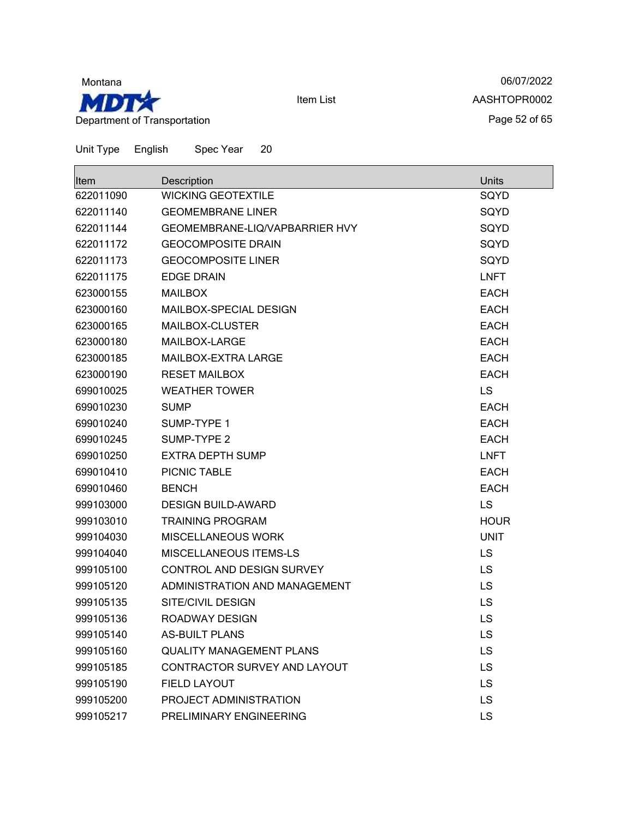

06/07/2022 AASHTOPR0002 Page 52 of 65

| <b>Item</b> | Description                     | <b>Units</b> |
|-------------|---------------------------------|--------------|
| 622011090   | <b>WICKING GEOTEXTILE</b>       | SQYD         |
| 622011140   | <b>GEOMEMBRANE LINER</b>        | SQYD         |
| 622011144   | GEOMEMBRANE-LIQ/VAPBARRIER HVY  | SQYD         |
| 622011172   | <b>GEOCOMPOSITE DRAIN</b>       | SQYD         |
| 622011173   | <b>GEOCOMPOSITE LINER</b>       | SQYD         |
| 622011175   | <b>EDGE DRAIN</b>               | <b>LNFT</b>  |
| 623000155   | <b>MAILBOX</b>                  | <b>EACH</b>  |
| 623000160   | MAILBOX-SPECIAL DESIGN          | <b>EACH</b>  |
| 623000165   | MAILBOX-CLUSTER                 | <b>EACH</b>  |
| 623000180   | MAILBOX-LARGE                   | <b>EACH</b>  |
| 623000185   | MAILBOX-EXTRA LARGE             | <b>EACH</b>  |
| 623000190   | <b>RESET MAILBOX</b>            | <b>EACH</b>  |
| 699010025   | <b>WEATHER TOWER</b>            | LS           |
| 699010230   | <b>SUMP</b>                     | <b>EACH</b>  |
| 699010240   | SUMP-TYPE 1                     | <b>EACH</b>  |
| 699010245   | SUMP-TYPE 2                     | <b>EACH</b>  |
| 699010250   | <b>EXTRA DEPTH SUMP</b>         | <b>LNFT</b>  |
| 699010410   | PICNIC TABLE                    | <b>EACH</b>  |
| 699010460   | <b>BENCH</b>                    | <b>EACH</b>  |
| 999103000   | <b>DESIGN BUILD-AWARD</b>       | LS           |
| 999103010   | <b>TRAINING PROGRAM</b>         | <b>HOUR</b>  |
| 999104030   | MISCELLANEOUS WORK              | <b>UNIT</b>  |
| 999104040   | MISCELLANEOUS ITEMS-LS          | LS           |
| 999105100   | CONTROL AND DESIGN SURVEY       | LS           |
| 999105120   | ADMINISTRATION AND MANAGEMENT   | LS           |
| 999105135   | SITE/CIVIL DESIGN               | LS           |
| 999105136   | <b>ROADWAY DESIGN</b>           | LS           |
| 999105140   | <b>AS-BUILT PLANS</b>           | LS           |
| 999105160   | <b>QUALITY MANAGEMENT PLANS</b> | LS           |
| 999105185   | CONTRACTOR SURVEY AND LAYOUT    | LS           |
| 999105190   | <b>FIELD LAYOUT</b>             | <b>LS</b>    |
| 999105200   | PROJECT ADMINISTRATION          | <b>LS</b>    |
| 999105217   | PRELIMINARY ENGINEERING         | LS           |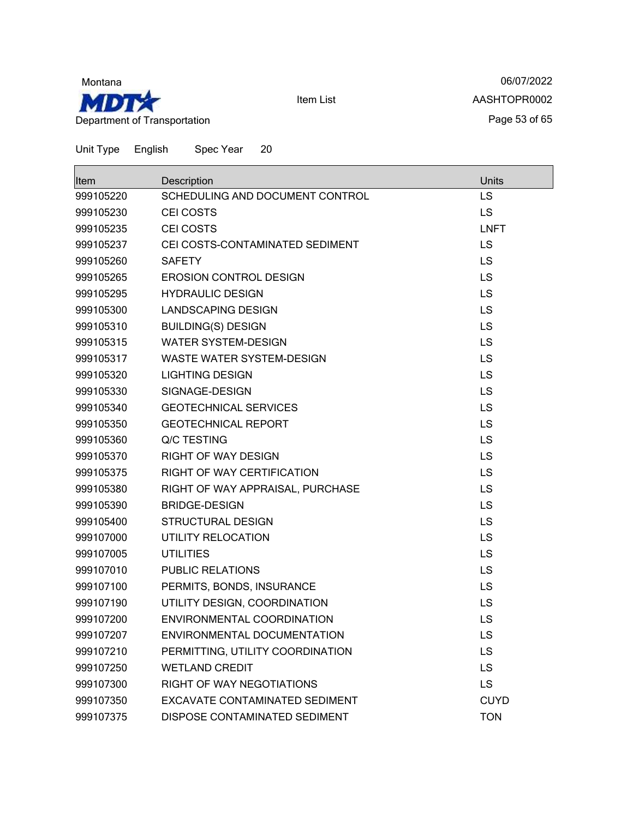

06/07/2022 AASHTOPR0002 Page 53 of 65

| <b>Item</b> | Description                      | Units       |
|-------------|----------------------------------|-------------|
| 999105220   | SCHEDULING AND DOCUMENT CONTROL  | LS          |
| 999105230   | CEI COSTS                        | LS          |
| 999105235   | CEI COSTS                        | <b>LNFT</b> |
| 999105237   | CEI COSTS-CONTAMINATED SEDIMENT  | <b>LS</b>   |
| 999105260   | <b>SAFETY</b>                    | LS          |
| 999105265   | <b>EROSION CONTROL DESIGN</b>    | <b>LS</b>   |
| 999105295   | <b>HYDRAULIC DESIGN</b>          | <b>LS</b>   |
| 999105300   | <b>LANDSCAPING DESIGN</b>        | LS          |
| 999105310   | <b>BUILDING(S) DESIGN</b>        | LS          |
| 999105315   | <b>WATER SYSTEM-DESIGN</b>       | <b>LS</b>   |
| 999105317   | <b>WASTE WATER SYSTEM-DESIGN</b> | <b>LS</b>   |
| 999105320   | <b>LIGHTING DESIGN</b>           | LS          |
| 999105330   | SIGNAGE-DESIGN                   | <b>LS</b>   |
| 999105340   | <b>GEOTECHNICAL SERVICES</b>     | <b>LS</b>   |
| 999105350   | <b>GEOTECHNICAL REPORT</b>       | LS          |
| 999105360   | Q/C TESTING                      | LS          |
| 999105370   | <b>RIGHT OF WAY DESIGN</b>       | LS          |
| 999105375   | RIGHT OF WAY CERTIFICATION       | LS          |
| 999105380   | RIGHT OF WAY APPRAISAL, PURCHASE | LS          |
| 999105390   | <b>BRIDGE-DESIGN</b>             | LS          |
| 999105400   | <b>STRUCTURAL DESIGN</b>         | LS          |
| 999107000   | UTILITY RELOCATION               | <b>LS</b>   |
| 999107005   | <b>UTILITIES</b>                 | <b>LS</b>   |
| 999107010   | <b>PUBLIC RELATIONS</b>          | <b>LS</b>   |
| 999107100   | PERMITS, BONDS, INSURANCE        | LS          |
| 999107190   | UTILITY DESIGN, COORDINATION     | <b>LS</b>   |
| 999107200   | ENVIRONMENTAL COORDINATION       | LS          |
| 999107207   | ENVIRONMENTAL DOCUMENTATION      | LS          |
| 999107210   | PERMITTING, UTILITY COORDINATION | LS          |
| 999107250   | <b>WETLAND CREDIT</b>            | <b>LS</b>   |
| 999107300   | RIGHT OF WAY NEGOTIATIONS        | <b>LS</b>   |
| 999107350   | EXCAVATE CONTAMINATED SEDIMENT   | <b>CUYD</b> |
| 999107375   | DISPOSE CONTAMINATED SEDIMENT    | <b>TON</b>  |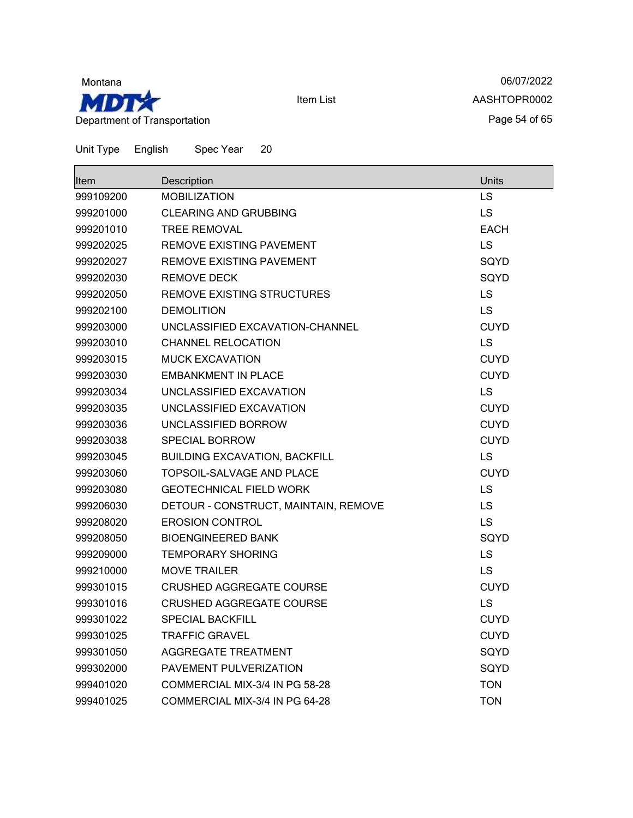

06/07/2022 AASHTOPR0002 Page 54 of 65

| <b>Item</b> | Description                          | <b>Units</b> |
|-------------|--------------------------------------|--------------|
| 999109200   | <b>MOBILIZATION</b>                  | LS           |
| 999201000   | <b>CLEARING AND GRUBBING</b>         | LS           |
| 999201010   | <b>TREE REMOVAL</b>                  | <b>EACH</b>  |
| 999202025   | REMOVE EXISTING PAVEMENT             | LS           |
| 999202027   | REMOVE EXISTING PAVEMENT             | SQYD         |
| 999202030   | <b>REMOVE DECK</b>                   | SQYD         |
| 999202050   | REMOVE EXISTING STRUCTURES           | <b>LS</b>    |
| 999202100   | <b>DEMOLITION</b>                    | <b>LS</b>    |
| 999203000   | UNCLASSIFIED EXCAVATION-CHANNEL      | <b>CUYD</b>  |
| 999203010   | <b>CHANNEL RELOCATION</b>            | LS           |
| 999203015   | <b>MUCK EXCAVATION</b>               | <b>CUYD</b>  |
| 999203030   | <b>EMBANKMENT IN PLACE</b>           | <b>CUYD</b>  |
| 999203034   | UNCLASSIFIED EXCAVATION              | <b>LS</b>    |
| 999203035   | UNCLASSIFIED EXCAVATION              | <b>CUYD</b>  |
| 999203036   | UNCLASSIFIED BORROW                  | <b>CUYD</b>  |
| 999203038   | <b>SPECIAL BORROW</b>                | <b>CUYD</b>  |
| 999203045   | <b>BUILDING EXCAVATION, BACKFILL</b> | LS           |
| 999203060   | TOPSOIL-SALVAGE AND PLACE            | <b>CUYD</b>  |
| 999203080   | <b>GEOTECHNICAL FIELD WORK</b>       | <b>LS</b>    |
| 999206030   | DETOUR - CONSTRUCT, MAINTAIN, REMOVE | LS           |
| 999208020   | <b>EROSION CONTROL</b>               | LS           |
| 999208050   | <b>BIOENGINEERED BANK</b>            | SQYD         |
| 999209000   | <b>TEMPORARY SHORING</b>             | LS           |
| 999210000   | <b>MOVE TRAILER</b>                  | <b>LS</b>    |
| 999301015   | <b>CRUSHED AGGREGATE COURSE</b>      | <b>CUYD</b>  |
| 999301016   | <b>CRUSHED AGGREGATE COURSE</b>      | <b>LS</b>    |
| 999301022   | <b>SPECIAL BACKFILL</b>              | <b>CUYD</b>  |
| 999301025   | <b>TRAFFIC GRAVEL</b>                | <b>CUYD</b>  |
| 999301050   | <b>AGGREGATE TREATMENT</b>           | SQYD         |
| 999302000   | PAVEMENT PULVERIZATION               | SQYD         |
| 999401020   | COMMERCIAL MIX-3/4 IN PG 58-28       | <b>TON</b>   |
| 999401025   | COMMERCIAL MIX-3/4 IN PG 64-28       | <b>TON</b>   |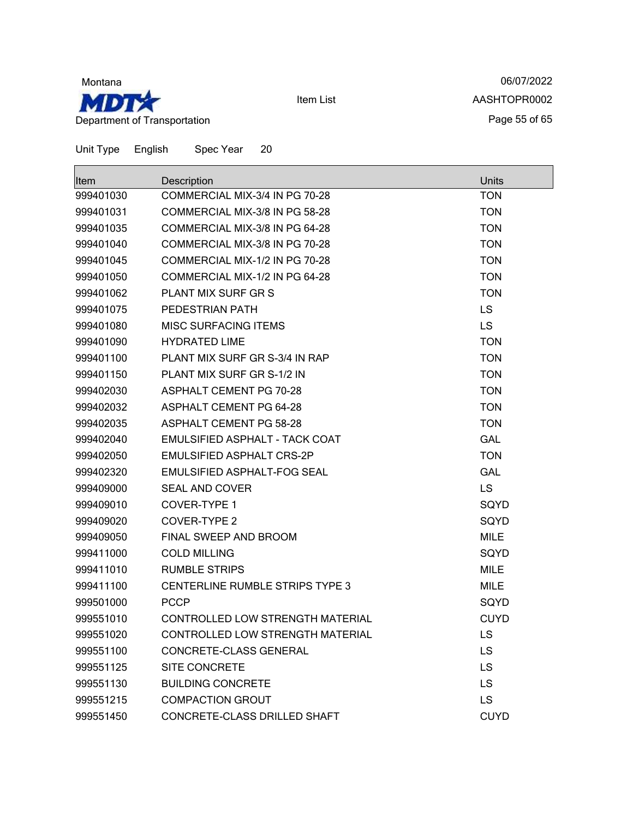

06/07/2022 AASHTOPR0002 Page 55 of 65

Item List

| <b>Item</b> | Description                      | Units       |
|-------------|----------------------------------|-------------|
| 999401030   | COMMERCIAL MIX-3/4 IN PG 70-28   | <b>TON</b>  |
| 999401031   | COMMERCIAL MIX-3/8 IN PG 58-28   | <b>TON</b>  |
| 999401035   | COMMERCIAL MIX-3/8 IN PG 64-28   | <b>TON</b>  |
| 999401040   | COMMERCIAL MIX-3/8 IN PG 70-28   | <b>TON</b>  |
| 999401045   | COMMERCIAL MIX-1/2 IN PG 70-28   | <b>TON</b>  |
| 999401050   | COMMERCIAL MIX-1/2 IN PG 64-28   | <b>TON</b>  |
| 999401062   | PLANT MIX SURF GR S              | <b>TON</b>  |
| 999401075   | PEDESTRIAN PATH                  | LS          |
| 999401080   | <b>MISC SURFACING ITEMS</b>      | <b>LS</b>   |
| 999401090   | <b>HYDRATED LIME</b>             | <b>TON</b>  |
| 999401100   | PLANT MIX SURF GR S-3/4 IN RAP   | <b>TON</b>  |
| 999401150   | PLANT MIX SURF GR S-1/2 IN       | <b>TON</b>  |
| 999402030   | <b>ASPHALT CEMENT PG 70-28</b>   | <b>TON</b>  |
| 999402032   | <b>ASPHALT CEMENT PG 64-28</b>   | <b>TON</b>  |
| 999402035   | ASPHALT CEMENT PG 58-28          | <b>TON</b>  |
| 999402040   | EMULSIFIED ASPHALT - TACK COAT   | <b>GAL</b>  |
| 999402050   | <b>EMULSIFIED ASPHALT CRS-2P</b> | <b>TON</b>  |
| 999402320   | EMULSIFIED ASPHALT-FOG SEAL      | <b>GAL</b>  |
| 999409000   | <b>SEAL AND COVER</b>            | <b>LS</b>   |
| 999409010   | COVER-TYPE 1                     | SQYD        |
| 999409020   | COVER-TYPE 2                     | SQYD        |
| 999409050   | FINAL SWEEP AND BROOM            | <b>MILE</b> |
| 999411000   | <b>COLD MILLING</b>              | SQYD        |
| 999411010   | <b>RUMBLE STRIPS</b>             | <b>MILE</b> |
| 999411100   | CENTERLINE RUMBLE STRIPS TYPE 3  | MILE        |
| 999501000   | <b>PCCP</b>                      | SQYD        |
| 999551010   | CONTROLLED LOW STRENGTH MATERIAL | <b>CUYD</b> |
| 999551020   | CONTROLLED LOW STRENGTH MATERIAL | <b>LS</b>   |
| 999551100   | CONCRETE-CLASS GENERAL           | LS          |
| 999551125   | <b>SITE CONCRETE</b>             | LS          |
| 999551130   | <b>BUILDING CONCRETE</b>         | <b>LS</b>   |
| 999551215   | <b>COMPACTION GROUT</b>          | LS          |
| 999551450   | CONCRETE-CLASS DRILLED SHAFT     | <b>CUYD</b> |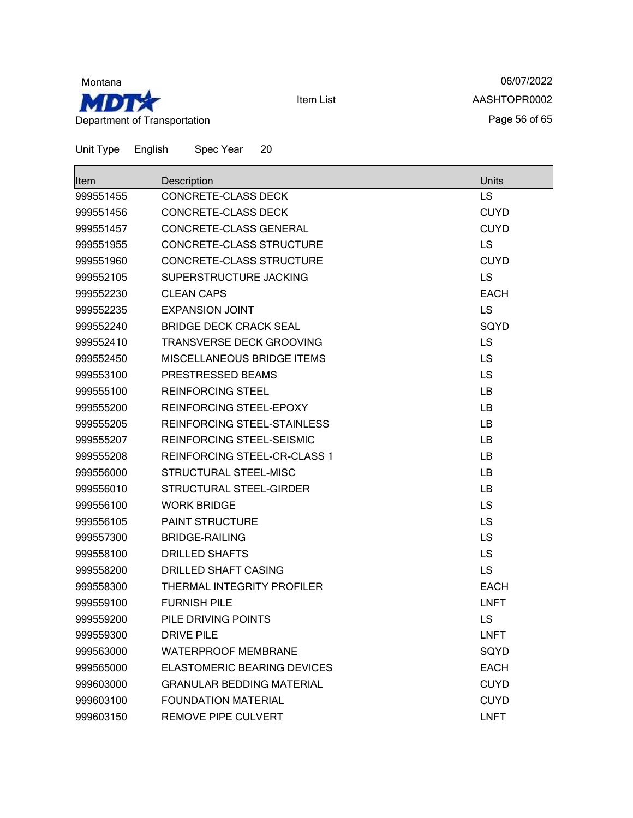

06/07/2022 AASHTOPR0002 Page 56 of 65

| Unit Type | English | Spec Year | 20 |
|-----------|---------|-----------|----|
|-----------|---------|-----------|----|

| ltem      | Description                        | Units       |
|-----------|------------------------------------|-------------|
| 999551455 | <b>CONCRETE-CLASS DECK</b>         | <b>LS</b>   |
| 999551456 | CONCRETE-CLASS DECK                | <b>CUYD</b> |
| 999551457 | CONCRETE-CLASS GENERAL             | <b>CUYD</b> |
| 999551955 | <b>CONCRETE-CLASS STRUCTURE</b>    | <b>LS</b>   |
| 999551960 | CONCRETE-CLASS STRUCTURE           | <b>CUYD</b> |
| 999552105 | SUPERSTRUCTURE JACKING             | <b>LS</b>   |
| 999552230 | CLEAN CAPS                         | <b>EACH</b> |
| 999552235 | <b>EXPANSION JOINT</b>             | <b>LS</b>   |
| 999552240 | <b>BRIDGE DECK CRACK SEAL</b>      | SQYD        |
| 999552410 | TRANSVERSE DECK GROOVING           | <b>LS</b>   |
| 999552450 | MISCELLANEOUS BRIDGE ITEMS         | <b>LS</b>   |
| 999553100 | PRESTRESSED BEAMS                  | <b>LS</b>   |
| 999555100 | <b>REINFORCING STEEL</b>           | <b>LB</b>   |
| 999555200 | REINFORCING STEEL-EPOXY            | LB          |
| 999555205 | REINFORCING STEEL-STAINLESS        | LB          |
| 999555207 | REINFORCING STEEL-SEISMIC          | LB.         |
| 999555208 | REINFORCING STEEL-CR-CLASS 1       | LB          |
| 999556000 | STRUCTURAL STEEL-MISC              | LB          |
| 999556010 | STRUCTURAL STEEL-GIRDER            | LB          |
| 999556100 | <b>WORK BRIDGE</b>                 | LS          |
| 999556105 | <b>PAINT STRUCTURE</b>             | LS          |
| 999557300 | <b>BRIDGE-RAILING</b>              | <b>LS</b>   |
| 999558100 | <b>DRILLED SHAFTS</b>              | LS          |
| 999558200 | <b>DRILLED SHAFT CASING</b>        | <b>LS</b>   |
| 999558300 | THERMAL INTEGRITY PROFILER         | <b>EACH</b> |
| 999559100 | <b>FURNISH PILE</b>                | <b>LNFT</b> |
| 999559200 | PILE DRIVING POINTS                | LS          |
| 999559300 | <b>DRIVE PILE</b>                  | <b>LNFT</b> |
| 999563000 | <b>WATERPROOF MEMBRANE</b>         | SQYD        |
| 999565000 | <b>ELASTOMERIC BEARING DEVICES</b> | <b>EACH</b> |
| 999603000 | <b>GRANULAR BEDDING MATERIAL</b>   | <b>CUYD</b> |
| 999603100 | <b>FOUNDATION MATERIAL</b>         | <b>CUYD</b> |
| 999603150 | <b>REMOVE PIPE CULVERT</b>         | <b>LNFT</b> |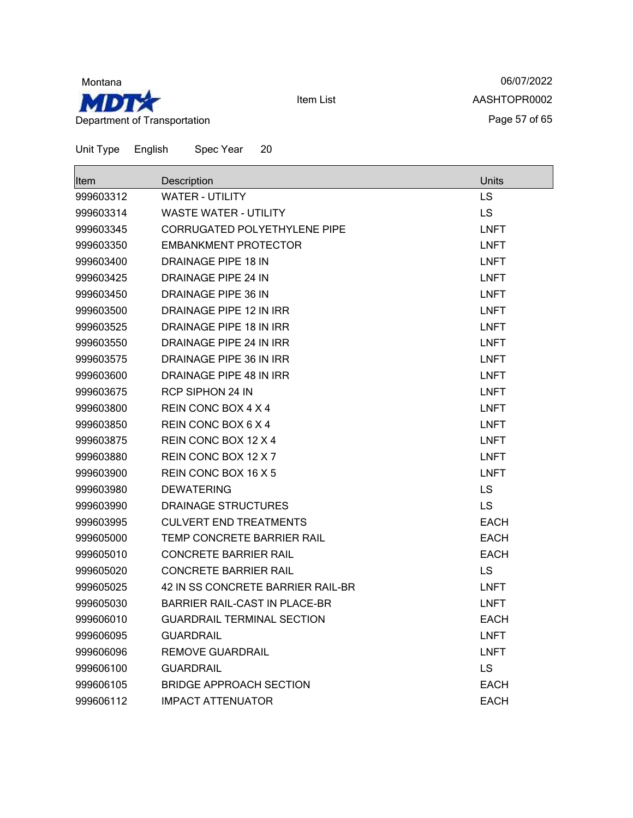

06/07/2022 AASHTOPR0002 Page 57 of 65

| ltem      | Description                          | <b>Units</b> |
|-----------|--------------------------------------|--------------|
| 999603312 | <b>WATER - UTILITY</b>               | LS           |
| 999603314 | <b>WASTE WATER - UTILITY</b>         | <b>LS</b>    |
| 999603345 | <b>CORRUGATED POLYETHYLENE PIPE</b>  | <b>LNFT</b>  |
| 999603350 | <b>EMBANKMENT PROTECTOR</b>          | <b>LNFT</b>  |
| 999603400 | DRAINAGE PIPE 18 IN                  | <b>LNFT</b>  |
| 999603425 | DRAINAGE PIPE 24 IN                  | <b>LNFT</b>  |
| 999603450 | DRAINAGE PIPE 36 IN                  | <b>LNFT</b>  |
| 999603500 | DRAINAGE PIPE 12 IN IRR              | <b>LNFT</b>  |
| 999603525 | DRAINAGE PIPE 18 IN IRR              | <b>LNFT</b>  |
| 999603550 | DRAINAGE PIPE 24 IN IRR              | <b>LNFT</b>  |
| 999603575 | DRAINAGE PIPE 36 IN IRR              | <b>LNFT</b>  |
| 999603600 | DRAINAGE PIPE 48 IN IRR              | <b>LNFT</b>  |
| 999603675 | RCP SIPHON 24 IN                     | <b>LNFT</b>  |
| 999603800 | REIN CONC BOX 4 X 4                  | <b>LNFT</b>  |
| 999603850 | REIN CONC BOX 6 X 4                  | <b>LNFT</b>  |
| 999603875 | REIN CONC BOX 12 X 4                 | <b>LNFT</b>  |
| 999603880 | REIN CONC BOX 12 X 7                 | <b>LNFT</b>  |
| 999603900 | REIN CONC BOX 16 X 5                 | <b>LNFT</b>  |
| 999603980 | <b>DEWATERING</b>                    | <b>LS</b>    |
| 999603990 | DRAINAGE STRUCTURES                  | <b>LS</b>    |
| 999603995 | <b>CULVERT END TREATMENTS</b>        | <b>EACH</b>  |
| 999605000 | TEMP CONCRETE BARRIER RAIL           | <b>EACH</b>  |
| 999605010 | <b>CONCRETE BARRIER RAIL</b>         | <b>EACH</b>  |
| 999605020 | <b>CONCRETE BARRIER RAIL</b>         | <b>LS</b>    |
| 999605025 | 42 IN SS CONCRETE BARRIER RAIL-BR    | <b>LNFT</b>  |
| 999605030 | <b>BARRIER RAIL-CAST IN PLACE-BR</b> | <b>LNFT</b>  |
| 999606010 | <b>GUARDRAIL TERMINAL SECTION</b>    | <b>EACH</b>  |
| 999606095 | GUARDRAIL                            | LNFT         |
| 999606096 | <b>REMOVE GUARDRAIL</b>              | <b>LNFT</b>  |
| 999606100 | <b>GUARDRAIL</b>                     | <b>LS</b>    |
| 999606105 | BRIDGE APPROACH SECTION              | <b>EACH</b>  |
| 999606112 | <b>IMPACT ATTENUATOR</b>             | <b>EACH</b>  |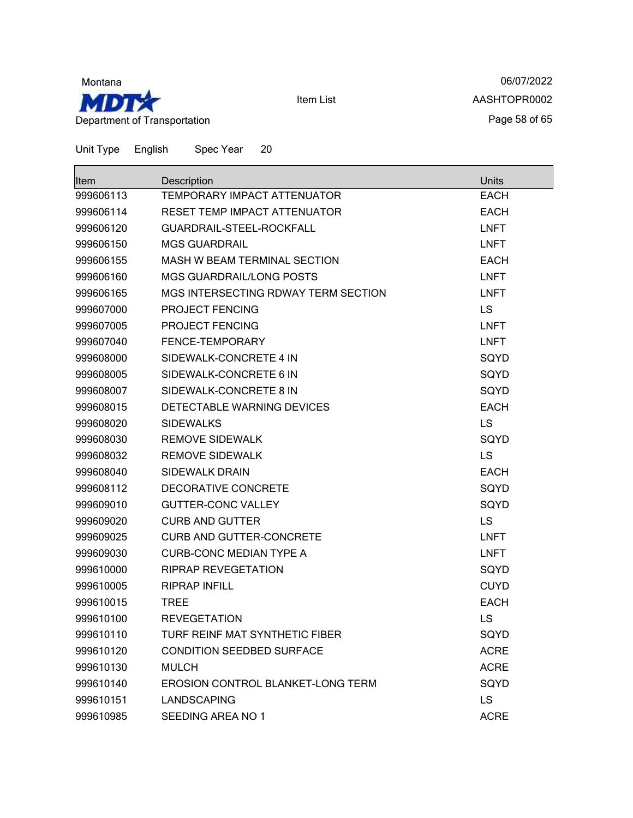

06/07/2022 AASHTOPR0002 Page 58 of 65

| ∣ltem     | Description                              | Units       |
|-----------|------------------------------------------|-------------|
| 999606113 | <b>TEMPORARY IMPACT ATTENUATOR</b>       | <b>EACH</b> |
| 999606114 | RESET TEMP IMPACT ATTENUATOR             | <b>EACH</b> |
| 999606120 | GUARDRAIL-STEEL-ROCKFALL                 | <b>LNFT</b> |
| 999606150 | <b>MGS GUARDRAIL</b>                     | <b>LNFT</b> |
| 999606155 | MASH W BEAM TERMINAL SECTION             | <b>EACH</b> |
| 999606160 | <b>MGS GUARDRAIL/LONG POSTS</b>          | <b>LNFT</b> |
| 999606165 | MGS INTERSECTING RDWAY TERM SECTION      | <b>LNFT</b> |
| 999607000 | <b>PROJECT FENCING</b>                   | LS          |
| 999607005 | PROJECT FENCING                          | <b>LNFT</b> |
| 999607040 | FENCE-TEMPORARY                          | <b>LNFT</b> |
| 999608000 | SIDEWALK-CONCRETE 4 IN                   | SQYD        |
| 999608005 | SIDEWALK-CONCRETE 6 IN                   | SQYD        |
| 999608007 | SIDEWALK-CONCRETE 8 IN                   | SQYD        |
| 999608015 | DETECTABLE WARNING DEVICES               | <b>EACH</b> |
| 999608020 | SIDEWALKS                                | <b>LS</b>   |
| 999608030 | <b>REMOVE SIDEWALK</b>                   | SQYD        |
| 999608032 | <b>REMOVE SIDEWALK</b>                   | <b>LS</b>   |
| 999608040 | <b>SIDEWALK DRAIN</b>                    | <b>EACH</b> |
| 999608112 | DECORATIVE CONCRETE                      | SQYD        |
| 999609010 | <b>GUTTER-CONC VALLEY</b>                | SQYD        |
| 999609020 | <b>CURB AND GUTTER</b>                   | LS          |
| 999609025 | <b>CURB AND GUTTER-CONCRETE</b>          | <b>LNFT</b> |
| 999609030 | <b>CURB-CONC MEDIAN TYPE A</b>           | <b>LNFT</b> |
| 999610000 | <b>RIPRAP REVEGETATION</b>               | SQYD        |
| 999610005 | <b>RIPRAP INFILL</b>                     | <b>CUYD</b> |
| 999610015 | <b>TREE</b>                              | <b>EACH</b> |
| 999610100 | <b>REVEGETATION</b>                      | LS          |
| 999610110 | TURF REINF MAT SYNTHETIC FIBER           | SQYD        |
| 999610120 | <b>CONDITION SEEDBED SURFACE</b>         | <b>ACRE</b> |
| 999610130 | <b>MULCH</b>                             | <b>ACRE</b> |
| 999610140 | <b>EROSION CONTROL BLANKET-LONG TERM</b> | SQYD        |
| 999610151 | <b>LANDSCAPING</b>                       | LS          |
| 999610985 | SEEDING AREA NO 1                        | <b>ACRE</b> |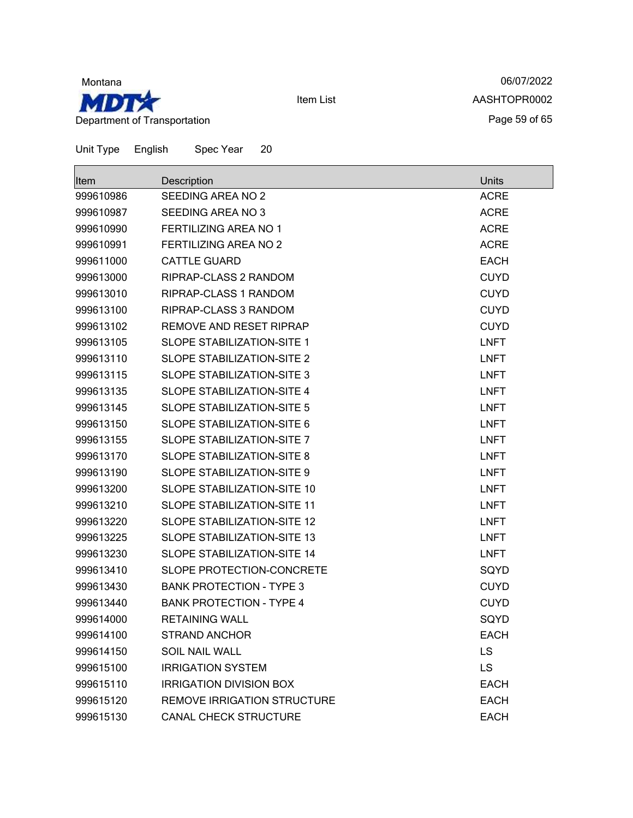

06/07/2022 AASHTOPR0002 Page 59 of 65

| Item      | Description                        | Units       |
|-----------|------------------------------------|-------------|
| 999610986 | SEEDING AREA NO 2                  | <b>ACRE</b> |
| 999610987 | SEEDING AREA NO 3                  | <b>ACRE</b> |
| 999610990 | FERTILIZING AREA NO 1              | <b>ACRE</b> |
| 999610991 | <b>FERTILIZING AREA NO 2</b>       | <b>ACRE</b> |
| 999611000 | <b>CATTLE GUARD</b>                | <b>EACH</b> |
| 999613000 | RIPRAP-CLASS 2 RANDOM              | <b>CUYD</b> |
| 999613010 | RIPRAP-CLASS 1 RANDOM              | <b>CUYD</b> |
| 999613100 | RIPRAP-CLASS 3 RANDOM              | <b>CUYD</b> |
| 999613102 | <b>REMOVE AND RESET RIPRAP</b>     | <b>CUYD</b> |
| 999613105 | SLOPE STABILIZATION-SITE 1         | <b>LNFT</b> |
| 999613110 | SLOPE STABILIZATION-SITE 2         | <b>LNFT</b> |
| 999613115 | SLOPE STABILIZATION-SITE 3         | <b>LNFT</b> |
| 999613135 | <b>SLOPE STABILIZATION-SITE 4</b>  | <b>LNFT</b> |
| 999613145 | <b>SLOPE STABILIZATION-SITE 5</b>  | <b>LNFT</b> |
| 999613150 | <b>SLOPE STABILIZATION-SITE 6</b>  | <b>LNFT</b> |
| 999613155 | <b>SLOPE STABILIZATION-SITE 7</b>  | <b>LNFT</b> |
| 999613170 | <b>SLOPE STABILIZATION-SITE 8</b>  | <b>LNFT</b> |
| 999613190 | SLOPE STABILIZATION-SITE 9         | <b>LNFT</b> |
| 999613200 | <b>SLOPE STABILIZATION-SITE 10</b> | <b>LNFT</b> |
| 999613210 | SLOPE STABILIZATION-SITE 11        | <b>LNFT</b> |
| 999613220 | SLOPE STABILIZATION-SITE 12        | <b>LNFT</b> |
| 999613225 | <b>SLOPE STABILIZATION-SITE 13</b> | <b>LNFT</b> |
| 999613230 | <b>SLOPE STABILIZATION-SITE 14</b> | <b>LNFT</b> |
| 999613410 | SLOPE PROTECTION-CONCRETE          | SQYD        |
| 999613430 | <b>BANK PROTECTION - TYPE 3</b>    | <b>CUYD</b> |
| 999613440 | <b>BANK PROTECTION - TYPE 4</b>    | <b>CUYD</b> |
| 999614000 | <b>RETAINING WALL</b>              | SQYD        |
| 999614100 | <b>STRAND ANCHOR</b>               | <b>EACH</b> |
| 999614150 | <b>SOIL NAIL WALL</b>              | <b>LS</b>   |
| 999615100 | <b>IRRIGATION SYSTEM</b>           | <b>LS</b>   |
| 999615110 | <b>IRRIGATION DIVISION BOX</b>     | <b>EACH</b> |
| 999615120 | <b>REMOVE IRRIGATION STRUCTURE</b> | <b>EACH</b> |
| 999615130 | CANAL CHECK STRUCTURE              | <b>EACH</b> |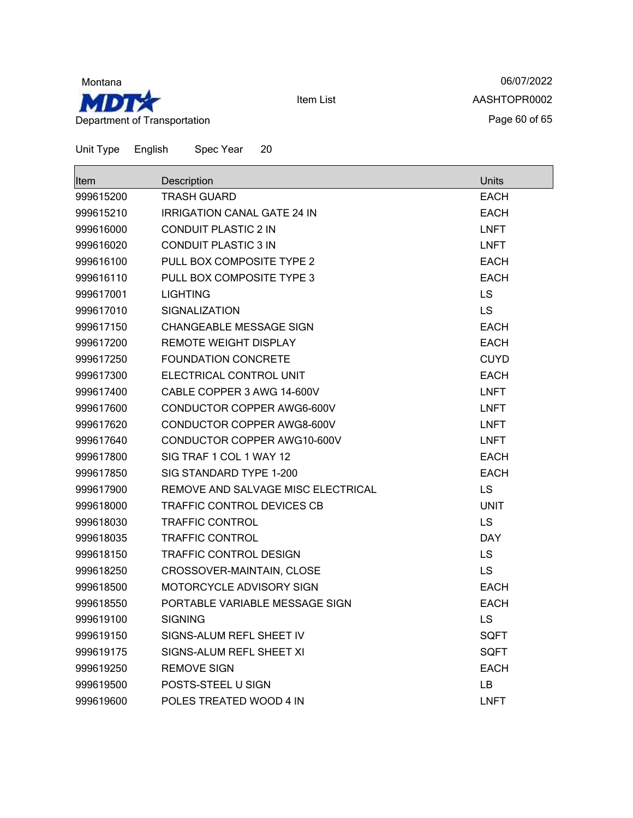

06/07/2022 AASHTOPR0002 Page 60 of 65

| <b>Item</b> | Description                        | <b>Units</b> |
|-------------|------------------------------------|--------------|
| 999615200   | <b>TRASH GUARD</b>                 | EACH         |
| 999615210   | <b>IRRIGATION CANAL GATE 24 IN</b> | <b>EACH</b>  |
| 999616000   | <b>CONDUIT PLASTIC 2 IN</b>        | <b>LNFT</b>  |
| 999616020   | <b>CONDUIT PLASTIC 3 IN</b>        | <b>LNFT</b>  |
| 999616100   | PULL BOX COMPOSITE TYPE 2          | EACH         |
| 999616110   | PULL BOX COMPOSITE TYPE 3          | <b>EACH</b>  |
| 999617001   | <b>LIGHTING</b>                    | <b>LS</b>    |
| 999617010   | <b>SIGNALIZATION</b>               | LS           |
| 999617150   | CHANGEABLE MESSAGE SIGN            | <b>EACH</b>  |
| 999617200   | <b>REMOTE WEIGHT DISPLAY</b>       | <b>EACH</b>  |
| 999617250   | <b>FOUNDATION CONCRETE</b>         | <b>CUYD</b>  |
| 999617300   | ELECTRICAL CONTROL UNIT            | <b>EACH</b>  |
| 999617400   | CABLE COPPER 3 AWG 14-600V         | <b>LNFT</b>  |
| 999617600   | CONDUCTOR COPPER AWG6-600V         | <b>LNFT</b>  |
| 999617620   | CONDUCTOR COPPER AWG8-600V         | <b>LNFT</b>  |
| 999617640   | CONDUCTOR COPPER AWG10-600V        | <b>LNFT</b>  |
| 999617800   | SIG TRAF 1 COL 1 WAY 12            | <b>EACH</b>  |
| 999617850   | SIG STANDARD TYPE 1-200            | <b>EACH</b>  |
| 999617900   | REMOVE AND SALVAGE MISC ELECTRICAL | <b>LS</b>    |
| 999618000   | TRAFFIC CONTROL DEVICES CB         | UNIT         |
| 999618030   | <b>TRAFFIC CONTROL</b>             | <b>LS</b>    |
| 999618035   | <b>TRAFFIC CONTROL</b>             | <b>DAY</b>   |
| 999618150   | <b>TRAFFIC CONTROL DESIGN</b>      | LS           |
| 999618250   | CROSSOVER-MAINTAIN, CLOSE          | <b>LS</b>    |
| 999618500   | MOTORCYCLE ADVISORY SIGN           | EACH         |
| 999618550   | PORTABLE VARIABLE MESSAGE SIGN     | <b>EACH</b>  |
| 999619100   | <b>SIGNING</b>                     | LS           |
| 999619150   | SIGNS-ALUM REFL SHEET IV           | SQFT         |
| 999619175   | SIGNS-ALUM REFL SHEET XI           | <b>SQFT</b>  |
| 999619250   | <b>REMOVE SIGN</b>                 | <b>EACH</b>  |
| 999619500   | POSTS-STEEL U SIGN                 | LB           |
| 999619600   | POLES TREATED WOOD 4 IN            | <b>LNFT</b>  |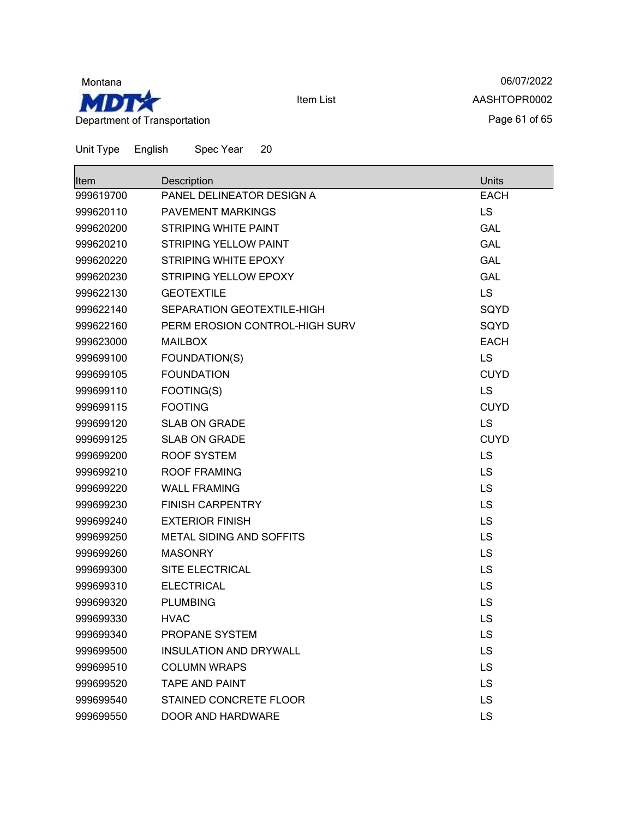

06/07/2022 AASHTOPR0002 Page 61 of 65

| Item      | Description                     | Units       |
|-----------|---------------------------------|-------------|
| 999619700 | PANEL DELINEATOR DESIGN A       | <b>EACH</b> |
| 999620110 | PAVEMENT MARKINGS               | LS          |
| 999620200 | STRIPING WHITE PAINT            | <b>GAL</b>  |
| 999620210 | <b>STRIPING YELLOW PAINT</b>    | <b>GAL</b>  |
| 999620220 | <b>STRIPING WHITE EPOXY</b>     | <b>GAL</b>  |
| 999620230 | <b>STRIPING YELLOW EPOXY</b>    | <b>GAL</b>  |
| 999622130 | <b>GEOTEXTILE</b>               | <b>LS</b>   |
| 999622140 | SEPARATION GEOTEXTILE-HIGH      | SQYD        |
| 999622160 | PERM EROSION CONTROL-HIGH SURV  | SQYD        |
| 999623000 | <b>MAILBOX</b>                  | <b>EACH</b> |
| 999699100 | FOUNDATION(S)                   | <b>LS</b>   |
| 999699105 | <b>FOUNDATION</b>               | <b>CUYD</b> |
| 999699110 | FOOTING(S)                      | <b>LS</b>   |
| 999699115 | <b>FOOTING</b>                  | <b>CUYD</b> |
| 999699120 | <b>SLAB ON GRADE</b>            | <b>LS</b>   |
| 999699125 | <b>SLAB ON GRADE</b>            | <b>CUYD</b> |
| 999699200 | <b>ROOF SYSTEM</b>              | <b>LS</b>   |
| 999699210 | <b>ROOF FRAMING</b>             | LS          |
| 999699220 | <b>WALL FRAMING</b>             | LS          |
| 999699230 | <b>FINISH CARPENTRY</b>         | LS          |
| 999699240 | <b>EXTERIOR FINISH</b>          | LS          |
| 999699250 | <b>METAL SIDING AND SOFFITS</b> | LS          |
| 999699260 | <b>MASONRY</b>                  | <b>LS</b>   |
| 999699300 | SITE ELECTRICAL                 | LS          |
| 999699310 | <b>ELECTRICAL</b>               | LS          |
| 999699320 | <b>PLUMBING</b>                 | LS          |
| 999699330 | <b>HVAC</b>                     | LS          |
| 999699340 | PROPANE SYSTEM                  | LS          |
| 999699500 | <b>INSULATION AND DRYWALL</b>   | LS          |
| 999699510 | <b>COLUMN WRAPS</b>             | <b>LS</b>   |
| 999699520 | <b>TAPE AND PAINT</b>           | <b>LS</b>   |
| 999699540 | STAINED CONCRETE FLOOR          | LS          |
| 999699550 | DOOR AND HARDWARE               | <b>LS</b>   |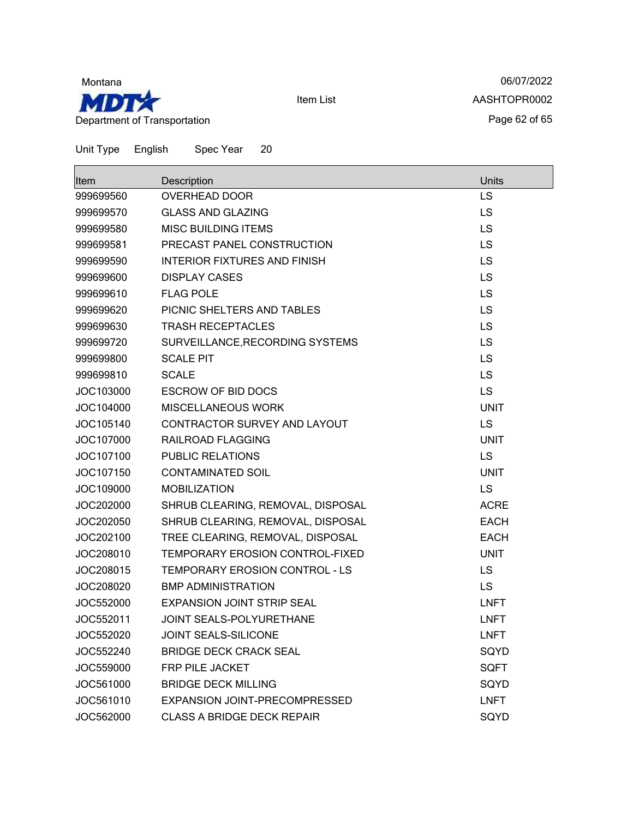

06/07/2022 AASHTOPR0002 Page 62 of 65

| <b>Item</b> | Description                           | Units       |
|-------------|---------------------------------------|-------------|
| 999699560   | <b>OVERHEAD DOOR</b>                  | LS          |
| 999699570   | <b>GLASS AND GLAZING</b>              | LS          |
| 999699580   | <b>MISC BUILDING ITEMS</b>            | <b>LS</b>   |
| 999699581   | PRECAST PANEL CONSTRUCTION            | LS          |
| 999699590   | <b>INTERIOR FIXTURES AND FINISH</b>   | <b>LS</b>   |
| 999699600   | DISPLAY CASES                         | <b>LS</b>   |
| 999699610   | <b>FLAG POLE</b>                      | LS          |
| 999699620   | PICNIC SHELTERS AND TABLES            | LS          |
| 999699630   | <b>TRASH RECEPTACLES</b>              | <b>LS</b>   |
| 999699720   | SURVEILLANCE, RECORDING SYSTEMS       | LS          |
| 999699800   | <b>SCALE PIT</b>                      | <b>LS</b>   |
| 999699810   | <b>SCALE</b>                          | LS          |
| JOC103000   | <b>ESCROW OF BID DOCS</b>             | <b>LS</b>   |
| JOC104000   | MISCELLANEOUS WORK                    | <b>UNIT</b> |
| JOC105140   | CONTRACTOR SURVEY AND LAYOUT          | LS          |
| JOC107000   | RAILROAD FLAGGING                     | <b>UNIT</b> |
| JOC107100   | <b>PUBLIC RELATIONS</b>               | LS          |
| JOC107150   | <b>CONTAMINATED SOIL</b>              | <b>UNIT</b> |
| JOC109000   | <b>MOBILIZATION</b>                   | <b>LS</b>   |
| JOC202000   | SHRUB CLEARING, REMOVAL, DISPOSAL     | <b>ACRE</b> |
| JOC202050   | SHRUB CLEARING, REMOVAL, DISPOSAL     | <b>EACH</b> |
| JOC202100   | TREE CLEARING, REMOVAL, DISPOSAL      | <b>EACH</b> |
| JOC208010   | TEMPORARY EROSION CONTROL-FIXED       | <b>UNIT</b> |
| JOC208015   | <b>TEMPORARY EROSION CONTROL - LS</b> | LS          |
| JOC208020   | <b>BMP ADMINISTRATION</b>             | <b>LS</b>   |
| JOC552000   | <b>EXPANSION JOINT STRIP SEAL</b>     | <b>LNFT</b> |
| JOC552011   | JOINT SEALS-POLYURETHANE              | <b>LNFT</b> |
| JOC552020   | JOINT SEALS-SILICONE                  | <b>LNFT</b> |
| JOC552240   | <b>BRIDGE DECK CRACK SEAL</b>         | SQYD        |
| JOC559000   | <b>FRP PILE JACKET</b>                | <b>SQFT</b> |
| JOC561000   | <b>BRIDGE DECK MILLING</b>            | SQYD        |
| JOC561010   | EXPANSION JOINT-PRECOMPRESSED         | <b>LNFT</b> |
| JOC562000   | <b>CLASS A BRIDGE DECK REPAIR</b>     | SQYD        |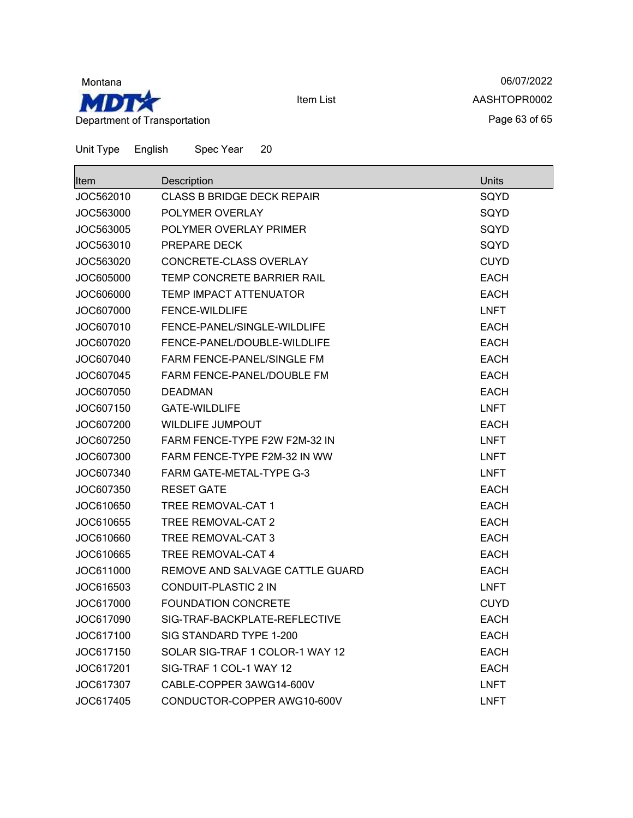

06/07/2022 AASHTOPR0002 Page 63 of 65

| <b>Item</b> | Description                       | Units       |
|-------------|-----------------------------------|-------------|
| JOC562010   | <b>CLASS B BRIDGE DECK REPAIR</b> | SQYD        |
| JOC563000   | POLYMER OVERLAY                   | SQYD        |
| JOC563005   | POLYMER OVERLAY PRIMER            | SQYD        |
| JOC563010   | PREPARE DECK                      | SQYD        |
| JOC563020   | CONCRETE-CLASS OVERLAY            | <b>CUYD</b> |
| JOC605000   | TEMP CONCRETE BARRIER RAIL        | <b>EACH</b> |
| JOC606000   | <b>TEMP IMPACT ATTENUATOR</b>     | <b>EACH</b> |
| JOC607000   | <b>FENCE-WILDLIFE</b>             | <b>LNFT</b> |
| JOC607010   | FENCE-PANEL/SINGLE-WILDLIFE       | <b>EACH</b> |
| JOC607020   | FENCE-PANEL/DOUBLE-WILDLIFE       | <b>EACH</b> |
| JOC607040   | FARM FENCE-PANEL/SINGLE FM        | EACH        |
| JOC607045   | FARM FENCE-PANEL/DOUBLE FM        | <b>EACH</b> |
| JOC607050   | <b>DEADMAN</b>                    | <b>EACH</b> |
| JOC607150   | GATE-WILDLIFE                     | <b>LNFT</b> |
| JOC607200   | <b>WILDLIFE JUMPOUT</b>           | <b>EACH</b> |
| JOC607250   | FARM FENCE-TYPE F2W F2M-32 IN     | <b>LNFT</b> |
| JOC607300   | FARM FENCE-TYPE F2M-32 IN WW      | <b>LNFT</b> |
| JOC607340   | <b>FARM GATE-METAL-TYPE G-3</b>   | <b>LNFT</b> |
| JOC607350   | <b>RESET GATE</b>                 | <b>EACH</b> |
| JOC610650   | <b>TREE REMOVAL-CAT 1</b>         | <b>EACH</b> |
| JOC610655   | TREE REMOVAL-CAT 2                | <b>EACH</b> |
| JOC610660   | TREE REMOVAL-CAT 3                | <b>EACH</b> |
| JOC610665   | TREE REMOVAL-CAT 4                | <b>EACH</b> |
| JOC611000   | REMOVE AND SALVAGE CATTLE GUARD   | <b>EACH</b> |
| JOC616503   | CONDUIT-PLASTIC 2 IN              | <b>LNFT</b> |
| JOC617000   | <b>FOUNDATION CONCRETE</b>        | <b>CUYD</b> |
| JOC617090   | SIG-TRAF-BACKPLATE-REFLECTIVE     | <b>EACH</b> |
| JOC617100   | SIG STANDARD TYPE 1-200           | <b>EACH</b> |
| JOC617150   | SOLAR SIG-TRAF 1 COLOR-1 WAY 12   | <b>EACH</b> |
| JOC617201   | SIG-TRAF 1 COL-1 WAY 12           | EACH        |
| JOC617307   | CABLE-COPPER 3AWG14-600V          | <b>LNFT</b> |
| JOC617405   | CONDUCTOR-COPPER AWG10-600V       | <b>LNFT</b> |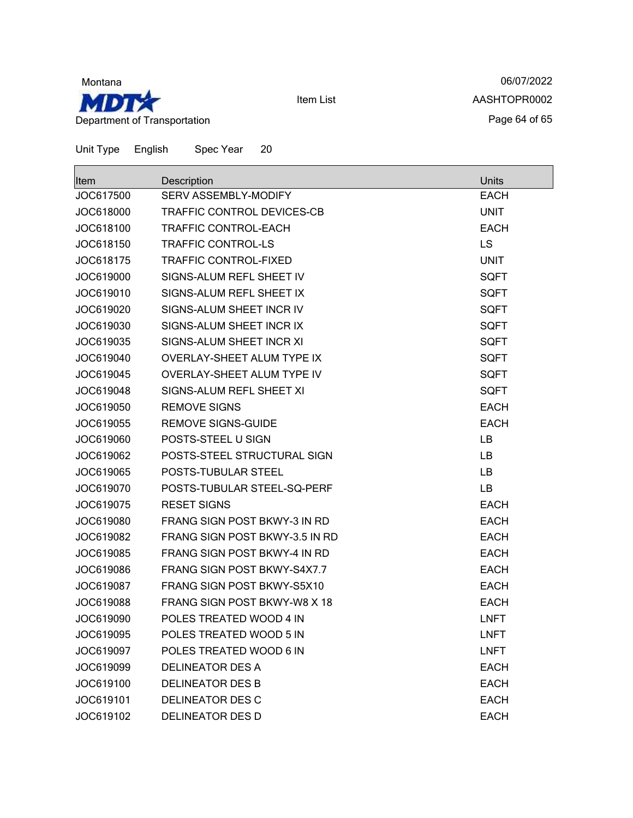

06/07/2022 AASHTOPR0002 Page 64 of 65

Unit Type English Spec Year 20

| <b>Item</b> | Description                         | Units       |
|-------------|-------------------------------------|-------------|
| JOC617500   | SERV ASSEMBLY-MODIFY                | <b>EACH</b> |
| JOC618000   | TRAFFIC CONTROL DEVICES-CB          | <b>UNIT</b> |
| JOC618100   | TRAFFIC CONTROL-EACH                | <b>EACH</b> |
| JOC618150   | <b>TRAFFIC CONTROL-LS</b>           | LS          |
| JOC618175   | <b>TRAFFIC CONTROL-FIXED</b>        | <b>UNIT</b> |
| JOC619000   | SIGNS-ALUM REFL SHEET IV            | <b>SQFT</b> |
| JOC619010   | SIGNS-ALUM REFL SHEET IX            | <b>SQFT</b> |
| JOC619020   | SIGNS-ALUM SHEET INCR IV            | <b>SQFT</b> |
| JOC619030   | SIGNS-ALUM SHEET INCR IX            | <b>SQFT</b> |
| JOC619035   | SIGNS-ALUM SHEET INCR XI            | <b>SQFT</b> |
| JOC619040   | <b>OVERLAY-SHEET ALUM TYPE IX</b>   | <b>SQFT</b> |
| JOC619045   | OVERLAY-SHEET ALUM TYPE IV          | <b>SQFT</b> |
| JOC619048   | SIGNS-ALUM REFL SHEET XI            | <b>SQFT</b> |
| JOC619050   | <b>REMOVE SIGNS</b>                 | <b>EACH</b> |
| JOC619055   | <b>REMOVE SIGNS-GUIDE</b>           | <b>EACH</b> |
| JOC619060   | POSTS-STEEL U SIGN                  | LB          |
| JOC619062   | POSTS-STEEL STRUCTURAL SIGN         | LB          |
| JOC619065   | POSTS-TUBULAR STEEL                 | LВ          |
| JOC619070   | POSTS-TUBULAR STEEL-SQ-PERF         | LB          |
| JOC619075   | <b>RESET SIGNS</b>                  | <b>EACH</b> |
| JOC619080   | <b>FRANG SIGN POST BKWY-3 IN RD</b> | <b>EACH</b> |
| JOC619082   | FRANG SIGN POST BKWY-3.5 IN RD      | <b>EACH</b> |
| JOC619085   | FRANG SIGN POST BKWY-4 IN RD        | <b>EACH</b> |
| JOC619086   | <b>FRANG SIGN POST BKWY-S4X7.7</b>  | <b>EACH</b> |
| JOC619087   | FRANG SIGN POST BKWY-S5X10          | <b>EACH</b> |
| JOC619088   | FRANG SIGN POST BKWY-W8 X 18        | <b>EACH</b> |
| JOC619090   | POLES TREATED WOOD 4 IN             | <b>LNFT</b> |
| JOC619095   | POLES TREATED WOOD 5 IN             | <b>LNFT</b> |
| JOC619097   | POLES TREATED WOOD 6 IN             | <b>LNFT</b> |
| JOC619099   | DELINEATOR DES A                    | <b>EACH</b> |
| JOC619100   | <b>DELINEATOR DES B</b>             | <b>EACH</b> |
| JOC619101   | DELINEATOR DES C                    | <b>EACH</b> |
| JOC619102   | <b>DELINEATOR DES D</b>             | <b>EACH</b> |

Item List